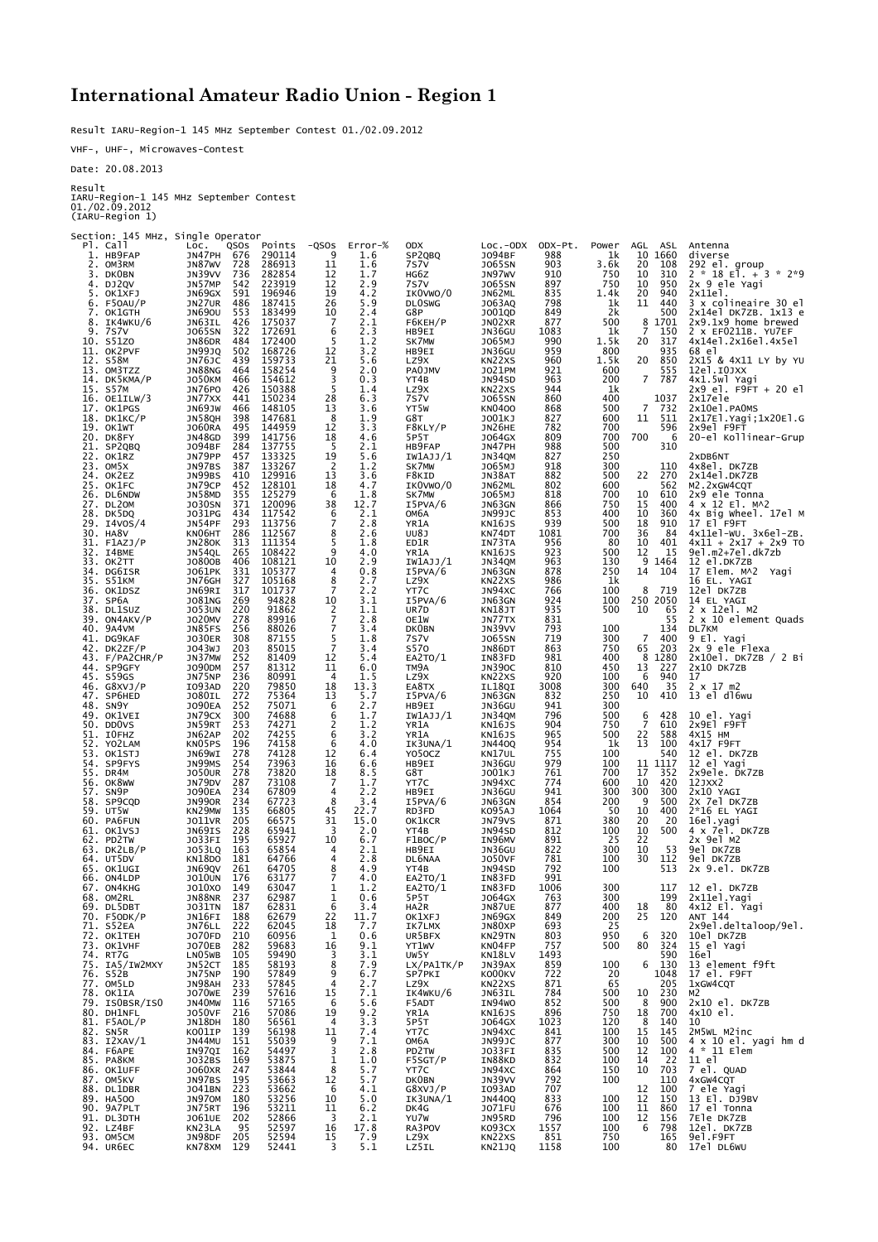## **International Amateur Radio Union - Region 1**

Result IARU-Region-1 145 MHz September Contest 01./02.09.2012

VHF-, UHF-, Microwaves-Contest

Date: 20.08.2013

Result

IARU-Region-1 145 MHz September Contest 01./02.09.2012 (IARU-Region 1)

| Section: 145 MHz, Single Operator |                                       |                  |                     |                |                         |                         |                |             |                |             |                                                     |
|-----------------------------------|---------------------------------------|------------------|---------------------|----------------|-------------------------|-------------------------|----------------|-------------|----------------|-------------|-----------------------------------------------------|
| Pl. Call<br>1. HB9FAP             | LOC.<br>QSOS<br>JN47PH<br>676         | Points<br>290114 | $-QSOS$<br>9        | Error-%<br>1.6 | <b>ODX</b><br>SP2QBQ    | LOC.-ODX<br>J094BF      | ODX-Pt.<br>988 | Power<br>1k | AGL<br>10      | ASL<br>1660 | Antenna<br>diverse                                  |
| 2. OM3RM                          | JN87WV<br>728                         | 286913           | 11                  | 1.6            | 7s7v                    | J065SN                  | 903            | 3.6k        | 20             | 108         | 292 el. group<br>2 * 18 El. + 3 * 2*9               |
| 3. DKOBN<br>4. DJ2QV              | JN39VV<br>736<br>542<br>JN57MP        | 282854<br>223919 | 12<br>12            | 1.7<br>2.9     | HG6Z<br>7S7V            | JN97WV<br><b>JO65SN</b> | 910<br>897     | 750<br>750  | 10<br>10       | 310<br>950  | 2x 9 ele Yagi                                       |
| 5.<br>OKIXFJ                      | 591<br>JN69GX                         | 196946           | 19                  | 4.2            | IKOVWO/0                | JN62ML                  | 835            | 1.4k        | 20             | 940         | 2x11el.                                             |
| 6. F50AU/P<br>7.<br>OK1GTH        | JN27UR<br>486<br><b>JN690U</b><br>553 | 187415<br>183499 | 26<br>10            | 5.9<br>2.4     | <b>DLOSWG</b><br>G8P    | J063AQ<br>J001QD        | 798<br>849     | 1k<br>2k    | 11             | 440<br>500  | 3 x colineaire 30 el<br>2x14el DK7ZB. 1x13 e        |
| IK4WKU/6<br>8.                    | 426<br>JN63IL                         | 175037           | 7<br>6              | 2.1            | F6KEH/P                 | JN02XR                  | 877            | 500         | 8<br>7         | 1701        | 2x9.1x9 home brewed                                 |
| 9.<br>7s7v<br>10. S51ZO           | 322<br>J065SN<br>JN86DR<br>484        | 172691<br>172400 | 5                   | 2.3<br>1.2     | HB9EI<br>SK7MW          | JN36GU<br>J065MJ        | 1083<br>990    | 1k<br>1.5k  | 20             | 150<br>317  | $2 \times$ EF0211B. YU7EF<br>4x14el.2x16el.4x5el    |
| 11. OK2PVF                        | 502<br>JN99JQ                         | 168726           | 12                  | 3.2            | HB9EI                   | JN36GU                  | 959            | 800         |                | 935         | 68 el                                               |
| 12. S58M<br>13. OM3TZZ            | JN76JC<br>439<br>JN88NG<br>464        | 159733<br>158254 | 21<br>9             | 5.6<br>2.0     | LZ9X<br>PA0JMV          | KN22XS<br>J021PM        | 960<br>921     | 1.5k<br>600 | 20             | 850<br>555  | 2x15 & 4x11 LY by YU<br>12el.IOJXX                  |
| 14. DK5KMA/P<br>15. S57M          | <b>JO50KM</b><br>466<br>JN76PO<br>426 | 154612<br>150388 | 3<br>5              | 0.3<br>1.4     | YT4B<br>LZ9X            | JN94SD<br>KN22XS        | 963<br>944     | 200<br>1k   | $\overline{7}$ | 787         | 4x1.5wl Yagi<br>2x9 el. F9FT + 20 el                |
| 16. OE1ILW/3                      | 441<br>JN77XX                         | 150234           | 28                  | 6.3            | 7s7v                    | <b>JO65SN</b>           | 860            | 400         |                | 1037        | 2x17ele                                             |
| 17. OK1PGS<br>18. DK1KC/P         | 466<br>JN69JW<br>JN58QH<br>398        | 148105<br>147681 | 13<br>8             | 3.6<br>1.9     | YT5W<br>G8T             | <b>KN0400</b><br>J001KJ | 868<br>827     | 500<br>600  | 7<br>11        | 732<br>511  | 2x10e1.PA0MS<br>2x17El.Yagi;1x20El.G                |
| 19. OK1WT                         | <b>JO60RA</b><br>495                  | 144959           | 12                  | 3.3            | F8KLY/P                 | JN26HE                  | 782            | 700         |                | 596         | 2x9el F9FT                                          |
| 20.<br>DK8FY<br>21. SP2QBQ        | 399<br>JN48GD<br>284<br>J094BF        | 141756<br>137755 | 18<br>-5            | 4.6<br>2.1     | 5P5T<br>HB9FAP          | J064GX<br>JN47PH        | 809<br>988     | 700<br>500  | 700            | 6<br>310    | 20-el Kollinear-Grup                                |
| 22. OK1RZ                         | JN79PP<br>457                         | 133325           | 19                  | 5.6            | IW1AJJ/1                | JN34QM                  | 827            | 250         |                |             | 2xDB6NT                                             |
| 23. OM5X<br>24. OK2EZ             | 387<br>JN97BS<br>410<br>JN99BS        | 133267<br>129916 | 2<br>13             | 1.2<br>3.6     | SK7MW<br>F8KID          | J065MJ<br>JN38AT        | 918<br>882     | 300<br>500  | 22             | 110<br>270  | 4x8el. DK7ZB<br>2x14el.DK7ZB                        |
| 25. OK1FC                         | JN79CP<br>452<br>355                  | 128101<br>125279 | 18                  | 4.7            | IKOVWO/0                | JN62ML                  | 802            | 600<br>700  |                | 562<br>610  | M <sub>2</sub> .2xGW <sub>4</sub> CQT               |
| 26. DL6NDW<br>27. DL20M           | <b>JN58MD</b><br>371<br><b>JO30SN</b> | 120096           | 6<br>38             | 1.8<br>12.7    | SK7MW<br>I5PVA/6        | J065MJ<br>JN63GN        | 818<br>866     | 750         | 10<br>15       | 400         | 2x9 ele Tonna<br>4 x 12 El. MA2                     |
| 28. DK5DQ<br>29. I4VOS/4          | J031PG<br>434<br>293<br>JN54PF        | 117542<br>113756 | 6<br>7              | 2.1<br>2.8     | ОМ6А<br>YR1A            | JN99JC                  | 853<br>939     | 400<br>500  | 10<br>18       | 360<br>910  | 4x Big Wheel. 17el M<br>17 El F9FT                  |
| 30. HA8V                          | KN06HT<br>286                         | 112567           | 8                   | 2.6            | UU8J                    | KN16JS<br>KN74DT        | 1081           | 700         | 36             | 84          | $4x11e1-wU. 3x6e1-ZB.$                              |
| 31.<br>F1AZJ/P<br>32.<br>I4BME    | JN280K<br>313<br>265<br>JN54QL        | 111354<br>108422 | 5<br>9              | 1.8<br>4.0     | ED1R<br>YR1A            | IN73TA<br>KN16JS        | 956<br>923     | 80<br>500   | 10<br>12       | 401<br>15   | $4x11 + 2x17 + 2x9$ TO<br>9el.m2+7el.dk7zb          |
| 33. OK2TT                         | J0800B<br>406                         | 108121           | 10                  | 2.9            | IW1AJJ/1                | JN34QM                  | 963            | 130         | 9              | 1464        | 12 el.DK7ZB                                         |
| 34. DG6ISR<br>35.<br>S51KM        | J061PK<br>331<br>327<br>JN76GH        | 105377<br>105168 | 4<br>8              | 0.8<br>2.7     | I5PVA/6<br>LZ9X         | JN63GN<br>KN22XS        | 878<br>986     | 250<br>1k   | 14             | 104         | 17 Elem. MA2 Yagi<br>16 EL. YAGI                    |
| 36. OK1DSZ                        | JN69RI<br>317                         | 101737           | 7                   | 2.2            | YT7C                    | JN94XC                  | 766            | 100         | 8              | 719         | 12el DK7ZB                                          |
| 37. SP6A<br>38. DL1SUZ            | J081NG<br>269<br>220<br><b>JO53UN</b> | 94828<br>91862   | 10                  | 3.1<br>1.1     | I5PVA/6<br>UR7D         | JN63GN<br>KN18JT        | 924<br>935     | 100<br>500  | 250 2050<br>10 | 65          | 14 EL YAGI                                          |
| 39. ON4AKV/P                      | 278<br>J020MV                         | 89916            | $\frac{2}{7}$       | 2.8            | OE1W                    | JN77TX                  | 831            |             |                | 55          | $2 \times 12$ el. M2<br>$2 \times 10$ element Quads |
| 40. 9A4VM<br>41. DG9KAF           | 256<br>JN85FS<br><b>JO30ER</b><br>308 | 88026<br>87155   | 7<br>5              | 3.4<br>1.8     | <b>DKOBN</b><br>7S7V    | JN39VV<br><b>JO65SN</b> | 793<br>719     | 100<br>300  | 7              | 134<br>400  | DL7KM<br>9 El. Yagi                                 |
| 42. DK2ZF/P                       | J043WJ<br>203                         | 85015            | 7                   | 3.4            | <b>S570</b>             | JN86DT                  | 863            | 750         | 65             | 203         | 2x 9 ele Flexa                                      |
| 43. F/PA2CHR/P<br>44. SP9GFY      | JN37MW<br>252<br>257<br>J090DM        | 81409<br>81312   | 12<br>11            | 5.4<br>6.0     | EA2TO/1<br>TM9A         | IN83FD<br><b>JN390C</b> | 981<br>810     | 400<br>450  | 8<br>13        | 1280<br>227 | 2x10el. DK7ZB / 2 Bi<br>2x10 DK7ZB                  |
| 45. S59GS<br>46. G8XVJ/P          | 236<br>JN75NP<br>220<br>IO93AD        | 80991<br>79850   | 4<br>18             | 1.5<br>13.3    | LZ9X                    | KN22XS<br>IL18QI        | 920<br>3008    | 100<br>300  | 6<br>640       | 940<br>35   | 17<br>$2 \times 17$ m2                              |
| 47. SP6HED                        | 272<br>J080IL                         | 75364            | 13                  | 5.7            | EA8TX<br>I5PVA/6        | JN63GN                  | 832            | 250         | 10             | 410         | 13 el dl6wu                                         |
| 48. SN9Y<br>49. OK1VEI            | 252<br><b>JO90EA</b><br>300<br>JN79CX | 75071<br>74688   | 6<br>6              | 2.7<br>1.7     | HB9EI<br>IW1AJJ/1       | JN36GU<br>JN34QM        | 941<br>796     | 300<br>500  | 6              | 428         | 10 el. Yagi                                         |
| 50. DDOVS                         | 253<br>JN59RT                         | 74271            | 2                   | 1.2            | YR1A                    | KN16JS                  | 904            | 750         | $\overline{7}$ | 610         | 2x9El F9FT                                          |
| 51. IOFHZ<br>52. YOZLAM           | JN62AP<br>202<br>KN05PS<br>196        | 74255<br>74158   | 6<br>6              | 3.2<br>4.0     | YR1A<br>IK3UNA/1        | KN16JS<br><b>JN440Q</b> | 965<br>954     | 500<br>1k   | 22<br>13       | 588<br>100  | 4X15 HM<br>4x17 F9FT                                |
| 53. OK1STJ                        | JN69WI<br>278                         | 74128            | 12                  | 6.4            | Y050CZ                  | KN17UL                  | 755            | 100         |                | 540         | 12 el. DK7ZB                                        |
| 54. SP9FYS<br>55. DR4M            | JN99MS<br>254<br><b>JO50UR</b><br>278 | 73963<br>73820   | 16<br>18            | 6.6<br>8.5     | HB9EI<br>G8T            | JN36GU<br>J001KJ        | 979<br>761     | 100<br>700  | 11<br>17       | 1117<br>352 | 12 el Yagi<br>2x9ele. DK7ZB                         |
| 56. OK8WW                         | JN79DV<br>287                         | 73108            | 7                   | 1.7            | YT7C                    | JN94XC                  | 774            | 600         | 10             | 420         | 12JXX2                                              |
| SN9P<br>57.<br>58. SP9CQD         | <b>JO90EA</b><br>234<br>JN990R<br>234 | 67809<br>67723   | 4<br>8              | 2.2<br>3.4     | HB9EI<br>I5PVA/6        | JN36GU<br>JN63GN        | 941<br>854     | 300<br>200  | 300<br>9       | 300<br>500  | 2x10 YAGI<br>2X 7el DK7ZB                           |
| 59. UT5W<br>60. PA6FUN            | KN29MW<br>135<br>205<br>J011VR        | 66805<br>66575   | 45<br>31            | 22.7<br>15.0   | RD3FD<br>OK1KCR         | K095AJ<br>JN79VS        | 1064<br>871    | 50<br>380   | 10<br>20       | 400<br>20   | 2*16 EL YAGI<br>16el.yagi                           |
| 61. OK1VSJ                        | JN69IS<br>228                         | 65941            | 3                   | 2.0            | YT4B                    | JN94SD                  | 812            | 100         | 10             | 500         | 4 x 7el. DK7ZB                                      |
| 62. PD2TW<br>63. DK2LB/P          | 195<br>J033FI<br>163<br>J053LQ        | 65927<br>65854   | 10<br>4             | 6.7<br>2.1     | F1BOC/P<br>HB9EI        | IN96MV<br>JN36GU        | 891<br>822     | 25<br>300   | 22<br>10       | 53          | 2x 9el M2<br>9el DK7ZB                              |
| 64. UT5DV                         | KN18DO<br>181                         | 64766            | 4                   | 2.8            | DL6NAA                  | <b>JO50VF</b>           | 781            | 100         | 30             | 112         | 9el DK7ZB                                           |
| 65. OK1UGI<br>66. ON4LDP          | JN69QV<br>261<br><b>JO10UN</b><br>176 | 64705<br>63177   | 8<br>7              | 4.9<br>4.0     | YT4B<br>EA2TO/1         | JN94SD<br>IN83FD        | 792<br>991     | 100         |                | 513         | 2x 9.el. DK7ZB                                      |
| 67. ON4KHG                        | J010X0<br>149<br>JN88NR 237           | 63047            | 1                   | 1.2            | EA2TO/1                 | IN83FD                  | 1006           | 300         |                |             | 117 12 el. DK7ZB<br>2x11el. Yagi                    |
| 68. OM2RL<br>69. DL5DBT           | JO31TN 187                            | 62987<br>62831   | 1<br>6              | 0.6<br>3.4     | 5P5T<br>HA2R            | J064GX<br>JN87UE        | 763<br>877     | 300<br>400  | 18             | 199<br>80   | 4x12 El. Yagi                                       |
| 70. F5ODK/P<br>71. S52EA          | JN16FI 188<br>222<br>JN76LL           | 62679<br>62045   | 22<br>18            | 11.7<br>7.7    | OK1XFJ<br>IK7LMX        | JN69GX<br>JN80XP        | 849<br>693     | 200<br>25   | 25             | 120         | ANT 144<br>2x9el.deltaloop/9el.                     |
| 72. OK1TEH                        | J070FD<br>210                         | 60956            | 1                   | 0.6            | UR5BFX                  | KN29TN<br>KN04FP        | 803            | 950         | 6              | 320         | 10el DK7ZB                                          |
| 73. OK1VHF<br>74. RT7G            | JO70EB<br>LN05WB<br>282<br>105        | 59683<br>59490   | 16<br>3             | 9.1<br>3.1     | YT1WV<br>UW5Y           | KN18LV                  | 757<br>1493    | 500         | 80             | 324<br>590  | 15 el Yagi<br>16e1                                  |
| 75. IA5/IW2MXY                    | JN52CT<br>185                         | 58193            | 8                   | 7.9            | LX/PA1TK/P              | JN39AX                  | 859            | 100         |                | 6 130       | 13 element f9ft                                     |
| 76. S52B<br>77. OM5LD             | JN75NP<br>190<br>JN98AH<br>233        | 57849<br>57845   | 9<br>$\overline{4}$ | 6.7<br>2.7     | SP7PKI<br>LZ9X          | KO00KV<br>KN22XS        | 722<br>871     | 20<br>65    |                | 1048<br>205 | 17 el. F9FT<br>1xGW4CQT                             |
| 78. OK1IA                         | JO70WE<br>239                         | 57616            | 15                  | 7.1            | IK4WKU/6                | JN63IL                  | 784            | 500         | 10             | 230         | M2                                                  |
| 79. ISOBSR/ISO<br>80. DH1NFL      | JN40MW<br>116<br><b>JO50VF</b><br>216 | 57165<br>57086   | 6<br>19             | 5.6<br>9.2     | F5ADT<br>YR1A           | IN94WO<br>KN16JS        | 852<br>896     | 500<br>750  | 8<br>18        | 900<br>700  | $2x10$ el. DK7ZB<br>$4x10$ el.                      |
| 81. F5AOL/P                       | JN18DH<br>180                         | 56561            | $\overline{4}$      | 3.3            | 5P5T                    | J064GX                  | 1023           | 120         | 8<br>15        | 140         | 10                                                  |
| 82. SN5R<br>83. I2XAV/1           | KO01IP<br>139<br>JN44MU 151           | 56198<br>55039   | 11<br>9             | 7.4<br>7.1     | YT7C<br>ОМ6А            | JN94XC<br>JN99JC        | 841<br>877     | 100<br>300  | 10             | 145<br>500  | 2M5WL M2inc<br>$4 \times 10$ el. yagi hm d          |
| 84. F6APE<br>85. PA8KM            | IN97QI<br>162<br>J032BS<br>169        | 54497<br>53875   | 3<br>1              | 2.8<br>1.0     | PD2TW<br>F5SGT/P        | JO33FI<br>IN88KD        | 835<br>832     | 500<br>100  | 12<br>14       | 100<br>22   | 4 * 11 Elem<br>11 el                                |
| 86. OK1UFF                        | <b>JO60XR</b><br>247                  | 53844            | 8                   | 5.7            | YT7C                    | JN94XC                  | 864            | 150         | 10             | 703         | 7 e1. QUAD                                          |
| 87. OM5KV<br>88. DL1DBR           | JN97BS<br>195<br>J041BN<br>223        | 53663<br>53662   | 12<br>6             | 5.7<br>4.1     | <b>DKOBN</b><br>G8XVJ/P | JN39VV<br>I093AD        | 792<br>707     | 100         | 12             | 110<br>100  | 4xGW4CQT<br>7 ele Yagi                              |
| 89. HA5OO                         | JN970M<br>180                         | 53256            | 10                  | 5.0            | IK3UNA/1                | <b>JN440Q</b>           | 833            | 100         | 12             | 150         | 13 El. DJ9BV                                        |
| 90. 9A7PLT<br>91. DL3DTH          | JN75RT<br>196<br>J061UE<br>202        | 53211<br>52866   | 11<br>3             | 6.2<br>2.1     | DK4G<br>YU7W            | J071FU<br>JN95RD        | 676<br>796     | 100<br>100  | 11<br>12       | 860<br>156  | 17 el Tonna<br>7Ele DK7ZB                           |
| 92. LZ4BF                         | KN23LA<br>95                          | 52597            | 16                  | 17.8           | RA3POV                  | K093CX                  | 1557           | 100         | 6              | 798         | 12el. DK7ZB                                         |
| 93. OM5CM<br>94. UR6EC            | JN98DF 205<br>KN78XM 129              | 52594<br>52441   | 15<br>3             | 7.9<br>5.1     | LZ9X<br>LZ5IL           | KN22XS<br><b>KN21JQ</b> | 851<br>1158    | 750<br>100  |                | 165         | 9e1.F9FT<br>80 17el DL6WU                           |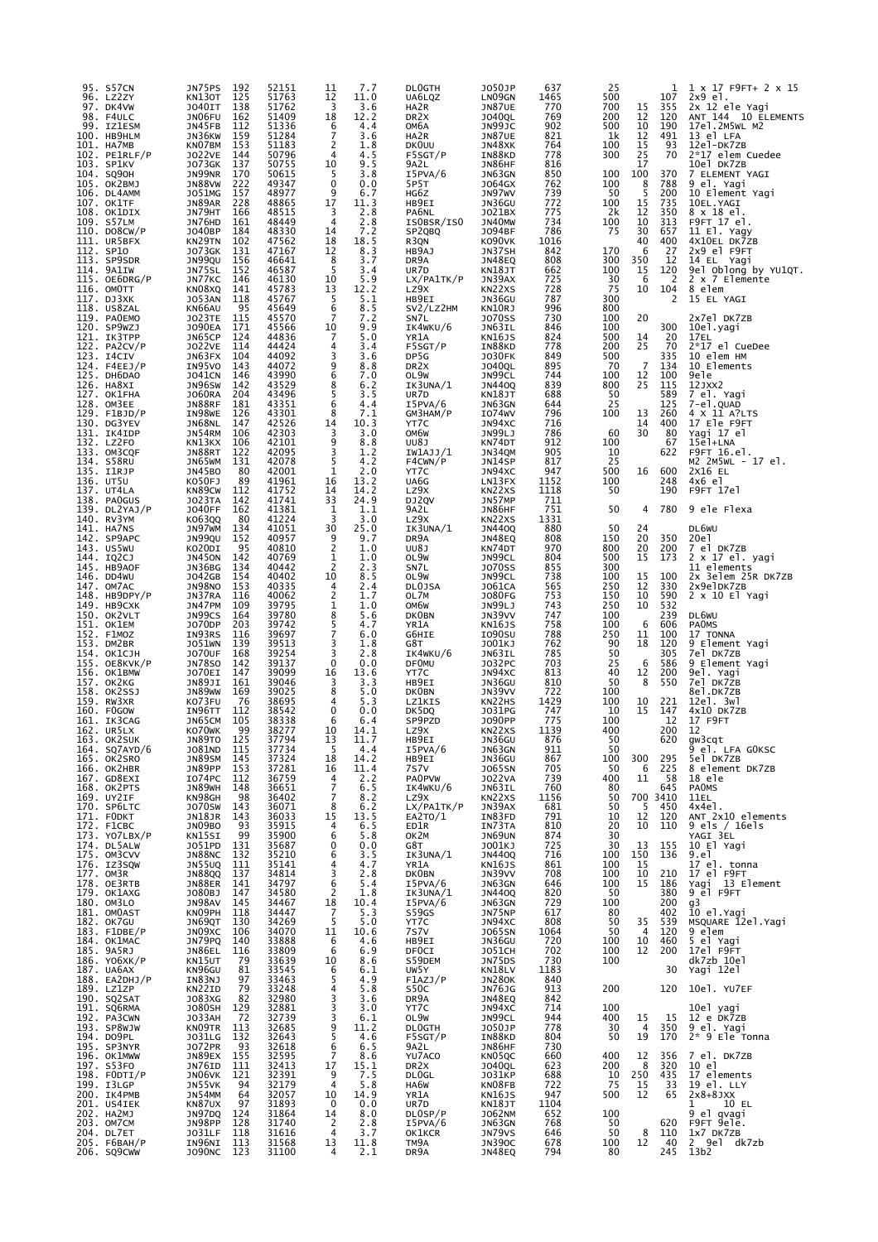| 95. | S57CN<br>96. LZ2ZY                | JN75PS<br>192<br>125<br>KN130T               | 52151<br>51763 | 11<br>12                 | 7.7<br>11.0       | <b>DLUGTH</b><br>UA6LQZ     | <b>JO50JP</b><br>LN09GN        | 637<br>1465  | 25<br>500             |                      | 107          | ı<br>X 17 F9FT+ 2 X 15<br>2x9 el.     |
|-----|-----------------------------------|----------------------------------------------|----------------|--------------------------|-------------------|-----------------------------|--------------------------------|--------------|-----------------------|----------------------|--------------|---------------------------------------|
|     | 97. DK4VW<br>98. F4ULC            | 138<br>J040IT<br>162<br>JN06FU               | 51762<br>51409 | 3<br>18                  | 3.6<br>12.2       | HA2R<br>DR <sub>2</sub> x   | JN87UE<br><b>JO40QL</b>        | 770<br>769   | 700<br>200            | 15<br>12             | 355<br>120   | 2x 12 ele Yagi<br>ANT 144 10 ELEMENTS |
|     | 99. IZ1ESM                        | 112<br>JN45FB<br>159                         | 51336          | 6<br>7                   | 4.4               | ОМ6А                        | JN99JC                         | 902          | 500<br>1k             | 10<br>12             | 190<br>491   | 17el.2M5WL M2                         |
|     | 100. НВ9НЦМ<br>101. HA7MB         | JN36KW<br>153<br>KNO7BM                      | 51284<br>51183 | 2                        | 3.6<br>1.8        | HA2R<br><b>DKOUU</b>        | JN87UE<br>JN48XK               | 821<br>764   | 100                   | 15                   | 93           | 13 el LFA<br>12el-DK7ZB               |
|     | 102. PE1RLF/P<br>103. SP1KV       | 144<br><b>JO22VE</b><br>137<br><b>JO73GK</b> | 50796<br>50755 | 4<br>10                  | 4.5<br>9.5        | F5SGT/P<br>9A2L             | IN88KD<br>JN86HF               | 778<br>816   | 300                   | 25<br>17             | 70           | 2*17 elem Cuedee<br>10el DK7ZB        |
|     | 104. SQ90H                        | 170<br>JN99NR                                | 50615          | 5                        | 3.8               | I5PVA/6                     | JN63GN                         | 850          | 100                   | 100                  | 370          | 7 ELEMENT YAGI                        |
|     | 105. OK2BMJ<br>106. DL4AMM        | 222<br>JN88VW<br>J051MG<br>157               | 49347<br>48977 | $\mathbf 0$<br>9         | 0.0<br>6.7        | 5P5T<br>HG6Z                | J064GX<br>JN97WV               | 762<br>739   | 100<br>50             | 8<br>5               | 788<br>200   | 9 el. Yagi<br>10 Element Yagi         |
|     | 107. OK1TF<br>108. OK1DIX         | JN89AR<br>228<br>JN79HT<br>166               | 48865<br>48515 | 17<br>3                  | 11.3              | HB9EI<br>PA6NL              | JN36GU<br>J021BX               | 772<br>775   | 100<br>2k             | 15<br>12             | 735<br>350   | 10EL.YAGI<br>8 x 18 el.               |
|     | 109. S57LM                        | 161<br>JN76HD                                | 48449          | 4                        | $\frac{2.8}{2.8}$ | ISOBSR/ISO                  | JN40MW                         | 734          | 100                   | 10                   | 313          | F9FT <sub>17</sub> el.                |
|     | 110. DO8CW/P<br>111. UR5BFX       | 184<br>J040BP<br>KN29TN<br>102               | 48330<br>47562 | 14<br>18                 | 7.2<br>18.5       | SP2QBQ<br>R3QN              | J094BF<br>KO90VK               | 786<br>1016  | 75                    | 30<br>40             | 657<br>400   | 11 El. Yagy<br>4X10EL DK7ZB           |
|     | 112. SP10<br>113. SP9SDR          | J073GK<br>131<br>JN99QU<br>156               | 47167<br>46641 | 12<br>8                  | 8.3<br>3.7        | HB9AJ<br>DR9A               | JN37SH<br>JN48EQ               | 842<br>808   | 170<br>300            | 6<br>350             | 27<br>12     | 2x9 el F9FT<br>14 EL Yagi             |
|     | 114. 9A1IW                        | JN75SL<br>152                                | 46587          | 5                        | 3.4               | UR7D                        | <b>KN18JT</b>                  | 662          | 100                   | 15                   | 120          | 9el Oblong by YU1QT.                  |
|     | $115.$ OE $6$ DRG/P<br>116. OMOTT | 146<br>JN77KC<br>141<br>KN08XQ               | 46130<br>45783 | 10<br>13                 | 5.9<br>12.2       | LX/PA1TK/P<br>LZ9X          | JN39AX<br>KN22XS               | 725<br>728   | 30<br>75              | 6<br>10              | 2<br>104     | 2 x 7 Elemente<br>8 elem              |
|     | 117. DJ3XK                        | 118<br><b>JO53AN</b>                         | 45767          | 5                        | 5.1               | HB9EI                       | JN36GU                         | 787<br>996   | 300<br>800            |                      | 2            | 15 EL YAGI                            |
|     | 118. US8ZAL<br>119. PAOEMO        | KN66AU<br>95<br>J023TE<br>115                | 45649<br>45570 | 6<br>7                   | 8.5<br>7.2        | SV2/LZ2HM<br>SN7L           | KN10RJ<br><b>JO70SS</b>        | 730          | 100                   | 20                   |              | 2x7el DK7ZB                           |
|     | 120. SP9WZJ<br>121. IK3TPP        | 171<br><b>JO90EA</b><br>124<br>JN65CP        | 45566<br>44836 | 10<br>7                  | 9.9<br>5.0        | IK4WKU/6<br>YR1A            | JN63IL<br>KN16JS               | 846<br>824   | 100<br>500            | 14                   | 300          | 10el.yagi<br>17EL                     |
|     | $122.$ PA2CV/P                    | 114<br><b>JO22VE</b>                         | 44424          | 4                        | 3.4               | F5SGT/P                     | IN88KD                         | 778          | 200                   | 25                   | $^{20}_{70}$ | 2*17 el CueDee                        |
|     | 123. I4CIV<br>124. F4EEJ/P        | 104<br>JN63FX<br>IN95VO<br>143               | 44092<br>44072 | 3<br>9                   | 3.6<br>8.8        | DP5G<br>DR <sub>2</sub> x   | <b>JO30FK</b><br><b>JO40QL</b> | 849<br>895   | 500<br>70             | $\overline{7}$       | 335<br>134   | 10 elem HM<br>10 Elements             |
|     | 125. DH6DAO<br>126. HA8XI         | <b>JO41CN</b><br>146<br>142<br>JN96SW        | 43990<br>43529 | 6                        | 7.0<br>6.2        | OL9W<br>IK3UNA/1            | JN99CL<br><b>JN440Q</b>        | 744<br>839   | 100<br>800            | 12<br>25             | 100<br>115   | 9ele<br>12JXX2                        |
|     | 127. OK1FHA                       | 204<br><b>JO60RA</b>                         | 43496          | 8<br>5                   | 3.5               | UR7D                        | KN18JT                         | 688          | 50                    |                      | 589          | 7 el. Yagi                            |
|     | 128. OM3EE<br>$129.$ F1BJD/P      | 181<br>JN88RF<br>126<br>IN98WE               | 43351<br>43301 | 6<br>8                   | 4.4<br>7.1        | I5PVA/6<br>GM3HAM/P         | JN63GN<br>I074WV               | 644<br>796   | 25<br>100             | 13                   | 125<br>260   | 7-el.QUAD<br>4 X 11 A?LTS             |
|     | 130. DG3YEV                       | JN68NL<br>147                                | 42526          | 14                       | 10.3              | YT7C                        | JN94XC                         | 716          |                       | 14                   | 400          | 17 Ele F9FT                           |
|     | 131. IK4IDP<br>132. LZ2FO         | JN54RM<br>106<br>106<br>KN13KX               | 42303<br>42101 | 3<br>9                   | 3.0<br>8.8        | OM6W<br><b>UU8J</b>         | JN99LJ<br>KN74DT               | 786<br>912   | 60<br>100             | 30                   | 80<br>67     | Yagi 17 el<br>15e1+LNA                |
|     | 133. OM3CQF<br>134. S58RU         | 122<br>JN88RT<br>131<br>JN65WM               | 42095<br>42078 | 3<br>5                   | 1.2<br>4.2        | IW1AJJ/1<br>F4CWN/P         | JN34QM<br>JN14SP               | 905<br>817   | 10<br>25              |                      | 622          | F9FT 16.el.<br>M2 2M5WL - 17 el.      |
|     | 135. I1RJP                        | JN45BO<br>80                                 | 42001          | 1                        | 2.0               | YT7C                        | JN94XC                         | 947          | 500                   | 16                   | 600          | 2X16 EL                               |
|     | 136. UT5U<br>137. UT4LA           | 89<br>KO50FJ<br>KN89CW<br>112                | 41961<br>41752 | 16<br>14                 | 13.2<br>14.2      | UA6G<br>LZ9X                | LN13FX<br>KN22XS               | 1152<br>1118 | 100<br>50             |                      | 248<br>190   | 4x6 el<br>F9FT 17el                   |
|     | 138. PAOGUS                       | 142<br><b>JO23TA</b>                         | 41741          | 33                       | 24.9              | DJ2QV                       | JN57MP                         | 711<br>751   |                       |                      |              | 9 ele Flexa                           |
|     | $139.$ DL $2YAJ/P$<br>140. RV3YM  | <b>JO40FF</b><br>162<br>KO63QQ<br>80         | 41381<br>41224 | 1<br>3                   | 1.1<br>3.0        | 9A2L<br>LZ9X                | JN86HF<br>KN22XS               | 1331         | 50                    | 4                    | 780          |                                       |
|     | 141. HA7NS<br>142. SP9APC         | 134<br>JN97WM<br>JN99QU<br>152               | 41051<br>40957 | 30<br>9                  | 25.0<br>9.7       | IK3UNA/1<br>DR9A            | <b>JN4400</b><br>JN48EQ        | 880<br>808   | 50<br>150             | 24<br>20             | 350          | DL6WU<br>20e1                         |
|     | 143. US5WU                        | KO20DI<br>95                                 | 40810          | $\overline{2}$           | 1.0               | <b>UU8J</b>                 | KN74DT                         | 970          | 800                   | 20                   | 200          | 7 el DK7ZB                            |
|     | 144. IQ2CJ<br>145. HB9AOF         | 142<br>JN45ON<br>134<br>JN36BG               | 40769<br>40442 | 1<br>$\overline{2}$      | 1.0<br>2.3        | OL9W<br>SN7L                | JN99CL<br><b>JO70SS</b>        | 804<br>855   | 500<br>300            | 15                   | 173          | 2 x 17 el. yagi<br>11 elements        |
|     | 146. DD4WU<br>147. OM7AC          | 154<br>J042GB<br>153<br>JN98NO               | 40402<br>40335 | 10<br>4                  | 8.5<br>2.4        | OL9W<br><b>DLOJSA</b>       | JN99CL                         | 738<br>565   | 100<br>250            | 15<br>12             | 100<br>330   | 2x 3elem 25R DK7ZB<br>2x9elDK7ZB      |
|     | $148.$ HB $9DPY/P$                | JN37RA<br>116                                | 40062          | 2                        | 1.7               | OL7M                        | J061CA<br><b>JO80FG</b>        | 753          | 150                   | 10                   | 590          | 2 x 10 El Yagi                        |
|     | 149. НВ9СХК<br>150. OK2VLT        | JN47PM<br>109<br>JN99CS<br>164               | 39795<br>39780 | 1                        | 1.0<br>5.6        | OM6W<br><b>DKOBN</b>        | JN99LJ<br>JN39VV               | 743<br>747   | 250<br>100            | 10                   | 532<br>239   | DL6WU                                 |
|     | 151. OK1EM                        | 203<br><b>JO70DP</b>                         | 39742          | 8<br>5<br>$\overline{7}$ | 4.7               | YR1A                        | KN16JS                         | 758          | 100                   | 6                    | 606          | <b>PAOMS</b>                          |
|     | 152. F1MOZ<br>153. DM2BR          | 116<br>IN93RS<br>JO51WN<br>139               | 39697<br>39513 | 3                        | 6.0<br>1.8        | G6HIE<br>G8T                | I090SU<br>J001KJ               | 788<br>762   | 250<br>90             | 11<br>18             | 100<br>120   | 17 TONNA<br>9 Element Yagi            |
|     | 154. ОК1СЈН<br>155. OE8KVK/P      | <b>JO70UF</b><br>168<br><b>JN78SO</b><br>142 | 39254<br>39137 | 3<br>0                   | 2.8<br>0.0        | IK4WKU/6<br><b>DF0MU</b>    | JN63IL<br>J032PC               | 785<br>703   | 50<br>25              | 6                    | 305<br>586   | 7el DK7ZB<br>9 Element Yagi           |
|     | 156. OK1BMW                       | 147<br>J070EI                                | 39099          | 16                       | 13.6              | YT7C                        | JN94XC                         | 813          | 40                    | 12                   | 200          | 9el. Yagi                             |
|     | 157. OK2KG<br>158. OK2SSJ         | 161<br>JN89JI<br>JN89WW<br>169               | 39046<br>39025 | 3<br>8                   | 3.3<br>5.0        | HB9EI<br><b>DKOBN</b>       | JN36GU<br>JN39VV               | 810<br>722   | 50<br>100             | 8                    | 550          | 7el DK72B<br>8el.DK7ZB                |
|     | 159. RW3XR<br>160. FOGOW          | KO73FU<br>76<br>IN96TT<br>112                | 38695<br>38542 | 4<br>0                   | 5.3<br>0.0        | LZ1KIS<br>DK5DQ             | KN22HS<br>J031PG               | 1429<br>747  | 100<br>10             | 10<br>15             | 221<br>147   | 12el. 3wl<br>4x10 DK7ZB               |
|     | 161. IK3CAG                       | 105<br>JN65CM                                | 38338          | 6                        | 6.4               | SP9PZD                      | <b>JO90PP</b>                  | 775          | 100                   |                      | 12           | 17 F9FT                               |
|     | 162. UR5LX<br>163. OK2SUK         | 99<br>KO70WK<br>125<br>JN89TO                | 38277<br>37794 | 10<br>13                 | 14.1<br>11.7      | LZ9X<br>HB9EI               | KN22XS<br>JN36GU               | 1139<br>876  | 400<br>50             |                      | 200<br>620   | 12<br>gw3cqt                          |
|     | 164. SQ7AYD/6                     | 108TMD TT2                                   | 37734          | -5                       | 4.4<br>14.2       | I5PVA/6                     | <b>JND3GN</b>                  | ATT          | 50<br>100             | 300                  | 295          | 9 el. LFA GOKSC                       |
|     | 165. OK2SRO<br>166. OK2HBR        | JN89SM 145<br>JN89PP<br>153                  | 37324<br>37281 | 18<br>16                 | 11.4              | HB9EI<br>7S7V               | JN36GU<br>J065SN               | 867<br>705   | 50                    | 6                    | 225          | 5el DK7ZB<br>8 element DK7ZB          |
|     | 167. GD8EXI                       | I074PC<br>112<br>JN89WH<br>148               | 36759<br>36651 | 4<br>$\overline{7}$      | 2.2<br>6.5        | <b>PAOPVW</b><br>IK4WKU/6   | J022VA<br>JN63IL               | 739<br>760   | 400<br>80             | 11                   | 58<br>645    | 18 ele                                |
|     | 168. OK2PTS<br>169. UY2IF         | KN98GH<br>98                                 | 36402          | $\overline{7}$           | 8.2               | LZ9X                        | KN22XS                         | 1156         | 50                    |                      | 700 3410     | PAOMS<br>11EL                         |
|     | 170. SP6LTC<br>171. FODKT         | <b>JO70SW</b><br>143<br>143<br>JN18JR        | 36071<br>36033 | 8<br>15                  | $6.2$<br>13.5     | LX/PA1TK/P<br>EA2TO/1       | JN39AX<br>IN83FD               | 681<br>791   | 50<br>10              | 5<br>12              | 450<br>120   | $4x4e1$ .<br>ANT 2x10 elements        |
|     | 172. F1CBC<br>173. YO7LBX/P       | JN09BO<br>93<br>KN15SI<br>99                 | 35915<br>35900 | 4<br>6                   | 6.5<br>5.8        | ED1R<br>OK2M                | IN73TA<br>JN69UN               | 810<br>874   | 20<br>30              | 10                   | 110          | 9 els / 16els                         |
|     | 174. DL5ALW                       | $\frac{1}{3}$<br>$\frac{1}{3}$<br>J051PD     | 35687          | 0                        | 0.0               | G8T                         | J001KJ                         | 725          | 30                    | 13                   | 155          | YAGI 3EL<br>10 El Yagi                |
|     | 175. OM3CVV<br>176. IZ3SQW        | JN88NC<br>JN55UQ<br>111                      | 35210<br>35141 | 6<br>4                   | 3.5<br>4.7        | IK3UNA/1<br>YR1A            | <b>JN440Q</b><br>KN16JS        | 716<br>861   | 100<br>100            | 150<br>15            | 136          | 9.el<br>17 el. tonna                  |
|     | 177. OM3R<br>178. OE3RTB          | 137<br><b>JN88QQ</b><br>JN88ER<br>141        | 34814<br>34797 | 3<br>$6\phantom{1}6$     | 2.8<br>5.4        | <b>DKOBN</b><br>I5PVA/6     | JN39VV<br>JN63GN               | 708<br>646   | 100<br>100            | 10<br>15             | 210<br>186   | 17 el F9FT<br>Yagi 13 Element         |
|     | 179. OK1AXG                       | J080BJ<br>147                                | 34580          | 2                        | 1.8               | IK3UNA/1                    | <b>JN440Q</b>                  | 820          | 50                    |                      | 380          | 9 el F9FT                             |
|     | 180. OM3LO<br>181. OMOAST         | 145<br>JN98AV<br>KN09PH<br>118               | 34467<br>34447 | 18<br>7                  | 10.4<br>5.3       | I5PVA/6<br>S59GS            | JN63GN<br>JN75NP               | 729<br>617   | 100<br>80             |                      | 200<br>402   | g3<br>10 el.Yagi                      |
|     | 182. OK7GU                        | JN69QT<br>130<br>JN09XC<br>106               | 34269<br>34070 | 5                        | 5.0<br>10.6       | YT7C<br>7S7V                | JN94XC<br>J065SN               | 808<br>1064  | 50<br>50              | 35<br>$\overline{4}$ | 539<br>120   | MSQUARE 12el.Yagi<br>9 elem           |
|     | 183. F1DBE/P<br>184. OK1MAC       | JN79PQ<br>140                                | 33888          | 11<br>6                  | 4.6               | HB9EI                       | JN36GU                         | 720          | 100                   | 10                   | 460          | 5 el Yagi                             |
|     | 185. 9A5RJ                        | <b>JN86EL</b><br>116<br>79<br>KN15UT         | 33809<br>33639 | 6<br>10                  | 6.9<br>8.6        | DF0CI<br>S59DEM             | <b>JO51CH</b><br>JN75DS        | 702<br>730   | 100<br>100            | 12                   | 200          | 17el F9FT<br>dk7zb 10el               |
|     | 186. ҮО6ХК/Р<br>187. UA6AX        | 81<br>KN96GU                                 | 33545          | 6                        | 6.1               | UW5Y                        | KN18LV                         | 1183         |                       |                      | 30           | Yagi 12el                             |
|     | 188. EA2DHJ/P<br>189. LZ1ZP       | IN83NJ<br>97<br>79<br>KN22ID                 | 33463<br>33248 | 5<br>4                   | 4.9<br>5.8        | F1AZJ/P<br>S50C             | <b>JN280K</b><br>JN76JG        | 840<br>913   | 200                   |                      | 120          | 10el. YU7EF                           |
|     | 190. SQ2SAT<br>191. SQ6RMA        | 82<br>J083XG<br><b>JO80SH</b><br>129         | 32980<br>32881 | 3<br>3                   | 3.6<br>3.0        | DR9A<br>YT7C                | JN48EQ<br>JN94XC               | 842<br>714   | 100                   |                      |              | 10el yagi                             |
|     | 192. PA3CWN                       | $\frac{72}{113}$<br>JO33AH<br>KNO9TR         | 32739          | 3                        | 6.1               | OL9W                        | JN99CL                         | 944          | 400                   | 15                   | 15           | 12 e DK7ZB                            |
|     | 193. SP8WJW<br>194. DO9PL         | J031LG<br>132                                | 32685<br>32643 | 9<br>5                   | 11.2<br>4.6       | <b>DLOGTH</b><br>F5SGT/P    | J050JP<br>IN88KD               | 778<br>804   | 30<br>50              | $\overline{4}$<br>19 | 350<br>170   | 9 el. Yagi<br>$2*9$ Ele Tonna         |
|     | 195. SP3NYR                       | J072PR<br>93                                 | 32618          | 6<br>$\overline{7}$      | 6.5               | 9A2L                        | JN86HF                         | 730<br>660   | 400                   |                      |              |                                       |
|     | 196. OK1MWW<br>197. S53FO         | 155<br>JN89EX<br>JN76ID<br>111               | 32595<br>32413 | 17                       | 8.6<br>15.1       | YU7AC0<br>DR <sub>2</sub> x | KN05QC<br><b>JO40QL</b>        | 623          | 200                   | 12<br>8              | 356<br>320   | 7 el. DK7ZB<br>10 el                  |
|     | 198. FODTI/P<br>199. I3LGP        | 121<br>JN06VK<br>JN55VK<br>94                | 32391<br>32179 | 9<br>4                   | $7.5$<br>5.8      | DL0GL<br>HA6W               | <b>JO31KP</b><br>KN08FB        | 688<br>722   | 10<br>$\overline{75}$ | 250<br>15            | 435<br>33    | 17 elements<br>19 el. LLY             |
|     | 200. IK4PMB                       | JN54MM<br>64                                 | 32057          | 10                       | 14.9              | YR1A                        | KN16JS                         | 947          | 500                   | 12                   | 65           | $2x8+8JXX$                            |
|     | 201. US4IEK<br>202. HA2MJ         | KN87UX<br>97<br>JN97DQ<br>124                | 31893<br>31864 | 0<br>14                  | 0.0<br>8.0        | UR7D<br>DLOSP/P             | KN18JT<br><b>JO62NM</b>        | 1104<br>652  | 100                   |                      |              | 10 EL<br>1<br>9 el qvagi              |
|     | 203. OM7CM<br>204. DL7ET          | JN98PP<br>128<br>J031LF<br>118               | 31740<br>31616 | 2<br>$\overline{4}$      | 2.8<br>3.7        | I5PVA/6<br>OK1KCR           | JN63GN<br>JN79VS               | 768<br>646   | 50<br>50              | 8                    | 620<br>110   | F9FT 9ele.<br>1x7 DK7ZB               |
|     | 205. F6BAH/P                      | IN96NI 113                                   | 31568          | 13                       | 11.8              | TM9A                        | <b>JN390C</b>                  | 678          | 100                   | 12                   | - 40         | 2 9e1 dk7zb                           |
|     | 206. SQ9CWW                       | J090NC 123                                   | 31100          | 4                        | 2.1               | DR9A                        | <b>JN48EQ</b>                  | 794          | 80                    |                      | 245          | 13b2                                  |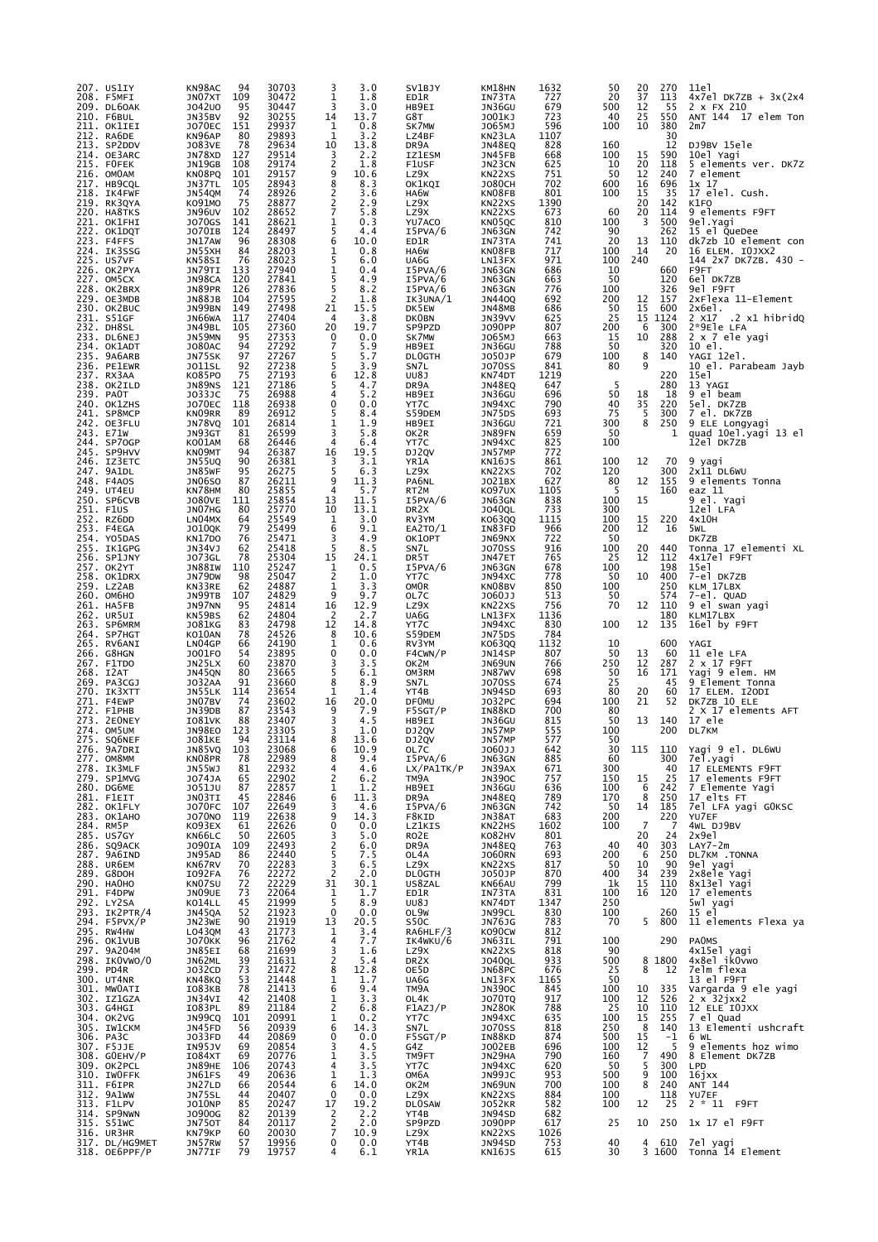| 207. US1IY<br>208. F5MFI        | KN98AC<br>JN07XT        | 94<br>109             | 30703<br>30472 | 3<br>1              | 3.0<br>1.8   | SV1BJY<br>ED1R             | KM18HN<br>IN73TA               | 1632<br>727 | 50<br>20         | 20<br>37                                      | 270<br>113            | 11e1<br>$4x7e1 DK7ZB + 3x(2x4$          |
|---------------------------------|-------------------------|-----------------------|----------------|---------------------|--------------|----------------------------|--------------------------------|-------------|------------------|-----------------------------------------------|-----------------------|-----------------------------------------|
| 209. DL60AK<br>210. F6BUL       | J042U0<br>JN35BV        | 95<br>92              | 30447<br>30255 | 3<br>14             | 3.0<br>13.7  | HB9EI<br>G8T               | JN36GU<br>J001KJ               | 679<br>723  | 500<br>40        | 12<br>25                                      | -55<br>550            | 2 x FX 210<br>ANT 144 17 elem Ton       |
| 211. OK1IEI                     | <b>JO70EC</b>           | 151                   | 29937          | 1                   | 0.8          | SK7MW                      | J065MJ                         | 596         | 100              | 10                                            | 380                   | 2m7                                     |
| 212. RA6DE<br>213. SP2DDV       | KN96AP<br>J083VE        | 80<br>78              | 29893<br>29634 | 1<br>10             | 3.2<br>13.8  | LZ4BF<br>DR9A              | KN23LA<br>JN48EQ               | 1107<br>828 | 160              |                                               | 30<br>12              | DJ9BV 15ele                             |
| 214. OE3ARC<br>215. FOFEK       | JN78XD<br>JN19GB        | 127<br>108            | 29514<br>29174 | 3<br>2              | 2.2<br>1.8   | <b>IZ1ESM</b><br>F1USF     | JN45FB<br>JN23CN               | 668<br>625  | 100<br>10        | 15<br>20                                      | 590<br>118            | 10el Yagi<br>5 elements ver. DK7Z       |
| 216. OMOAM                      | KN08PQ                  | 101                   | 29157          | 9                   | 10.6         | LZ9X                       | KN22XS                         | 751         | 50               | 12                                            | 240                   | 7 element                               |
| 217. HB9CQL<br>218. IK4FWF      | JN37TL<br>JN54QM        | 105<br>74             | 28943<br>28926 | 8<br>2              | 8.3<br>3.6   | OK1KQI<br>HA6W             | <b>JO80CH</b><br>KN08FB        | 702<br>801  | 600<br>100       | 16<br>15                                      | 696<br>35             | $1x$ 17<br>17 elel. Cush.               |
| 219. RK3QYA<br>220. HA8TKS      | K091M0<br><b>JN96UV</b> | 75<br>102             | 28877<br>28652 | 2<br>$\overline{7}$ | 2.9<br>5.8   | LZ9X<br>LZ9X               | KN22XS<br>KN22XS               | 1390<br>673 | 60               | 20<br>20                                      | 142<br>114            | K1FO<br>9 elements F9FT                 |
| 221. OK1FHI                     | <b>JO70GS</b>           | 141                   | 28621          | 1                   | 0.3          | YU7AC0                     | KN05QC                         | 810         | 100              | 3                                             | 500                   | 9el. Yagi                               |
| 222. OK1DQT<br>223. F4FFS       | JO70IB<br>JN17AW        | 124<br>96             | 28497<br>28308 | 5<br>6              | 4.4<br>10.0  | I5PVA/6<br>ED1R            | JN63GN<br>IN73TA               | 742<br>741  | 90<br>20         | 13                                            | 262<br>110            | 15 el QueDee<br>dk7zb 10 element con    |
| 224. IK3SSG<br>225. US7VF       | JN55XH<br>KN58SI        | 84<br>76              | 28203<br>28023 | 1<br>5              | 0.8<br>6.0   | HA6W<br>UA6G               | KN08FB<br>LN13FX               | 717<br>971  | 100<br>100       | 14<br>240                                     | 20                    | 16 ELEM. IOJXX2<br>144 2x7 DK7ZB. 430 - |
| 226. OK2PYA<br>227. OM5CX       | JN79TI<br>JN98CA        | 133<br>120            | 27940<br>27841 | 1<br>5              | 0.4<br>4.9   | I5PVA/6<br>I5PVA/6         | JN63GN                         | 686         | 10<br>50         |                                               | 660<br>120            | F9FT<br>6el DK7ZB                       |
| 228. OK2BRX                     | JN89PR                  | 126                   | 27836          | 5                   | 8.2          | I5PVA/6                    | JN63GN<br>JN63GN               | 663<br>776  | 100              |                                               | 326                   | 9el F9FT                                |
| 229. OE3MDB<br>230. OK2BUC      | <b>JN88JB</b><br>JN99BN | 104<br>149            | 27595<br>27498 | 2<br>21             | 1.8<br>15.5  | IK3UNA/1<br>DK5EW          | <b>JN440Q</b><br><b>JN48MB</b> | 692<br>686  | 200<br>50        | 12<br>15                                      | 157<br>600            | 2xFlexa 11-Element<br>$2x6e1$ .         |
| 231. S51GF                      | JN66WA                  | 117                   | 27404          | 4<br>20             | 3.8<br>19.7  | <b>DKOBN</b>               | JN39VV<br>J090PP               | 625<br>807  | 25<br>200        | 15<br>6                                       | 1124<br>300           | $2$ $x17$ $2$ $x1$ hibridq              |
| 232. DH8SL<br>233. DL6NEJ       | JN49BL<br>JN59MN        | 105<br>95             | 27360<br>27353 | 0                   | 0.0          | SP9PZD<br>SK7MW            | J065MJ                         | 663         | 15               | 10                                            | 288                   | 2*9Ele LFA<br>2 x 7 ele yagi            |
| 234. OK1ADT<br>235. 9A6ARB      | J080AC<br>JN75SK        | 94<br>97              | 27292<br>27267 | 7<br>5              | 5.9<br>5.7   | HB9EI<br><b>DLOGTH</b>     | JN36GU<br>J050JP               | 788<br>679  | 50<br>100        | 8                                             | 320<br>140            | 10 el.<br>YAGI 12el.                    |
| 236. PE1EWR<br>237. RX3AA       | <b>JO11SL</b><br>KO85PO | 92<br>75              | 27238<br>27193 | 5<br>6              | 3.9<br>12.8  | SN7L<br>UU8J               | <b>JO70SS</b><br>KN74DT        | 841<br>1219 | 80               | 9                                             | 220                   | 10 el. Parabeam Jayb<br>15e1            |
| 238. OK2ILD                     | JN89NS                  | 121                   | 27186          | 5                   | 4.7          | DR9A                       | JN48EQ                         | 647         | 5                |                                               | 280                   | 13 YAGI                                 |
| 239. PAOT<br>240. OK1ZHS        | J033JC<br><b>JO70EC</b> | 75<br>118             | 26988<br>26938 | 4<br>0              | 5.2<br>0.0   | HB9EI<br>YT7C              | JN36GU<br>JN94XC               | 696<br>790  | 50<br>40         | 18<br>35                                      | 18<br>220             | 9 el beam<br>5el. DK7ZB                 |
| 241. SP8MCP<br>242. OE3FLU      | KN09RR<br><b>JN78VQ</b> | 89<br>101             | 26912<br>26814 | 5<br>1              | 8.4<br>1.9   | S59DEM<br>HB9EI            | JN75DS<br>JN36GU               | 693<br>721  | 75<br>300        | 5<br>8                                        | 300<br>250            | 7 el. DK7ZB<br>9 ELE Longyagi           |
| 243. E71W                       | JN93GT                  | 81                    | 26599          | 3                   | 5.8          | OK2R                       | JN89FN                         | 659         | 50               |                                               | 1                     | quad 10el.yagi 13 el                    |
| 244. SP70GP<br>245. SP9HVV      | KO01AM<br>KN09MT        | 68<br>94              | 26446<br>26387 | 4<br>16             | 6.4<br>19.5  | YT7C<br>DJ2QV              | JN94XC<br>JN57MP               | 825<br>772  | 100              |                                               |                       | 12el DK7ZB                              |
| 246. IZ3ETC<br>247. 9A1DL       | JN55UQ<br>JN85WF        | 90<br>95              | 26381<br>26275 | 3<br>5              | 3.1<br>6.3   | YR1A<br>LZ9X               | KN16JS<br>KN22XS               | 861<br>702  | 100<br>120       | 12                                            | 70<br>300             | 9 yagi<br>2x11 DL6WU                    |
| 248. F4AOS                      | <b>JN06SO</b>           | 87                    | 26211          | 9                   | 11.3         | PA6NL                      | J021BX                         | 627         | 80               | 12                                            | 155                   | 9 elements Tonna                        |
| 249. UT4EU<br>250. SP6CVB       | KN78HM<br><b>JO80VE</b> | 80<br>111             | 25855<br>25854 | 4<br>13             | 5.7<br>11.5  | RT2M<br>I5PVA/6            | K097UX<br>JN63GN               | 1105<br>838 | 5<br>100         | 15                                            | 160                   | eaz 11<br>9 el. Yagi                    |
| 251. F1US<br>252. RZ6DD         | JNO7HG<br>LN04MX        | 80<br>64              | 25770<br>25549 | 10<br>1             | 13.1<br>3.0  | DR <sub>2</sub> x<br>RV3YM | <b>JO40QL</b><br>KO63QQ        | 733<br>1115 | 300<br>100       | 15                                            | 220                   | 12el LFA<br>4x10H                       |
| 253. F4EGA                      | J010QK                  | 79                    | 25499          | 6                   | 9.1          | EA2TO/1                    | IN83FD                         | 966         | 200              | 12                                            | 16                    | 5wL                                     |
| 254. YO5DAS<br>255. IK1GPG      | KN17DO<br>JN34VJ        | 76<br>62              | 25471<br>25418 | 3<br>5              | 4.9<br>8.5   | OK10PT<br>SN7L             | JN69NX<br><b>JO70SS</b>        | 722<br>916  | 50<br>100        | 20                                            | 440                   | DK7ZB<br>Tonna 17 elementi XL           |
| 256. SP1JNY<br>257. OK2YT       | <b>JO73GL</b><br>JN88IW | 78<br>110             | 25304<br>25247 | 15<br>1             | 24.1<br>0.5  | DR5T<br>I5PVA/6            | JN47ET<br>JN63GN               | 765<br>678  | 25<br>100        | 12                                            | 112<br>198            | 4x17el F9FT<br>15e1                     |
| 258. OK1DRX<br>259. LZ2AB       | JN79DW<br>KN33RE        | 98                    | 25047<br>24887 | 2                   | 1.0<br>3.3   | YT7C<br><b>OMOR</b>        | JN94XC<br>KN08BV               | 778<br>850  | 50<br>100        | 10                                            | 400<br>250            | 7-el DK7ZB                              |
| 260. ОМБНО                      | JN99TB                  | 62<br>107             | 24829          | 1<br>9              | 9.7          | OL7C                       | J060JJ                         | 513         | 50               |                                               | 574                   | KLM 17LBX<br>7-el. QUAD                 |
| 261. HA5FB<br>262. UR5UI        | JN97NN<br>KN59BS        | 95<br>62              | 24814<br>24804 | 16<br>2             | 12.9<br>2.7  | LZ9X<br>UA6G               | KN22XS<br>LN13FX               | 756<br>1136 | 70               | 12                                            | 110<br>180            | 9 el swan yagi<br>KLM17LBX              |
| 263. SP6MRM<br>264. SP7HGT      | J081KG<br>KO10AN        | 83<br>78              | 24798<br>24526 | 12<br>8             | 14.8<br>10.6 | YT7C<br>S59DEM             | JN94XC<br>JN75DS               | 830<br>784  | 100              | 12                                            | 135                   | 16el by F9FT                            |
| 265. RV6ANI                     | LN04GP                  | 66                    | 24190          | 1                   | 0.6          | RV3YM                      | K063QQ                         | 1132        | 10               |                                               | 600                   | YAGI                                    |
| 266. G8HGN<br>267. F1TDO        | J001F0<br>JN25LX        | 54<br>60              | 23895<br>23870 | 0<br>3              | 0.0<br>3.5   | F4CWN/P<br>ок2м            | JN14SP<br>JN69UN               | 807<br>766  | 50<br>250        | 13<br>12                                      | 60<br>287             | 11 ele LFA<br>2 x 17 F9FT               |
| 268. I2AT<br>269. PA3CGJ        | JN45QN<br><b>JO32AA</b> | 80<br>91              | 23665<br>23660 | 5<br>8              | 6.1<br>8.9   | OM3RM<br>SN7L              | JN87WV<br><b>JO70SS</b>        | 698<br>674  | 50<br>25         | 16                                            | 171<br>45             | Yagi 9 elem. HM<br>9 Element Tonna      |
| 270. IK3XTT                     | JN55LK                  | 114                   | 23654          | 1                   | 1.4          | YT4B                       | JN94SD                         | 693         | 80               | 20                                            | 60                    | 17 ELEM. I2ODI                          |
| 271. F4EWP<br>272. F1PHB        | JN07BV<br>JN39DB        | 74<br>87              | 23602<br>23543 | 16<br>9             | 20.0<br>7.9  | <b>DF0MU</b><br>F5SGT/P    | J032PC<br>IN88KD               | 694<br>700  | 100<br>80        | 21                                            | 52                    | DK7ZB 10 ELE<br>2 X 17 elements AFT     |
| 273. 2EONEY<br>274. OM5UM       | I081VK<br>JN98EO        | 88<br>123             | 23407<br>23305 | 3<br>3              | 4.5<br>1.0   | HB9EI<br>DJ2QV             | JN36GU<br>JN57MP               | 815<br>555  | 50<br>100        | 13                                            | 140<br>200            | 17 ele<br>DL7KM                         |
| 275. SQ6NEF                     | JO81KE                  | 94                    | 23114          | 8                   | 13.6         | DJ2QV                      | JN57MP                         | 577         | 50               |                                               | 110                   | Yagi 9 el. DL6WU                        |
| 276. 9A7DRI<br>277. OM8MM       | JN85VQ<br>KN08PR        | 103<br>78             | 23068<br>22989 | 6<br>8              | 10.9<br>9.4  | OL7C<br>I5PVA/6            | J060JJ<br>JN63GN               | 642<br>885  | 30<br>60         | 115                                           | 300                   | 7el.yagi                                |
| 278. IK3MLF<br>279. SP1MVG      | JN55WJ<br>J074JA        | 81<br>65              | 22932<br>22902 | 4<br>$\overline{c}$ | 4.6<br>6.2   | LX/PA1TK/P<br>TM9A         | JN39AX<br><b>JN390C</b>        | 671<br>757  | 300<br>150       | 15                                            | 40<br>25              | 17 ELEMENTS F9FT<br>17 elements F9FT    |
| 280. DG6ME<br>281. F1EIT        | J051JU<br>JN03TI        | 87<br>45              | 22857<br>22846 | 1<br>6              | 1.2<br>11.3  | HB9EI<br>DR9A              | JN36GU<br>JN48EQ               | 636<br>789  | 100<br>170       | 6<br>8                                        | 242<br>250            | 7 Elemente Yagi<br>17 elts FT           |
| 282. OK1FLY                     | <b>JO70FC</b>           | 107                   | 22649          | 3                   | 4.6          | I5PVA/6                    | JN63GN                         | 742         | 50               | 14                                            | 185                   | 7el LFA yagi GOKSC                      |
| 283. ОК1АНО<br>284. RM5P        | J070NO<br>KO93EX        | 119<br>61             | 22638<br>22626 | 9<br>0              | 14.3<br>0.0  | F8KID<br>LZ1KIS            | JN38AT<br>KN22HS               | 683<br>1602 | 200<br>100       | $\overline{7}$                                | 220<br>$\overline{7}$ | YU7EF<br>4WL DJ9BV                      |
| 285. US7GY<br>286. SQ9ACK       | KN66LC<br>J090IA        | 50<br>109             | 22605<br>22493 | 3<br>2<br>5         | 5.0<br>6.0   | RO2E<br>DR9A               | KO82HV<br>JN48EQ               | 801<br>763  | 40               | 20<br>40                                      | 24<br>303             | 2x9e1<br>$LAY7-2m$                      |
| 287. 9A6IND                     | JN95AD                  | 86                    | 22440          |                     | 7.5          | OL4A                       | <b>JO60RN</b>                  | 693         | 200              | 6                                             | 250                   | DL7KM .TONNA                            |
| 288. UR6EM<br>289. G8DOH        | KN67RV<br>I092FA        | 70<br>76              | 22283<br>22272 | $\frac{3}{2}$       | 6.5<br>2.0   | LZ9X<br><b>DLOGTH</b>      | KN22XS<br>J050JP               | 817<br>870  | 50<br>400        | 10<br>$\begin{array}{c} 34 \\ 15 \end{array}$ | $\frac{90}{239}$      | 9el yagi<br>2x8ele Yagi                 |
| 290. НАОНО<br>291. F4DPW        | KN07SU<br>JN09UE        | 72<br>$7\overline{3}$ | 22229<br>22064 | 31                  | 30.1<br>1.7  | US8ZAL<br>ED1R             | KN66AU<br>IN73TA               | 799<br>831  | 1k<br>100        | 16                                            | 110<br>120            | 8x13el Yagi<br>17 elements              |
| 292. LY2SA                      | KO14LL                  | 45                    | 21999          | $\frac{1}{5}$       | 8.9          | UU8J                       | KN74DT                         | 1347        | 250              |                                               |                       | 5wl yagi                                |
| 293. IK2PTR/4<br>294. F5PVX/P   | JN45QA<br>JN23WE        | 52<br>90              | 21923<br>21919 | $\mathbf 0$<br>13   | 0.0<br>20.5  | OL9W<br>S50C               | JN99CL<br><b>JN76JG</b>        | 830<br>783  | 100<br>70        | 5                                             | 260<br>800            | 15 el<br>11 elements Flexa ya           |
| 295. RW4HW<br>296. OK1VUB       | LO43QM<br><b>JO70KK</b> | 43<br>96              | 21773<br>21762 | 1<br>4              | 3.4<br>7.7   | RA6HLF/3<br>IK4WKU/6       | KO90CW<br>JN63IL               | 812<br>791  | 100              |                                               | 290                   | <b>PAOMS</b>                            |
| 297. 9A204M<br>298. IKOVWO/0    | JN85EI                  | 68                    | 21699          | $\frac{3}{2}$       | 1.6          | LZ9X                       | KN22XS                         | 818         | 90               |                                               |                       | 4x15el yagi<br>4x8el ikOvwo             |
| 299. PD4R                       | JN62ML<br>J032CD        | 39<br>73              | 21631<br>21472 | 8                   | 5.4<br>12.8  | DR <sub>2</sub> x<br>OE5D  | <b>JO40QL</b><br>JN68PC        | 933<br>676  | 500<br>25        | 8                                             | 8 1800<br>12          | 7elm flexa                              |
| 300. UT4NR<br>301. MWOATI       | KN48KQ<br>IO83KB        | $\frac{53}{78}$       | 21448<br>21413 | $\frac{1}{6}$       | 1.7<br>9.4   | UA6G<br>TM9A               | LN13FX<br><b>JN390C</b>        | 1165<br>845 | 50<br>100        | 10                                            | 335                   | 13 el F9FT<br>Vargarda 9 ele yagi       |
| 302. IZ1GZA                     | JN34VI                  | 42<br>89              | 21408          | 1<br>$\overline{c}$ | 3.3          | OL4K<br>F1AZJ/P            | <b>JO70TQ</b>                  | 917         | 100              | 12<br>10                                      | 526                   | $2 \times 32$ jxx2                      |
| 303. G4HGI<br>304. OK2VG        | IO83PL<br>JN99CQ        | 101                   | 21184<br>20991 | 1                   | 6.8<br>0.2   | YT7C                       | <b>JN280K</b><br>JN94XC        | 788<br>635  | $\frac{25}{100}$ | 15                                            | 110<br>255            | 12 ELE IOJXX<br>7 el Quad               |
| 305. IW1CKM<br>306. PA3C        | JN45FD<br>J033FD        | 56<br>44              | 20939<br>20869 | 6<br>0              | 14.3<br>0.0  | SN7L<br>F5SGT/P            | <b>JO70SS</b><br>IN88KD        | 818<br>874  | 250<br>500       | 8<br>15                                       | 140                   | 13 Elementi ushcraft<br>6 WL            |
| 307. F5JJE<br>308. GOEHV/P      | IN95JV<br>I084XT        | 69<br>69              | 20854<br>20776 | 3<br>1              | 4.5<br>3.5   | G4Z<br>TM9FT               | J002EB<br>JN29HA               | 696<br>790  | 100<br>160       | 12<br>$\overline{7}$                          | $\frac{-1}{5}$<br>490 | 9 elements hoz wimo<br>8 Element DK7ZB  |
| 309. ОК2РСL<br>310. IWOFFK      | JN89HE                  | 106                   | 20743          | 4                   | 3.5          | YT7C                       | JN94XC                         | 620<br>953  | 50               | 5                                             | 300                   | LPD                                     |
| 311. F6IPR                      | JN61FS<br>JN27LD        | 49<br>66              | 20636<br>20544 | 1<br>6              | 1.3<br>14.0  | OM6A<br>OK2M               | JN99JC<br>JN69UN               | 700         | 500<br>100       | 9<br>8                                        | 100<br>240            | 16jxx<br>ANT 144                        |
| 312. 9A1WW<br>313. F1LPV        | JN75SL<br><b>JO10NP</b> | 44<br>85              | 20407<br>20247 | $\mathbf 0$<br>17   | 0.0<br>19.2  | LZ9X<br><b>DLOSAW</b>      | KN22XS<br><b>JO52KR</b>        | 884<br>582  | 100<br>100       | 12                                            | 118<br>25             | YU7EF<br>2 * 11 F9FT                    |
| 314. SP9NWN                     | J0900G                  | 82<br>84              | 20139          | 2                   | 2.2          | YT4B                       | JN94SD                         | 682         |                  |                                               |                       |                                         |
| 315. S51WC<br>316. UR3HR        | <b>JN750T</b><br>KN79KP | 60                    | 20117<br>20030 | $\frac{2}{7}$       | 2.0<br>10.9  | SP9PZD<br>LZ9X             | J090PP<br>KN22XS               | 617<br>1026 | 25               | 10                                            | 250                   | 1x 17 el F9FT                           |
| 317. DL/HG9MET<br>318. OE6PPF/P | JN57RW<br>JN77IF        | 57<br>79              | 19956<br>19757 | 0<br>4              | 0.0<br>6.1   | YT4B<br>YR1A               | JN94SD<br><b>KN16JS</b>        | 753<br>615  | 40<br>30         | 4                                             | 610<br>3 1600         | 7el yagi<br>Tonna 14 Element            |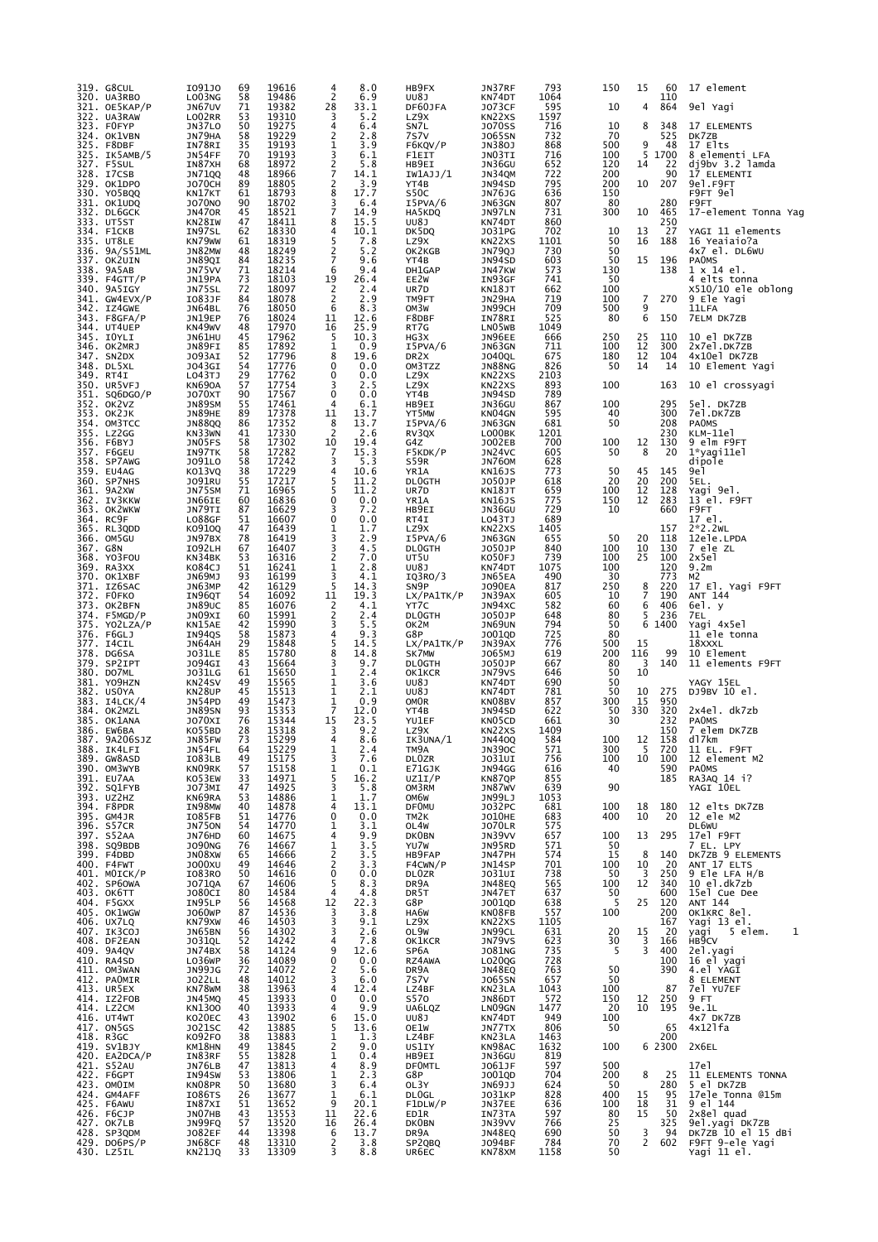|          | 319. G8CUL<br>320. UA3RBO    | 1091J0<br>LO03NG        | 69<br>58 | 19616<br>19486 | 4<br>2                           | 8.0<br>6.9   | HB9FX<br>UU8J               | JN37RF<br>KN74DT                           | 793<br>1064 | 150        | 15                  | 60<br>110  | 17 element                                 |
|----------|------------------------------|-------------------------|----------|----------------|----------------------------------|--------------|-----------------------------|--------------------------------------------|-------------|------------|---------------------|------------|--------------------------------------------|
|          | 321. OE5KAP/P<br>322. UA3RAW | JN67UV                  | 71       | 19382<br>19310 | 28<br>3                          | 33.1         | DF60JFA                     | <b>JO73CF</b>                              | 595<br>1597 | 10         | 4                   | 864        | 9el Yagi                                   |
|          | 323. FOFYP                   | LO02RR<br>JN37LO        | 53<br>50 | 19275          | 4                                | 5.2<br>6.4   | LZ9X<br>SN7L                | KN22XS<br><b>JO70SS</b>                    | 716         | 10         | 8                   | 348        | 17 ELEMENTS                                |
|          | 324. OK1VBN<br>325. F8DBF    | JN79HA<br>IN78RI        | 58<br>35 | 19229<br>19193 | 2<br>$\mathbf{1}$                | 2.8<br>3.9   | 7s7v<br>F6KQV/P             | <b>JO65SN</b><br>JN380J                    | 732<br>868  | 70<br>500  | 9                   | 525<br>48  | DK7ZB<br>17 Elts                           |
|          | 325. IK5AMB/5                | JN54FF                  | 70       | 19193          | 3                                | 6.1          | F1EIT                       | JN03TI                                     | 716         | 100        | 5                   | 1700       | 8 elementi LFA                             |
|          | 327. F5SUL<br>328. I7CSB     | IN87XH<br>JN71QQ        | 68<br>48 | 18972<br>18966 | $\frac{2}{7}$                    | 5.8<br>14.1  | HB9EI<br>IW1AJJ/1           | JN36GU<br>JN34QM                           | 652<br>722  | 120<br>200 | 14                  | 22<br>90   | dj9bv 3.2 lamda<br>17 ELEMENTI             |
|          | 329. OK1DPO<br>330. YO5BQQ   | <b>JO70CH</b><br>KN17KT | 89<br>61 | 18805<br>18793 | 2<br>8                           | 3.9<br>17.7  | YT4B<br>S50C                | JN94SD<br><b>JN76JG</b>                    | 795<br>636  | 200<br>150 | 10                  | 207        | 9e1.F9FT<br>F9FT 9el                       |
|          | 331. OK1UDQ                  | <b>JO70NO</b>           | 90       | 18702          | 3                                | 6.4          | I5PVA/6                     | JN63GN                                     | 807         | 80         |                     | 280        | F9FT                                       |
|          | 332. DL6GCK<br>333. UT5ST    | <b>JN470R</b><br>KN28IW | 45<br>47 | 18521<br>18411 | 7<br>8                           | 14.9<br>15.5 | HA5KDQ<br>UU8J              | JN97LN<br>KN74DT                           | 731<br>860  | 300        | 10                  | 465<br>250 | 17-element Tonna Yag                       |
|          | 334. F1CKB                   | IN97SL                  | 62       | 18330          | 4                                | 10.1         | DK5DQ                       | J031PG                                     | 702         | 10         | 13                  | 27         | YAGI 11 elements                           |
|          | 335. UT8LE<br>336. 9A/S51ML  | KN79WW<br>JN82MW        | 61<br>48 | 18319<br>18249 | 5<br>$\frac{2}{7}$               | 7.8<br>5.2   | LZ9X<br>OK2KGB              | KN22XS<br>JN79QJ                           | 1101<br>730 | 50<br>50   | 16                  | 188        | 16 Yeaiaio?a<br>4x7 el. DL6WU              |
|          | 337. OK2UIN<br>338. 9A5AB    | JN89QI<br>JN75VV        | 84<br>71 | 18235<br>18214 | 6                                | 9.6<br>9.4   | YT4B<br>DH1GAP              | JN94SD<br>JN47KW                           | 603<br>573  | 50<br>130  | 15                  | 196<br>138 | <b>PAOMS</b><br>1 x 14 el.                 |
|          | 339. F4GTT/P                 | JN19PA                  | 73       | 18103          | 19                               | 26.4         | EE2W                        | IN93GF                                     | 741         | 50         |                     |            | 4 elts tonna                               |
|          | 340. 9A5IGY<br>341. GW4EVX/P | JN75SL<br>I083JF        | 72<br>84 | 18097<br>18078 | $\overline{2}$<br>$\overline{2}$ | 2.4<br>2.9   | UR7D<br>TM9FT               | KN18JT<br>JN29HA                           | 662<br>719  | 100<br>100 | 7                   | 270        | $x510/10$ ele oblong<br>9 Ele Yagi         |
|          | 342. IZ4GWE                  | JN64BL                  | 76<br>76 | 18050          | 6                                | 8.3          | OM3W                        | JN99CH                                     | 709<br>525  | 500<br>80  | 9<br>6              |            | 11LFA                                      |
|          | 343. F8GFA/P<br>344. UT4UEP  | JN19EP<br>KN49WV        | 48       | 18024<br>17970 | 11<br>16                         | 12.6<br>25.9 | F8DBF<br>RT7G               | IN78RI<br>LN05WB                           | 1049        |            |                     | 150        | 7ELM DK7ZB                                 |
|          | 345. IOYLI<br>346. OK2MRJ    | JN61HU<br>JN89FI        | 45<br>85 | 17962<br>17892 | 5<br>1                           | 10.3<br>0.9  | HG3X<br>I5PVA/6             | JN96EE<br>JN63GN                           | 666<br>711  | 250<br>100 | 25<br>12            | 110<br>300 | 10 el DK7ZB<br>2x7el.DK7ZB                 |
|          | 347. SN2DX                   | J093AI                  | 52       | 17796          | 8                                | 19.6         | DR <sub>2</sub> x           | <b>JO40QL</b>                              | 675         | 180        | 12                  | 104        | 4x10el DK7ZB                               |
|          | 348. DL5XL<br>349. RT4I      | J043GI<br>LO43TJ        | 54<br>29 | 17776<br>17762 | 0<br>0                           | 0.0<br>0.0   | OM3TZZ<br>LZ9X              | <b>JN88NG</b><br>KN22XS                    | 826<br>2103 | 50         | 14                  | 14         | 10 Element Yagi                            |
|          | 350. UR5VFJ                  | <b>KN690A</b>           | 57       | 17754          | 3                                | 2.5          | LZ9X                        | KN22XS                                     | 893         | 100        |                     | 163        | 10 el crossyagi                            |
|          | 351. SO6DGO/P<br>352. OK2VZ  | <b>JO70XT</b><br>JN89SM | 90<br>55 | 17567<br>17461 | 0<br>4                           | 0.0<br>6.1   | YT4B<br>HB9EI               | JN94SD<br>JN36GU                           | 789<br>867  | 100        |                     | 295        | 5el. DK7ZB                                 |
| 353.     | OK2JK<br>354. OM3TCC         | JN89HE<br><b>JN88QQ</b> | 89<br>86 | 17378<br>17352 | 11<br>8                          | 13.7<br>13.7 | YT5MW<br>I5PVA/6            | KN04GN<br>JN63GN                           | 595<br>681  | 40<br>50   |                     | 300<br>208 | 7el.DK7ZB<br><b>PAOMS</b>                  |
|          | 355. LZ2GG                   | KN33WN                  | 41       | 17330          | $\overline{2}$                   | 2.6          | RV3QX                       | LO00BK                                     | 1201        |            |                     | 230        | KLM-11el                                   |
|          | 356. F6BYJ<br>357. F6GEU     | JN05FS<br>IN97TK        | 58<br>58 | 17302<br>17282 | 10<br>7                          | 19.4<br>15.3 | G4Z<br>F5KDK/P              | J002EB<br>JN24VC                           | 700<br>605  | 100<br>50  | 12<br>8             | 130<br>20  | 9 elm F9FT<br>1*yagi11el                   |
|          | 358. SP7AWG                  | J091L0                  | 58       | 17242          | 3                                | 5.3          | S59R                        | <b>JN760M</b>                              | 628         |            |                     |            | dipole                                     |
|          | 359. EU4AG<br>360. SP7NHS    | KO13VQ<br>J091RU        | 38<br>55 | 17229<br>17217 | 4<br>5                           | 10.6<br>11.2 | YR1A<br><b>DLOGTH</b>       | <b>KN16JS</b><br>J050JP                    | 773<br>618  | 50<br>20   | 45<br>20            | 145<br>200 | 9e1<br>5EL.                                |
|          | 361. 9A2XW                   | JN75SM<br>JN66IE        | 71       | 16965          | 5<br>0                           | 11.2<br>0.0  | UR7D                        | KN18JT                                     | 659         | 100<br>150 | 12<br>12            | 128<br>283 | Yagi 9el.                                  |
|          | 362. IV3KKW<br>363. OK2WKW   | JN79TI                  | 60<br>87 | 16836<br>16629 | 3                                | 7.2          | YR1A<br>HB9EI               | KN16JS<br>JN36GU                           | 775<br>729  | 10         |                     | 660        | 13 el. F9FT<br>F9FT                        |
| 365.     | 364. RC9F<br>RL3QDD          | LO88GF<br>K0910Q        | 51<br>47 | 16607<br>16439 | 0<br>1                           | 0.0<br>1.7   | RT4I<br>LZ9X                | LO43TJ<br>KN22XS                           | 689<br>1405 |            |                     | 157        | 17 el.<br>$2*2.2WL$                        |
|          | 366. OM5GU                   | JN97BX                  | 78       | 16419          | 3                                | 2.9          | I5PVA/6                     | JN63GN                                     | 655         | 50         | 20                  | 118        | 12ele.LPDA                                 |
| 367. G8N | 368. YO3FOU                  | I092LH<br>KN34BK        | 67<br>53 | 16407<br>16316 | 3<br>2                           | 4.5<br>7.0   | <b>DLOGTH</b><br>UT5U       | J050JP<br>KO50FJ                           | 840<br>739  | 100<br>100 | 10<br>25            | 130<br>100 | 7 ele ZL<br>2x5e1                          |
|          | 369. RA3XX<br>370. OK1XBF    | K084CJ                  | 51<br>93 | 16241<br>16199 | 1<br>3                           | 2.8<br>4.1   | UU8J                        | KN74DT                                     | 1075<br>490 | 100<br>30  |                     | 120<br>773 | 9.2 <sub>m</sub><br>M <sub>2</sub>         |
|          | 371. IZ6SAC                  | JN69MJ<br>JN63MP        | 42       | 16129          | 5                                | 14.3         | IQ3RO/3<br>SN <sub>9P</sub> | JN65EA<br><b>JO90EA</b>                    | 817         | 250        | 8                   | 220        | 17 El. Yagi F9FT                           |
|          | 372. FOFKO<br>373. OK2BFN    | IN96QT<br>JN89UC        | 54<br>85 | 16092<br>16076 | 11<br>2                          | 19.3<br>4.1  | LX/PA1TK/P<br>YT7C          | JN39AX<br>JN94XC                           | 605<br>582  | 10<br>60   | $\overline{7}$<br>6 | 190<br>406 | ANT 144<br>6el. y                          |
|          | 374. F5MGD/P                 | JN09XI                  | 60       | 15991          | 2                                | 2.4          | <b>DLOGTH</b>               | J050JP                                     | 648         | 80         | 5                   | 236        | 7EL                                        |
|          | 375. YO2LZA/P<br>376. F6GLJ  | KN15AE<br>IN94QS        | 42<br>58 | 15990<br>15873 | 3<br>4                           | 5.5<br>9.3   | OK2M<br>G8P                 | JN69UN<br>J001QD                           | 794<br>725  | 50<br>80   | 6                   | 1400       | Yagi 4x5el<br>11 ele tonna                 |
|          | 377. I4CIL<br>378. DG6SA     | JN64AH                  | 29<br>85 | 15848<br>15780 | 5<br>8                           | 14.5<br>14.8 | LX/PA1TK/P                  | JN39AX                                     | 776<br>619  | 500<br>200 | 15<br>116           | 99         | 18XXXL<br>10 Element                       |
|          | 379. SP2IPT                  | JO31LE<br>J094GI        | 43       | 15664          | 3                                | 9.7          | SK7MW<br><b>DLOGTH</b>      | J065MJ<br>J050JP                           | 667         | 80         | 3                   | 140        | 11 elements F9FT                           |
|          | 380. DO7ML<br>381. YO9HZN    | J031LG<br>KN24SV        | 61<br>49 | 15650<br>15565 | 1<br>1                           | 2.4<br>3.6   | OK1KCR<br>UU8J              | JN79VS<br>KN74DT                           | 646<br>690  | 50<br>50   | 10                  |            | YAGY 15EL                                  |
|          | 382. USOYA                   | KN28UP                  | 45       | 15513          | 1                                | 2.1          | UU8J                        | KN74DT                                     | 781         | 50         | 10                  | 275        | DJ9BV 10 el.                               |
|          | 383. I4LCK/4<br>384. OK2MZL  | JN54PD<br>JN89SN        | 49<br>93 | 15473<br>15353 | 1<br>$\overline{7}$              | 0.9<br>12.0  | <b>OMOR</b><br>YT4B         | KN08BV<br>JN94SD                           | 857<br>622  | 300<br>50  | 15<br>330           | 950<br>320 | 2x4el. dk7zb                               |
|          | 385. OK1ANA<br>386. EW6BA    | J070XI<br>KO55BD        | 76<br>28 | 15344<br>15318 | 15<br>3                          | 23.5<br>9.2  | YU1EF<br>LZ9X               | KN05CD<br>KN <sub>2</sub> 2 <sub>X</sub> S | 661<br>1409 | 30         |                     | 232<br>150 | <b>PAOMS</b><br>7 elem DK7ZB               |
|          | 387. 9A206SJZ                | JN85FW                  | 73       | 15299          | 4                                | 8.6          | IK3UNA/1                    | <b>JN440Q</b>                              | 584         | 100        | 12                  | 158        | d17km                                      |
|          | 388. IK4LFI<br>389. GW8ASD   | JN54FL<br>IO83LB        | 64<br>49 | 15229<br>15175 | 1<br>3                           | 2.4<br>7.6   | TM9A<br>DL0ZR               | <b>JN390C</b><br>JO31UI                    | 571<br>756  | 300<br>100 | 5<br>10             | 720<br>100 | 11 EL. F9FT<br>12 element M2               |
|          | 390. OM3WYB                  | KN09RK                  | 57<br>33 | 15158<br>14971 | 1<br>5                           | 0.1<br>16.2  | E71GJK                      | JN94GG<br>KN87QP                           | 616<br>855  | 40         |                     | 590        | <b>PAOMS</b>                               |
|          | 391. EU7AA<br>392. SQ1FYB    | KO53EW<br>JO73MI        | 47       | 14925          | 3                                | 5.8          | UZ1I/P<br>OM3RM             | JN87WV                                     | 639         | 90         |                     | 185        | RA3AQ 14 i?<br>YAGI 10EL                   |
|          | 393. UZ2HZ<br>394. F8PDR     | KN69RA<br>IN98MW        | 53<br>40 | 14886<br>14878 | $\mathbf 1$<br>4                 | 1.7<br>13.1  | OM6W<br><b>DF0MU</b>        | JN99LJ<br>J032PC                           | 1053<br>681 | 100        | 18                  | 180        | 12 elts DK7ZB                              |
|          | 395. GM4JR                   | IO85FB                  | 51       | 14776          | 0                                | 0.0          | TM <sub>2</sub> K           | <b>JO10HE</b>                              | 683         | 400        | 10                  | 20         | 12 ele M2                                  |
|          | 396. S57CR<br>397. S52AA     | <b>JN750N</b><br>JN76HD | 54<br>60 | 14770<br>14675 | 1<br>4                           | 3.1<br>9.9   | OL4W<br><b>DKOBN</b>        | <b>JO70LR</b><br>JN39VV                    | 575<br>657  | 100        | 13                  | 295        | DL6WU<br>17el F9FT                         |
|          | 398. SQ9BDB<br>399. F4DBD    | <b>JO90NG</b><br>JN08XW | 76<br>65 | 14667<br>14666 | 1<br>$\overline{\mathbf{c}}$     | 3.5<br>3.5   | YU7W<br>HB9FAP              | JN95RD<br>JN47PH                           | 571<br>574  | 50<br>15   | 8                   | 140        | 7 EL. LPY<br>DK7ZB 9 ELEMENTS              |
|          | 400. F4FWT                   | J000XU                  | 49       | 14646          | $\frac{2}{0}$                    | 3.3          | F4CWN/P                     | JN14SP                                     | 701         | 100        | 10                  | 20         | ANT 17 ELTS                                |
|          | 401. МОІСК/Р<br>402. SP60WA  | I083RO<br>J071QA        | 50<br>67 | 14616<br>14606 | 5                                | 0.0<br>8.3   | <b>DLOZR</b><br>DR9A        | J031UI<br><b>JN48EQ</b>                    | 738<br>565  | 50<br>100  | 3<br>12             | 250<br>340 | 9 Ele LFA H/B<br>10 el.dk7zb               |
|          | 403. ОК6ТТ                   | J080CI                  | 80       | 14584          | 4                                | 4.8          | DR5T                        | JN47ET                                     | 637         | 50         |                     | 600        | 15el Cue Dee                               |
|          | 404. F5GXX<br>405. OK1WGW    | IN95LP<br>J060WP        | 56<br>87 | 14568<br>14536 | 12<br>3                          | 22.3<br>3.8  | G8P<br>HA6W                 | J001QD<br>KN08FB                           | 638<br>557  | 5<br>100   | 25                  | 120<br>200 | ANT 144<br>OK1KRC 8el.                     |
|          | 406. UX7LQ<br>407. IK3COJ    | KN79XW<br>JN65BN        | 46<br>56 | 14503<br>14302 | 3<br>3                           | 9.1<br>2.6   | LZ9X<br>OL9W                | KN22XS<br>JN99CL                           | 1105<br>631 | 20         | 15                  | 167<br>20  | Yagi 13 el.                                |
|          | 408. DF2EAN                  | J031QL                  | 52       | 14242          | 4                                | 7.8          | OK1KCR                      | JN79VS                                     | 623         | 30         | 3                   | 166        | yagi<br>5 elem.<br>1<br>HB <sub>9</sub> CV |
|          | 409. 9A4QV<br>410. RA4SD     | JN74BX<br>LO36WP        | 58<br>36 | 14124<br>14089 | 9<br>0                           | 12.6<br>0.0  | SP6A<br>RZ4AWA              | <b>JO81NG</b><br>L020QG                    | 735<br>728  | -5         | $\overline{3}$      | 400<br>100 | 2el.yagi<br>16 el yagi                     |
|          | 411. OM3WAN                  | <b>JN99JG</b>           | 72       | 14072          | 2                                | 5.6          | DR9A                        | JN48EQ                                     | 763         | 50         |                     | 390        | 4.el YAGI                                  |
|          | 412. PAOMIR<br>413. UR5EX    | J022LL<br>KN78WM        | 48<br>38 | 14012<br>13963 | 3<br>4                           | 6.0<br>12.4  | 7s7v<br>LZ4BF               | <b>JO65SN</b><br>KN23LA                    | 657<br>1043 | 50<br>100  |                     | 87         | 8 ELEMENT<br>7el YU7EF                     |
|          | 414. IZ2FOB                  | JN45MQ                  | 45       | 13933          | 0                                | 0.0          | <b>S570</b>                 | JN86DT                                     | 572         | 150        | 12                  | 250        | 9 FT                                       |
|          | 414. LZ2CM<br>416. UT4WT     | KN1300<br>KO20EC        | 40<br>43 | 13933<br>13902 | 4<br>6                           | 9.9<br>15.0  | UA6LQZ<br>UU8J              | LN09GN<br>KN74DT                           | 1477<br>949 | 20<br>100  | 10                  | 195        | 9e.1L<br>4x7 DK7ZB                         |
|          | 417. ON5GS<br>418. R3GC      | J021SC<br>K092F0        | 42<br>38 | 13885<br>13883 | 5                                | 13.6<br>1.3  | OE1W<br>LZ4BF               | JN77TX<br>KN23LA                           | 806<br>1463 | 50         |                     | 65<br>200  | $4x12$ ] fa                                |
|          | 419. SV1BJY                  | KM18HN                  | 49       | 13845          | $\frac{1}{2}$                    | 9.0          | US1IY                       | KN98AC                                     | 1632        | 100        |                     | 6 2300     | 2X6EL                                      |
|          | 420. EA2DCA/P<br>421. S52AU  | IN83RF<br>JN76LB        | 55<br>47 | 13828<br>13813 | $\mathbf{1}$<br>4                | 0.4<br>8.9   | HB9EI<br><b>DFOMTL</b>      | JN36GU<br>J061JF                           | 819<br>597  | 500        |                     |            | 17e1                                       |
|          | 422. F6GPT<br>423. OMOIM     | IN94SW<br>KN08PR        | 53<br>50 | 13806<br>13680 | 1<br>3                           | 2.3<br>6.4   | G8P<br>OL3Y                 | J001QD<br>JN69JJ                           | 704<br>624  | 200<br>50  | 8                   | 25<br>280  | 11 ELEMENTS TONNA<br>5 el DK7ZB            |
|          | 424. GM4AFF                  | I086TS                  | 26       | 13677          | 1                                | 6.1          | <b>DLOGL</b>                | J031KP                                     | 828         | 400        | 15                  | 95         | 17ele Tonna @15m                           |
|          | 425. F6AWU<br>426. F6CJP     | IN87XI<br>JNO7HB        | 51<br>43 | 13652<br>13553 | 9<br>11                          | 20.1<br>22.6 | F1DLW/P<br>ED1R             | JN37EE<br>IN73TA                           | 636<br>597  | 100<br>80  | 18<br>15            | 31<br>50   | 9 el 144<br>2x8el quad                     |
|          | 427. OK7LB                   | JN99FQ                  | 57       | 13520          | 16                               | 26.4         | <b>DKOBN</b>                | JN39VV                                     | 766         | 25         |                     | 325        | 9el.yagi DK7ZB<br>DK7ZB 10_el 15_dBi       |
|          | 428. SP3QDM<br>429. DO6PS/P  | J082EF<br>JN68CF        | 44<br>48 | 13398<br>13310 | 6<br>2                           | 13.7<br>3.8  | DR9A<br>SP2QBQ              | <b>JN48EQ</b><br>J094BF                    | 690<br>784  | 50<br>70   | 3<br>$\overline{2}$ | 94<br>602  | F9FT 9-ele Yagi                            |
|          | 430. LZ5IL                   | KN21JQ                  | 33       | 13309          | 3                                | 8.8          | UR6EC                       | KN78XM                                     | 1158        | 50         |                     |            | Yagi 11 el.                                |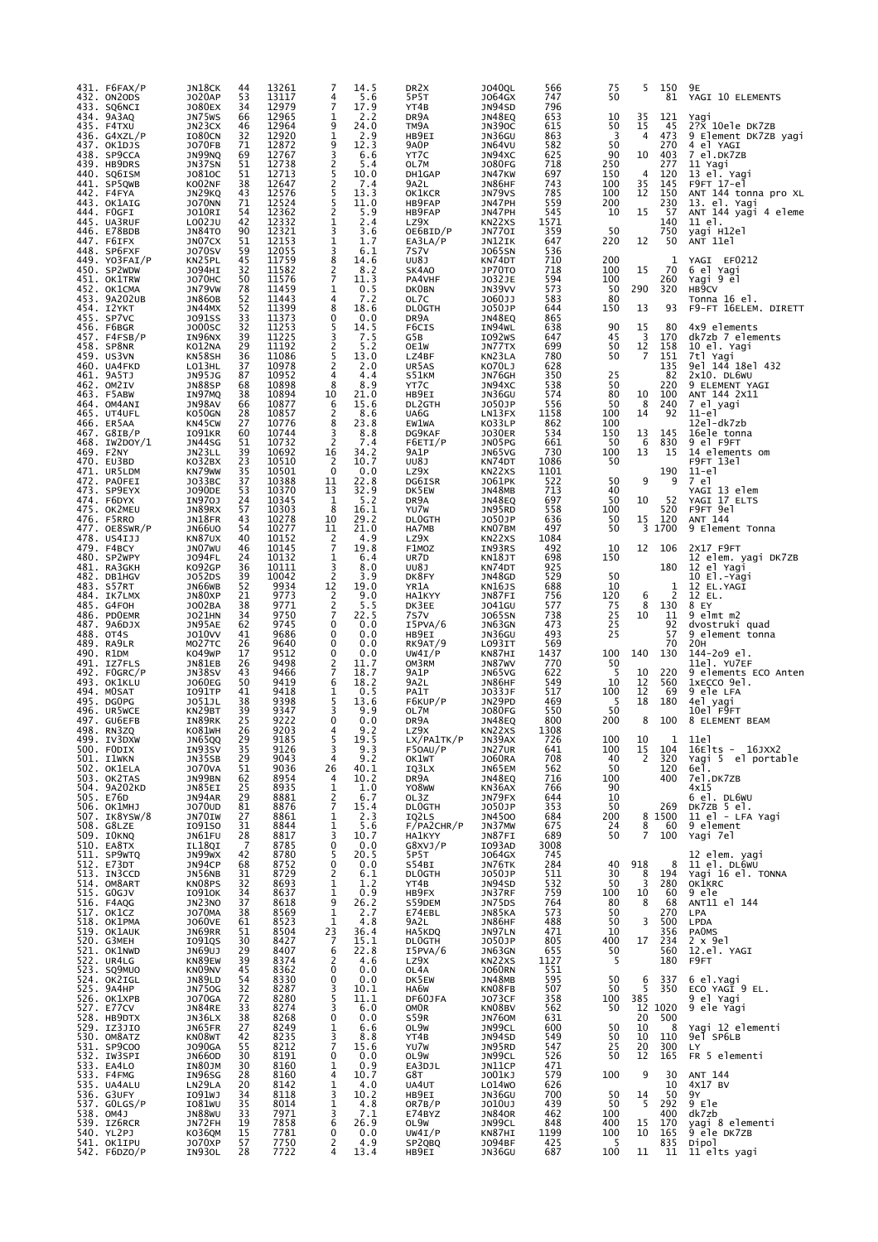| 431. F6FAX/P<br>432. ON2ODS             | JN18CK<br>J020AP               | 44<br>53                                | 13261<br>13117       | 4                                           | 14.5<br>5.6          | DR <sub>2</sub> X<br>5P5T | J040QL<br>J064GX             | 566<br>747  | 75<br>50       | 5              | 150<br>81    | 9Е<br>YAGI 10 ELEMENTS               |
|-----------------------------------------|--------------------------------|-----------------------------------------|----------------------|---------------------------------------------|----------------------|---------------------------|------------------------------|-------------|----------------|----------------|--------------|--------------------------------------|
| 433. SQ6NCI<br>434. 9A3AQ<br>435. F4TXU | <b>JO80EX</b><br>JN75WS        | 34<br>66                                | 12979<br>12965       | 7<br>1<br>9                                 | 17.9<br>2.2          | YT4B<br>DR9A              | JN94SD<br>JN48EQ             | 796<br>653  | 10             | 35<br>15       | 121          | Yaqi<br>2?X 10ele DK7ZB              |
| 436. $G4XZL/P$                          | JN23CX<br>I080CN               | 46<br>32                                | 12964<br>12920       | 1<br>9                                      | 24.0<br>2.9          | TM9A<br>HB9EI             | <b>JN390C</b><br>JN36GU      | 615<br>863  | 50<br>3        | 4              | 45<br>473    | 9 Element DK7ZB yagi                 |
| 437. OK1DJS<br>438. SP9CCA              | <b>JO70FB</b><br>JN99NQ        | 71<br>69                                | 12872<br>12767       | 3                                           | 12.3<br>6.6          | 9A <sub>0</sub> P<br>YT7C | JN64VU<br>JN94XC             | 582<br>625  | 50<br>90       | 10             | 270<br>403   | 4 el YAGI<br>7 el.DK7ZB              |
| 439. HB9DRS<br>440. SQ6ISM              | JN37SN<br>J0810C               | 51<br>51                                | 12738<br>12713       | $\frac{2}{5}$                               | 5.4<br>10.0          | OL7M<br>DH1GAP            | <b>JO80FG</b><br>JN47KW      | 718<br>697  | 250<br>150     | $\overline{4}$ | 277<br>120   | 11 Yagi<br>13 el. Yagi               |
| 441. SP5QWB<br>442. F4FYA               | KO02NF<br>JN29KQ               | 38<br>43                                | 12647<br>12576       | $\frac{2}{5}$                               | 7.4<br>13.3          | 9A2L<br>OK1KCR            | JN86HF<br>JN79VS             | 743<br>785  | 100<br>100     | 35<br>12       | 145<br>150   | F9FT 17-el<br>ANT 144 tonna pro XL   |
| 443. OK1AIG<br>444. FOGFI               | <b>JO70NN</b><br>J010RI        | 71<br>54                                | 12524<br>12362       | 5<br>$\overline{c}$                         | 11.0<br>5.9          | HB9FAP<br>HB9FAP          | JN47PH<br>JN47PH             | 559<br>545  | 200<br>10      | 15             | 230<br>- 57  | 13. el. Yagi<br>ANT 144 yagi 4 eleme |
| 445. UA3RUF<br>446. E78BDB              | L002JU<br>JN84TO               | 42<br>90                                | 12332<br>12321       | 1<br>3                                      | 2.4<br>3.6           | LZ9X<br>OE6BID/P          | KN22XS<br>JN770I             | 1571<br>359 | 50             |                | 140<br>750   | 11 el.<br>yagi H12el                 |
| 447. F6IFX                              | JN07CX                         | 51                                      | 12153<br>12055       | 1<br>3                                      | 1.7                  | EA3LA/P                   | JN12IK                       | 647         | 220            | 12             | 50           | ANT 11el                             |
| 448. SP6FXF<br>449. YO3FAI/P            | <b>J070SV</b><br>KN25PL        | 59<br>45                                | 11759                | 8                                           | 6.1<br>14.6          | 7s7v<br>UU8J              | <b>JO65SN</b><br>KN74DT      | 536<br>710  | 200            |                | 1            | YAGI EF0212                          |
| 450. SP2WDW<br>451. OK1TRW              | J094HI<br><b>JO70HC</b>        | 32<br>50                                | 11582<br>11576       | $\frac{2}{7}$                               | 8.2<br>11.3          | SK4A0<br>PA4VHF           | JP70TO<br>J032JE             | 718<br>594  | 100<br>100     | 15             | 70<br>260    | 6 el Yagi<br>Yagi 9 el               |
| 452. OK1CMA<br>453. 9A202UB             | JN79VW<br><b>JN860B</b>        | 78<br>52                                | 11459<br>11443       | 1<br>4                                      | 0.5<br>7.2           | <b>DKOBN</b><br>OL7C      | JN39VV<br>J060JJ             | 573<br>583  | 50<br>80       | 290            | 320          | HB <sub>9</sub> CV<br>Tonna 16 el.   |
| 454. I2YKT<br>455. SP7VC                | JN44MX<br>J091SS               | 52<br>33                                | 11399<br>11373       | 8<br>0                                      | 18.6<br>0.0          | <b>DLOGTH</b><br>DR9A     | J050JP<br>JN48EQ             | 644<br>865  | 150            | 13             | 93           | F9-FT 16ELEM. DIRETT                 |
| 456. F6BGR<br>457. F4FSB/P              | <b>JO00SC</b><br>IN96NX        | 32<br>39                                | 11253<br>11225       | 5<br>3                                      | 14.5<br>7.5          | F6CIS<br>G5B              | IN94WL<br>I092WS             | 638<br>647  | 90<br>45       | 15<br>3        | 80<br>170    | 4x9 elements<br>dk7zb 7 elements     |
| 458. SP8NR<br>459. US3VN                | KO12NA<br>KN58SH               | 29<br>36                                | 11192<br>11086       | 2<br>5                                      | 5.2<br>13.0          | OE1W<br>LZ4BF             | JN77TX<br>KN23LA             | 699<br>780  | 50<br>50       | 12<br>7        | 158<br>151   | 10 el. Yagi<br>7tl Yagi              |
| 460. UA4FKD<br>461. 9A5TJ               | LO13HL<br><b>JN95JG</b>        | 37<br>87                                | 10978<br>10952       | $\overline{c}$<br>4                         | 2.0<br>4.4           | UR5AS<br>S51KM            | K070LJ<br>JN76GH             | 628<br>350  | 25             |                | 135<br>82    | 9el 144 18el 432<br>$2x10.$ DL6WU    |
| 462. OM2IV                              | <b>JN88SP</b>                  | 68                                      | 10898                | 8                                           | 8.9                  | YT7C                      | JN94XC                       | 538         | 50             |                | 220          | 9 ELEMENT YAGI                       |
| 463. F5ABW<br>464. OM4ANI               | IN97MQ<br>JN98AV               | 38<br>66                                | 10894<br>10877       | 10<br>6                                     | 21.0<br>15.6         | HB9EI<br>DL2GTH           | JN36GU<br>J050JP             | 574<br>556  | 80<br>50       | 10<br>8        | 100<br>240   | ANT 144 2X11<br>7 el yagi            |
| 465. UT4UFL<br>466. ER5AA               | KO50GN<br>KN45CW               | 28<br>27                                | 10857<br>10776       | 2<br>8                                      | 8.6<br>23.8          | UA6G<br>EW1WA             | LN13FX<br>KO33LP             | 1158<br>862 | 100<br>100     | 14             | 92           | $11-e$ ]<br>12el-dk7zb               |
| 467. G8IB/P<br>468. IW2DOY/1            | I091KR<br>JN44SG               | 60<br>51                                | 10744<br>10732       | 3<br>$\overline{2}$                         | 8.8<br>7.4           | DG9KAF<br>F6ETI/P         | <b>JO30ER</b><br>JN05PG      | 534<br>661  | 150<br>50      | 13<br>6        | 145<br>830   | 16ele tonna<br>9 el F9FT             |
| 469. F2NY<br>470. EU3BD                 | JN23LL<br>KO32BX               | 39<br>23                                | 10692<br>10510       | 16<br>$\overline{2}$                        | 34.2<br>10.7         | 9A1P<br>UU8J              | JN65VG<br>KN74DT             | 730<br>1086 | 100<br>50      | 13             | 15           | 14 elements om<br>F9FT 13el          |
| 471. UR5LDM<br>472. PAOFEI              | KN79WW<br>J033BC               | 35<br>37                                | 10501<br>10388       | $\mathbf 0$<br>11                           | 0.0<br>22.8          | LZ9X<br>DG6ISR            | KN22XS<br><b>JO61PK</b>      | 1101<br>522 | 50             | 9              | 190<br>9     | $11-e$ ]<br>7 el                     |
| 473. SP9EYX                             | <b>JO90DE</b>                  | 53                                      | 10370                | 13                                          | 32.9                 | DK5EW                     | JN48MB                       | 713         | 40             |                |              | YAGI 13 elem                         |
| 474. F6DYX<br>475. OK2MEU               | IN970J<br>JN89RX               | 24<br>57                                | 10345<br>10303       | 1<br>8                                      | 5.2<br>16.1          | DR9A<br>YU7W              | JN48EQ<br>JN95RD             | 697<br>558  | 50<br>100      | 10             | 52<br>520    | YAGI 17 ELTS<br>F9FT 9el             |
| 476. F5RRO<br>477. OE8SWR/P             | JN18FR<br><b>JN66U0</b>        | 43<br>54                                | 10278<br>10277       | 10<br>11                                    | 29.2<br>21.0         | <b>DLOGTH</b><br>HA7MB    | J050JP<br>KN07BM             | 636<br>497  | 50<br>50       | 15<br>3        | 120<br>1700  | ANT 144<br>9 Element Tonna           |
| 478. US4IJJ<br>479. F4BCY               | KN87UX<br>JN07WU               | 40<br>46                                | 10152<br>10145       | 2<br>7                                      | 4.9<br>19.8          | LZ9X<br>F1MOZ             | KN22XS<br>IN93RS             | 1084<br>492 | 10             | 12             | 106          | 2X17 F9FT                            |
| 480. SP2WPY<br>481. RA3GKH              | <b>JO94FL</b><br>K092GP        | 24<br>36                                | 10132<br>10111       | 1<br>3                                      | 6.4<br>8.0           | UR7D<br>UU8J              | KN18JT<br>KN74DT             | 698<br>925  | 150            |                | 180          | 12 elem. yagi DK7ZB<br>12 el Yagi    |
| 482. DB1HGV<br>483. S57RT               | J052DS<br>JN66WB               | 39<br>52                                | 10042<br>9934        | $\overline{2}$<br>12                        | 3.9<br>19.0          | DK8FY<br>YR1A             | JN48GD<br>KN16JS             | 529<br>688  | 50<br>10       |                | 1            | 10 El.-Yagi<br>12 EL.YAGI            |
| 484. IK7LMX<br>485. G4FOH               | JN80XP<br>J002BA               | 21<br>38                                | 9773<br>9771         | 2<br>$\overline{2}$                         | 9.0<br>5.5           | HA1KYY<br>DK3EE           | JN87FI<br><b>JO41GU</b>      | 756<br>577  | 120<br>75      | 6<br>8         | 2<br>130     | 12 EL.<br>8 EY                       |
| 486. PDOEMR<br>487. 9A6DJX              | <b>JO21HN</b><br>JN95AE        | 34<br>62                                | 9750<br>9745         | 7<br>0                                      | 22.5<br>0.0          | 7S7V<br>I5PVA/6           | <b>JO65SN</b><br>JN63GN      | 738<br>473  | 25<br>25       | 10             | 11<br>92     | 9 elmt m2<br>dvostruki quad          |
| 488. OT4S<br>489. RA9LR                 | <b>J010VV</b><br>MO27TC        | 41<br>26                                | 9686<br>9640         | 0<br>0                                      | 0.0<br>0.0           | HB9EI<br>RK9AT/9          | JN36GU<br>LO93IT             | 493<br>569  | 25             |                | 57<br>70     | 9 element tonna<br>20H               |
| 490. R1DM<br>491. IZ7FLS                | KO49WP<br>JN81EB               | 17<br>26                                | 9512<br>9498         | 0<br>$\overline{2}$                         | 0.0<br>11.7          | UW4I/P<br>OM3RM           | KN87HI<br>JN87WV             | 1437<br>770 | 100<br>50      | 140            | 130          | 144-2o9 el.<br>11el. YU7EF           |
| 492. FOGRC/P                            | JN38SV                         | 43                                      | 9466                 | 7                                           | 18.7                 | 9A1P                      | JN65VG                       | 622         | 5              | 10             | 220          | 9 elements ECO Anten                 |
| 493. OK1KLU<br>494. MOSAT               | <b>JO60EG</b><br>I091TP        | 50<br>41                                | 9419<br>9418         | 6<br>1                                      | 18.2<br>0.5          | 9A2L<br>PA1T              | JN86HF<br>J033JF             | 549<br>517  | 10<br>100      | 12<br>12       | 560<br>69    | 1xECCO 9el.<br>9 ele LFA             |
| 495. DGOPG<br>496. UR5WCE               | J051JL<br>KN29BT               | 38<br>39                                | 9398<br>9347         | 5<br>3                                      | 13.6<br>9.9          | F6KUP/P<br>OL7M           | JN29PD<br><b>JO80FG</b>      | 469<br>550  | -5<br>50       | 18             | 180          | 4el yagi<br>10el F9FT                |
| 497. GU6EFB<br>498. RN3ZQ               | IN89RK<br>KO81WH               | 25<br>26                                | 9222<br>9203         | 0<br>4                                      | 0.0<br>9.2           | DR <sub>9</sub> A<br>LZ9X | JN48EQ<br>KN22XS             | 800<br>1308 | 200            | 8              | 100          | 8 ELEMENT BEAM                       |
| 499. IV3DXW<br>500. FODIX               | JN65QQ<br>IN93SV               | 29<br>35                                | 9185<br>9126         | 5<br>3                                      | 19.5<br>9.3          | LX/PA1TK/P<br>F50AU/P     | JN39AX<br>JN27UR             | 726<br>641  | 100<br>100     | 10<br>15       | 1<br>104     | 11e1<br>16E <sup>1</sup> ts - 16JXX2 |
| 501. I1WKN<br>502. OK1ELA               | JN35SB<br><b>JO70VA</b>        | 29<br>51                                | 9043<br>9036         | 4<br>26                                     | 9.2<br>40.1          | OK1WT<br>IQ3LX            | J060RA<br>JN65EM             | 708<br>562  | 40<br>50       | 2              | 320<br>120   | Yagi 5 el portable<br>6e1.           |
| 503. OK2TAS<br>504. 9A202KD             | JN99BN<br>JN85EI               | 62<br>25                                | 8954<br>8935         | 4<br>1                                      | 10.2<br>1.0          | DR9A<br>Y08WW             | JN48EQ<br>KN36AX             | 716<br>766  | 100<br>90      |                | 400          | 7el.DK7ZB<br>4x15                    |
| 505. E76D<br>506. ОК1МНЈ                | JN94AR<br>J070UD               | 29<br>81                                | 8881<br>8876         | 2<br>$\overline{7}$                         | 6.7<br>15.4          | OL3Z<br><b>DLOGTH</b>     | JN79FX<br>J050JP             | 644<br>353  | 10<br>50       |                | 269          | 6 el. DL6WU<br>DK7ZB 5 el.           |
| 507. IK8YSW/8<br>508. G8LZE             | JN70IW<br>I091S0               | 27<br>31                                | 8861<br>8844         | 1<br>1                                      | $\frac{2.3}{5.6}$    | IQ2LS<br>F/PA2CHR/P       | JN4500<br>JN37MW             | 684<br>675  | 200<br>24      | 8              | 8 1500<br>60 | 11 el - LFA Yagi<br>9 element        |
| 509. IOKNQ<br>510. EA8TX                | JN61FU                         | 28<br>-7                                | 8817<br>8785         | 3                                           | 10.7                 | <b>HA1KYY</b><br>G8XVJ/P  | JN87FI                       | 689<br>3008 | 50             | $\overline{7}$ | 100          | Yagi 7el                             |
| 511. SP9WTQ                             | IL18QI<br>JN99WX               | 42                                      | 8780                 | $\begin{smallmatrix}0\0\5\end{smallmatrix}$ | 0.0<br>20.5          | 5P5T                      | I093AD<br>J064GX             | 745         |                |                |              | 12 elem. yagi                        |
| 512. E73DT<br>513. IN3CCD               | JN94CP<br><b>JN56NB</b>        | 68<br>31                                | 8752<br>8729         | $_2^0$                                      | 0.0<br>6.1           | S54BI<br><b>DLOGTH</b>    | JN76TK<br>J050JP             | 284<br>511  | 40<br>30       | 918<br>8       | 8<br>194     | 11 el. DL6WU<br>Yagi 16 el. TONNA    |
| 514. OM8ART<br>515. GOGJV<br>516. F4AQG | KN08PS<br><b>IO910K</b>        | 32<br>34                                | 8693<br>8637<br>8618 | $\mathbf{1}$<br>$\mathbf{1}$                | 1.2<br>$0.9$<br>26.2 | YT4B<br>HB9FX             | JN94SD<br>JN37RF<br>JN75DS   | 532<br>759  | 50<br>100      | 3<br>10        | 280<br>60    | OKIKRC<br>9 ele                      |
| 517. OK1CZ                              | JN23NO<br>J070MA               | 37<br>38                                | 8569                 | 9<br>$\mathbf{1}$                           | 2.7                  | S59DEM<br>E74EBL          | JN85KA                       | 764<br>573  | 80<br>50       | 8              | 68<br>270    | ANT11 el 144<br>LPA                  |
| 518. OK1PMA<br>519. OK1AUK              | <b>JO60VE</b><br>JN69RR        | 61<br>51                                | 8523<br>8504         | $\mathbf{1}$<br>23                          | 4.8<br>36.4          | 9A2L<br>HA5KDQ            | JN86HF<br>JN97LN             | 488<br>471  | 50<br>10       | 3              | 500<br>356   | LPDA<br><b>PAOMS</b>                 |
| 520. G3MEH<br>521. OK1NWD               | I091QS<br>JN69UJ               | 30<br>29                                | 8427<br>8407         | 7<br>6                                      | 15.1<br>22.8         | <b>DLOGTH</b><br>I5PVA/6  | J050JP<br>JN63GN             | 805<br>655  | 400<br>50      | 17             | 234<br>560   | $2 \times 9e1$<br>12.el. YAGI        |
| 522. UR4LG<br>523. SQ9MUO               | KN89EW<br>KN09NV               | 39<br>45                                | 8374<br>8362         | 2<br>0                                      | 4.6<br>0.0           | LZ9X<br>OL4A              | KN22XS<br><b>JO60RN</b>      | 1127<br>551 | -5             |                | 180          | F9FT                                 |
| 524. OK2IGL<br>525. 9A4HP               | <b>JN89LD</b><br><b>JN750G</b> | 54<br>32                                | 8330<br>8287         | $\pmb{0}$<br>3                              | 0.0<br>10.1          | DK5EW<br>HA6W             | JN48MB<br>KN08FB             | 595<br>507  | 50<br>50       | 6<br>5         | 337<br>350   | 6 el. Yagi<br>ECO YAGI 9 EL.         |
| 526. OK1XPB<br>527. E77CV               | <b>JO70GA</b><br><b>JN84RE</b> | 72<br>33                                | 8280<br>8274         | 5<br>3                                      | 11.1<br>6.0          | DF60JFA<br><b>OMOR</b>    | <b>JO73CF</b><br>KN08BV      | 358<br>562  | 100<br>50      | 385            | 12 1020      | 9 el Yagi<br>9 ele Yagi              |
| 528. HB9DTX                             | JN36LX                         | 38                                      | 8268                 | 0                                           | 0.0                  | S59R                      | JN760M                       | 631<br>600  |                | 20<br>10       | 500          |                                      |
| 529. IZ3JIO<br>530. OM8ATZ              | JN65FR<br>KN08WT               | 27<br>42                                | 8249<br>8235         | 1<br>$\frac{3}{7}$                          | 6.6<br>8.8           | OL9W<br>YT4B              | JN99CL<br>JN94SD             | 549<br>547  | 50<br>50<br>25 | 10             | 8<br>110     | Yagi 12 elementi<br>9el SP6LB        |
| 531. SP9COO<br>532. IW3SPI              | <b>JO90GA</b><br><b>JN66OD</b> | 55<br>30                                | 8212<br>8191         | 0                                           | 15.6<br>0.0          | YU7W<br>OL9W              | JN95RD<br>JN99CL             | 526         | 50             | 20<br>12       | 300<br>165   | LY<br>FR 5 elementi                  |
| 533. EA4LO<br>533. F4FMG                | IN80JM<br>IN96SG               | 30<br>28                                | 8160<br>8160         | 1<br>4                                      | 0.9<br>10.7          | EA3DJL<br>G8T             | JN11CP<br>J001KJ             | 471<br>579  | 100            | 9              | 30           | ANT 144                              |
| 535. UA4ALU<br>536. G3UFY               | LN29LA<br>I091WJ               | 20<br>34                                | 8142<br>8118         | 1<br>3                                      | 4.0<br>10.2          | UA4UT<br>HB9EI            | L014 <sub>W0</sub><br>JN36GU | 626<br>700  | 50             | 14             | 10<br>50     | 4X17 BV<br>9Y                        |
| 537. GOLGS/P<br>538. OM4J               | IO81WU<br><b>JN88WU</b>        | 35<br>33                                | 8014<br>7971         | 1<br>3                                      | $\frac{4.8}{7.1}$    | OR7B/P<br>E74BYZ          | J010UJ<br><b>JN840R</b>      | 439<br>462  | 50<br>100      | -5             | 292<br>400   | 9 Ele<br>dk7zb                       |
| 539. IZ6RCR<br>540. YL2PJ               | JN72FH<br>KO36QM               | $\begin{array}{c} 19 \\ 15 \end{array}$ | 7858<br>7781         | 6<br>0                                      | 26.9<br>0.0          | OL9W<br>UW4I/P            | JN99CL<br>KN87HI             | 848<br>1199 | 400<br>100     | 15<br>10       | 170<br>165   | yagi 8 elementi<br>9 ele DK7ZB       |
| 541. OK1IPU<br>542. F6DZO/P             | <b>JO70XP</b><br>IN930L        | 57<br>28                                | 7750<br>7722         | 2<br>$\overline{4}$                         | 4.9<br>13.4          | SP2QBQ<br>HB9EI           | J094BF<br>JN36GU             | 425<br>687  | - 5<br>100     | 11             | 835<br>11    | Dipol<br>11 elts yagi                |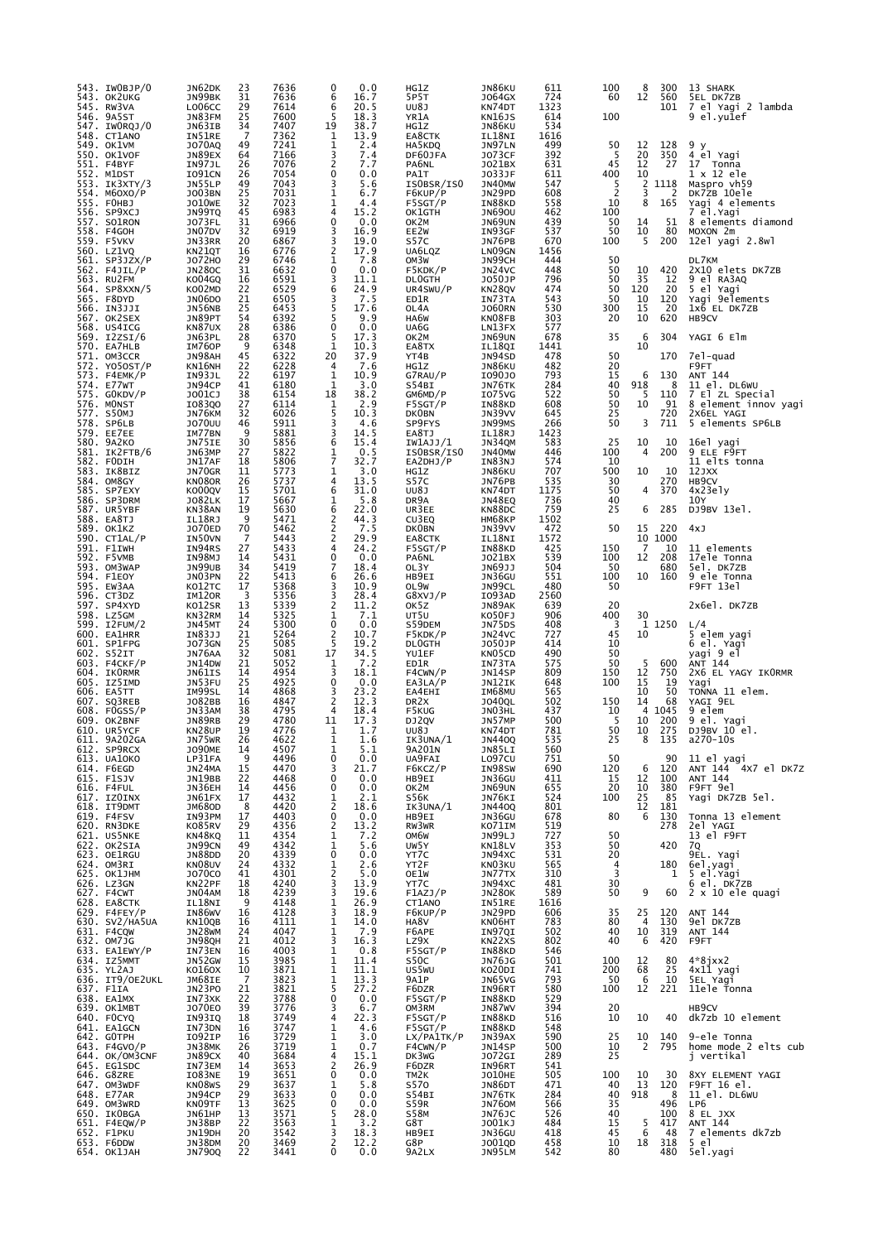| 543. IWOBJP/0<br>543. OK2UKG   | JN62DK<br>JN99BK               | 23<br>31 | 7636<br>7636 | 0.0<br>0<br>6<br>16.7                | HG1Z<br>5P5T              | JN86KU<br>J064GX        | 611<br>724  | 100<br>60  | 8<br>12   | 300<br>560  | 13 SHARK<br>SEL DK7ZB                |
|--------------------------------|--------------------------------|----------|--------------|--------------------------------------|---------------------------|-------------------------|-------------|------------|-----------|-------------|--------------------------------------|
| 545. RW3VA<br>546. 9A5ST       | LO06CC<br>JN83FM               | 29<br>25 | 7614<br>7600 | 6<br>20.5<br>5<br>18.3               | UU8J<br>YR1A              | KN74DT<br>KN16JS        | 1323<br>614 | 100        |           | 101         | 7 el Yagi 2 lambda<br>9 el.yu1ef     |
| 547. IWORQJ/0<br>548. CT1ANO   | JN63IB<br>IN51RE               | 34<br>7  | 7407<br>7362 | 19<br>38.7<br>13.9<br>1              | HG1Z<br>EA8CTK            | JN86KU<br>IL18NI        | 534<br>1616 |            |           |             |                                      |
| 549. OK1VM<br>550. OK1VOF      | <b>JO70AQ</b><br>JN89EX        | 49<br>64 | 7241<br>7166 | 1<br>2.4<br>3<br>7.4                 | HA5KDQ<br>DF60JFA         | JN97LN<br><b>JO73CF</b> | 499<br>392  | 50<br>5    | 12<br>20  | 128<br>350  | 9у<br>4 el Yagi                      |
| 551. F4BYF<br>552. M1DST       | IN97JL<br>I091CN               | 26<br>26 | 7076<br>7054 | 2<br>7.7<br>0<br>0.0                 | PA6NL<br>PA1T             | J021BX<br>J033JF        | 631<br>611  | 45<br>400  | 12<br>10  | 27          | 17 Tonna<br>1 x 12 ele               |
| 553. IK3XTY/3                  | JN55LP                         | 49       | 7043         | 3<br>5.6                             | ISOBSR/ISO                | JN40MW                  | 547         | 5          | 2         | 1118        | Maspro vh59                          |
| 554. M60XO/P<br>555. FOHBJ     | <b>JO03BN</b><br><b>JO10WE</b> | 25<br>32 | 7031<br>7023 | 1<br>6.7<br>1<br>4.4                 | F6KUP/P<br>F5SGT/P        | JN29PD<br>IN88KD        | 608<br>558  | 2<br>10    | 3<br>8    | 2<br>165    | DK7ZB 10ele<br>Yagi 4 elements       |
| 556. SP9XCJ<br>557. SO1RON     | JN99TQ<br>J073FL               | 45<br>31 | 6983<br>6966 | 15.2<br>4<br>0<br>0.0                | OK1GTH<br>OK2M            | <b>JN690U</b><br>JN69UN | 462<br>439  | 100<br>50  | 14        | 51          | 7 el.Yagi<br>8 elements diamond      |
| 558. F4GOH<br>559. F5VKV       | JN07DV<br>JN33RR               | 32<br>20 | 6919<br>6867 | 3<br>16.9<br>19.0                    | EE2W<br>S57C              | IN93GF<br>JN76PB        | 537<br>670  | 50<br>100  | 10<br>5   | 80<br>200   | MOXON 2m<br>12el yagi 2.8wl          |
| 560. LZ1VQ<br>$561.$ SP3JZX/P  | KN21QT<br>J072H0               | 16<br>29 | 6776<br>6746 | $\frac{3}{2}$<br>17.9<br>1<br>7.8    | UA6LQZ<br>OM3W            | LN09GN<br>JN99CH        | 1456<br>444 | 50         |           |             | DL7KM                                |
| 562. F4JIL/P                   | <b>JN280C</b>                  | 31       | 6632         | 0<br>0.0                             | F5KDK/P                   | JN24VC                  | 448         | 50         | 10        | 420         | 2X10 elets DK7ZB                     |
| 563. RU2FM<br>564. SP8XXN/5    | KO04GQ<br>KO02MD               | 16<br>22 | 6591<br>6529 | 3<br>11.1<br>6<br>24.9               | <b>DLOGTH</b><br>UR4SWU/P | J050JP<br>KN28QV        | 796<br>474  | 50<br>50   | 35<br>120 | 12<br>20    | 9 el RA3AQ<br>5 el Yagi              |
| 565. F8DYD<br>566. IN3JJI      | JN06DO<br>JN56NB               | 21<br>25 | 6505<br>6453 | 7.5<br>3<br>5<br>17.6                | ED1R<br>OL4A              | IN73TA<br><b>JO60RN</b> | 543<br>530  | 50<br>300  | 10<br>15  | 120<br>20   | Yagi 9elements<br>1x6 EL DK7ZB       |
| 567. OK2SEX<br>568. US4ICG     | JN89PT<br>KN87UX               | 54<br>28 | 6392<br>6386 | 5<br>9.9<br>0<br>0.0                 | HA6W<br>UA6G              | KN08FB<br>LN13FX        | 303<br>577  | 20         | 10        | 620         | HB9CV                                |
| 569. I2ZSI/6<br>570. EA7HLB    | JN63PL<br>IM760P               | 28<br>9  | 6370<br>6348 | 5<br>17.3<br>1<br>10.3               | OK2M<br>EA8TX             | JN69UN                  | 678<br>1441 | 35         | 6<br>10   | 304         | YAGI 6 Elm                           |
| 571. OM3CCR                    | JN98AH                         | 45       | 6322         | 20<br>37.9                           | YT4B                      | IL18QI<br>JN94SD        | 478         | 50         |           | 170         | 7e1-quad                             |
| 572. YO5OST/P<br>573. F4EMK/P  | KN16NH<br>IN93JL               | 22<br>22 | 6228<br>6197 | 4<br>7.6<br>1<br>10.9                | HG1Z<br>G7RAU/P           | JN86KU<br>109010        | 482<br>793  | 20<br>15   | 6         | 130         | F9FT<br>ANT 144                      |
| 574. E77WT<br>575. GOKDV/P     | JN94CP<br>J001CJ               | 41<br>38 | 6180<br>6154 | 1<br>3.0<br>38.2<br>18               | S54BI<br>GM6MD/P          | JN76TK<br>I075VG        | 284<br>522  | 40<br>50   | 918<br>-5 | 8<br>110    | 11 el. DL6WU<br>7 El ZL Special      |
| 576. MONST<br>577. S50MJ       | I083Q0<br>JN76KM               | 27<br>32 | 6114<br>6026 | 2.9<br>1<br>5<br>10.3                | F5SGT/P<br><b>DKOBN</b>   | IN88KD<br>JN39VV        | 608<br>645  | 50<br>25   | 10        | 91<br>720   | 8 element innov yagi<br>2X6EL YAGI   |
| 578. SP6LB<br>579. EE7EE       | <b>JO70UU</b><br>IM77BN        | 46<br>9  | 5911<br>5881 | 3<br>4.6<br>3<br>14.5                | SP9FYS<br>EA8TJ           | JN99MS<br>IL18RJ        | 266<br>1423 | 50         | 3         | 711         | 5 elements SP6LB                     |
| 580. 9A2KO                     | JN75IE                         | 30       | 5856         | 6<br>15.4                            | IW1AJJ/1                  | JN34QM                  | 583         | 25         | 10        | 10          | 16el yagi                            |
| 581. IK2FTB/6<br>582. FODIH    | JN63MP<br>JN17AF               | 27<br>18 | 5822<br>5806 | $\frac{1}{7}$<br>0.5<br>32.7         | ISOBSR/ISO<br>EA2DHJ/P    | JN40MW<br>IN83NJ        | 446<br>574  | 100<br>10  | 4         | 200         | 9 ELE F9FT<br>11 elts tonna          |
| 583. IK8BIZ<br>584. OM8GY      | JN70GR<br>KN080R               | 11<br>26 | 5773<br>5737 | 1<br>3.0<br>4<br>13.5                | HG1Z<br>S57C              | JN86KU<br>JN76PB        | 707<br>535  | 500<br>30  | 10        | 10<br>270   | 12JXX<br>HB <sub>9</sub> CV          |
| 585. SP7EXY<br>586. SP3DRM     | K000QV<br><b>JO82LK</b>        | 15<br>17 | 5701<br>5667 | 6<br>31.0<br>1<br>5.8                | UU8J<br>DR9A              | KN74DT<br><b>JN48EQ</b> | 1175<br>736 | 50<br>40   | 4         | 370         | 4x23e1y<br>10Y                       |
| 587. UR5YBF<br>588. EA8TJ      | KN38AN<br>IL18RJ               | 19<br>9  | 5630<br>5471 | 6<br>22.0<br>2<br>44.3               | UR3EE<br>CU3EQ            | KN88DC                  | 759<br>1502 | 25         | 6         | 285         | DJ9BV 13e1.                          |
| 589. OK1KZ                     | <b>JO70ED</b>                  | 70       | 5462         | $\frac{2}{2}$<br>7.5                 | <b>DKOBN</b>              | HM68KP<br>JN39VV        | 472         | 50         | 15        | 220         | 4xJ                                  |
| $590.$ CT1AL/P<br>591. F1IWH   | IN50VN<br>IN94RS               | 7<br>27  | 5443<br>5433 | 29.9<br>4<br>24.2                    | EA8CTK<br>F5SGT/P         | IL18NI<br>IN88KD        | 1572<br>425 | 150        | 10<br>7   | 1000<br>10  | 11 elements                          |
| 592. F5VMB<br>593. OM3WAP      | IN98MJ<br>JN99UB               | 14<br>34 | 5431<br>5419 | 0<br>0.0<br>7<br>18.4                | PA6NL<br>OL3Y             | J021BX<br>JN69JJ        | 539<br>504  | 100<br>50  | 12        | 208<br>680  | 17ele Tonna<br>5el. DK7ZB            |
| 594. F1EOY<br>595. EW3AA       | JN03PN<br>KO12TC               | 22<br>17 | 5413<br>5368 | 6<br>26.6<br>10.9                    | HB9EI<br>OL9W             | JN36GU<br>JN99CL        | 551<br>480  | 100<br>50  | 10        | 160         | 9 ele Tonna<br>F9FT 13el             |
| 596. CT3DZ<br>597. SP4XYD      | IM120R                         | 3<br>13  | 5356<br>5339 | 3<br>3<br>28.4<br>2<br>11.2          | G8XVJ/P                   | I093AD                  | 2560<br>639 | 20         |           |             | 2x6el. DK7ZB                         |
| 598. LZ5GM                     | KO12SR<br>KN32RM               | 14       | 5325         | 1<br>7.1                             | OK5Z<br>UT5U              | JN89AK<br>KO50FJ        | 906         | 400        | 30        |             |                                      |
| 599. I2FUM/2<br>600. EA1HRR    | JN45MT<br>IN83JJ               | 24<br>21 | 5300<br>5264 | 0<br>0.0<br>2<br>10.7                | S59DEM<br>F5KDK/P         | JN75DS<br>JN24VC        | 408<br>727  | 3<br>45    | 10        | 1 1250      | L/4<br>5 elem yagi                   |
| 601. SP1FPG<br>602. S52IT      | <b>JO73GN</b><br>JN76AA        | 25<br>32 | 5085<br>5081 | 5<br>19.2<br>17<br>34.5              | <b>DLOGTH</b><br>YU1EF    | J050JP<br>KN05CD        | 414<br>490  | 10<br>50   |           |             | 6 el. Yagi<br>yaqi 9 el              |
| 603. F4CKF/P<br>604. IKORMR    | JN14DW<br>JN61IS               | 21<br>14 | 5052<br>4954 | 7.2<br>1<br>3<br>18.1                | ED1R<br>F4CWN/P           | IN73TA<br>JN14SP        | 575<br>809  | 50<br>150  | 5<br>12   | 600<br>750  | ANT 144<br>2X6 EL YAGY IKORMR        |
| 605. IZ5IMD<br>606. EA5TT      | JN53FU<br>IM99SL               | 25<br>14 | 4925<br>4868 | 0<br>0.0<br>3<br>23.2                | $E$ A3LA/P<br>EA4EHI      | JN12IK<br>IM68MU        | 648<br>565  | 100        | 15<br>10  | 19<br>50    | Yagi<br>TONNA 11 elem.               |
| 607. SQ3REB                    | J082BB                         | 16       | 4847         | $\overline{2}$<br>12.3<br>4          | DR <sub>2</sub> X         | <b>JO40QL</b>           | 502         | 150        | 14        | 68          | YAGI 9EL                             |
| $608.$ FOGSS/P<br>609. OK2BNF  | JN33AM<br>JN89RB               | 38<br>29 | 4795<br>4780 | 18.4<br>17.3<br>11                   | F5KUG<br>DJ2QV            | JN03HL<br>JN57MP        | 437<br>500  | 10<br>5    | 4<br>10   | 1045<br>200 | 9 elem<br>9 el. Yagı                 |
| 610. UR5YCF<br>611. 9A202GA    | KN28UP<br>JN75WR               | 19<br>26 | 4776<br>4622 | 1<br>1.7<br>1<br>1.6                 | UU8J<br>IK3UNA/1          | KN74DT<br><b>JN440Q</b> | 781<br>535  | 50<br>25   | 10<br>8   | 275<br>135  | DJ9BV 10 el.<br>a270-10s             |
| 612. SP9RCX<br>613. UA10KO     | <b>JO90ME</b><br>LP31FA        | 14<br>9  | 4507<br>4496 | 1<br>5.1<br>0<br>0.0                 | 9A201N<br>UA9FAI          | JN85LI<br>L097CU        | 560<br>751  | 50         |           | 90          | 11 el yagi                           |
| 614. F6EGD<br>615. F1SJV       | JN24MA<br>JN19BB               | 15<br>22 | 4470<br>4468 | 21.7<br>3<br>0<br>0.0                | F6KCZ/P<br>HB9EI          | IN98SW<br>JN36GU        | 690<br>411  | 120<br>15  | 6<br>12   | 120<br>100  | ANT 144<br>4X7 el DK7Z<br>ANT 144    |
| 616. F4FUL<br>617. IZOINX      | JN36EH<br>JN61FX               | 14<br>17 | 4456<br>4432 | 0<br>0.0<br>2.1<br>1                 | OK2M<br><b>S56K</b>       | JN69UN<br>JN76KI        | 655<br>524  | 20<br>100  | 10<br>25  | 380<br>85   | F9FT 9el<br>Yagi DK7ZB 5el.          |
| 618. IT9DMT                    | <b>JM680D</b>                  | 8        | 4420         | $\overline{c}$<br>18.6               | IK3UNA/1                  | <b>JN440Q</b>           | 801         |            | 12        | 181         |                                      |
| 619. F4FSV<br>620. RN3DKE      | IN93PM<br>K085RV               | 17<br>29 | 4403<br>4356 | 0<br>0.0<br>2<br>13.2                | HB9EI<br>RW3WR            | JN36GU<br>KO71IM        | 678<br>519  | 80         | 6         | 130<br>278  | Tonna 13 element<br>2el YAGI         |
| 621. US5NKE<br>622. OK2SIA     | KN48KQ<br>JN99CN               | 11<br>49 | 4354<br>4342 | 1<br>7.2<br>1<br>5.6                 | OM6W<br>UW5Y              | JN99LJ<br>KN18LV        | 727<br>353  | 50<br>50   |           | 420         | 13 el F9FT<br>70                     |
| 623. OE1RGU<br>624. OM3RI      | <b>JN88DD</b><br>KN08UV        | 20<br>24 | 4339<br>4332 | 0<br>0.0<br>2.6<br>1                 | YT7C<br>YT2F              | JN94XC<br>KN03KU        | 531<br>565  | 20<br>4    |           | 180         | 9EL. Yagi                            |
| 625. ОК1ЈНМ<br>626. LZ3GN      | J070C0<br>KN22PF               | 41<br>18 | 4301<br>4240 | $\overline{c}$<br>5.0<br>3<br>13.9   | OE1W<br>YT7C              | JN77TX<br>JN94XC        | 310<br>481  | 3<br>30    |           | 1           | 6el.yagi<br>5 el.Yagi<br>6 el. DK7ZB |
| 627. F4CWT                     | JN04AM                         | 18<br>9  | 4239         | 3<br>19.6                            | F1AZJ/P                   | <b>JN280K</b>           | 589         | 50         | 9         | 60          | 2 x 10 ele quagi                     |
| 628. EA8CTK<br>629. F4FEY/P    | IL18NI<br>IN86WV               | 16       | 4148<br>4128 | 26.9<br>1<br>3<br>18.9               | CT1ANO<br>F6KUP/P         | IN51RE<br>JN29PD        | 1616<br>606 | 35         | 25        | 120         | ANT 144                              |
| 630. SV2/HA5UA<br>631. F4CQW   | KN10QB<br><b>JN28WM</b>        | 16<br>24 | 4111<br>4047 | 1<br>14.0<br>$\mathbf 1$<br>7.9      | HA8V<br>F6APE             | KN06HT<br>IN97QI        | 783<br>502  | 80<br>40   | 4<br>10   | 130<br>319  | 9el DK7ZB<br>ANT 144                 |
| 632. OM7JG<br>633. EA1EWY/P    | JN98QH<br>IN73EN               | 21<br>16 | 4012<br>4003 | 3<br>16.3<br>1<br>0.8                | LZ9X<br>F5SGT/P           | KN22XS<br>IN88KD        | 802<br>546  | 40         | 6         | 420         | F9FT                                 |
| 634. IZ5MMT<br>635. YL2AJ      | JN52GW<br>K0160X               | 15<br>10 | 3985<br>3871 | $\mathbf 1$<br>11.4<br>1<br>11.1     | S50C<br>US5WU             | JN76JG<br>KO20DI        | 501<br>741  | 100<br>200 | 12<br>68  | 80<br>25    | $4*8$ jxx2<br>4x11 yagi              |
| 636. IT9/OE2UKL<br>637. F1IA   | JM68IE                         | 7<br>21  | 3823<br>3821 | $\frac{1}{5}$<br>$\frac{13.3}{27.2}$ | 9A1P                      | JN65VG                  | 793<br>580  | 50<br>100  | 6<br>12   | 10<br>221   | 5EL Yagi<br>11ele Tonna              |
| 638. EA1MX                     | JN23PO<br>IN73XK               | 22       | 3788         | 0<br>0.0                             | F6DZR<br>F5SGT/P          | IN96RT<br>IN88KD        | 529         |            |           |             |                                      |
| 639. ОК1МВТ<br>640. FOCYQ      | J070E0<br>IN93IQ               | 39<br>18 | 3776<br>3749 | 3<br>6.7<br>4<br>22.3                | OM3RM<br>F5SGT/P          | <b>JN87WV</b><br>IN88KD | 394<br>516  | 20<br>10   | 10        | 40          | HB9CV<br>dk7zb 10 element            |
| 641. EA1GCN<br>642. GOTPH      | IN73DN<br>I092IP               | 16<br>16 | 3747<br>3729 | 1<br>4.6<br>3.0<br>1                 | F5SGT/P<br>LX/PA1TK/P     | IN88KD<br>JN39AX        | 548<br>590  | 25         | 10        | 140         | 9-ele Tonna                          |
| 643. F4GVO/P<br>644. OK/OM3CNF | JN38MK<br>JN89CX               | 26<br>40 | 3719<br>3684 | $\mathbf 1$<br>0.7<br>4<br>15.1      | F4CWN/P<br>DK3WG          | <b>JN14SP</b><br>J072GI | 500<br>289  | 10<br>25   | 2         | 795         | home mode 2 elts cub<br>j vertikal   |
| 645. EG1SDC<br>646. G8ZRE      | IN73EM<br>IO83NE               | 14<br>19 | 3653<br>3651 | 2<br>26.9<br>0<br>0.0                | F6DZR<br>TM2K             | IN96RT<br><b>JO10HE</b> | 541<br>505  | 100        | 10        | 30          | 8XY ELEMENT YAGI                     |
| 647. OM3WDF                    | KN08WS                         | 29       | 3637         | 5.8<br>1<br>$\mathbf 0$              | <b>S570</b>               | JN86DT                  | 471         | 40         | 13        | 120         | F9FT 16 el.                          |
| 648. E77AR<br>649. OM3WRD      | JN94CP<br>KN09TF               | 29<br>13 | 3633<br>3625 | 0.0<br>0<br>0.0                      | S54BI<br>S59R             | JN76TK<br>JN760M        | 284<br>566  | 40<br>35   | 918       | 8<br>496    | 11 el. DL6WU<br>LP6                  |
| 650. IKOBGA<br>$651.$ F4EQW/P  | JN61HP<br>JN38BP               | 13<br>22 | 3571<br>3563 | 5<br>28.0<br>1<br>3.2                | <b>S58M</b><br>G8T        | JN76JC<br>J001KJ        | 526<br>484  | 40<br>15   | 5         | 100<br>417  | 8 EL JXX<br>ANT 144                  |
| 652. F1PKU<br>653. F6DDW       | JN19DH<br>JN38DM               | 20<br>20 | 3542<br>3469 | 3<br>18.3<br>2<br>12.2               | HB9EI<br>G8P              | JN36GU<br>J001QD        | 418<br>458  | 45<br>10   | 6<br>18   | 48<br>318   | 7 elements dk7zb<br>5 el             |
| 654. ОК1ЈАН                    | <b>JN790Q</b>                  | 22       | 3441         | 0<br>0.0                             | 9A2LX                     | JN95LM                  | 542         | 80         |           | 480         | 5el.yagi                             |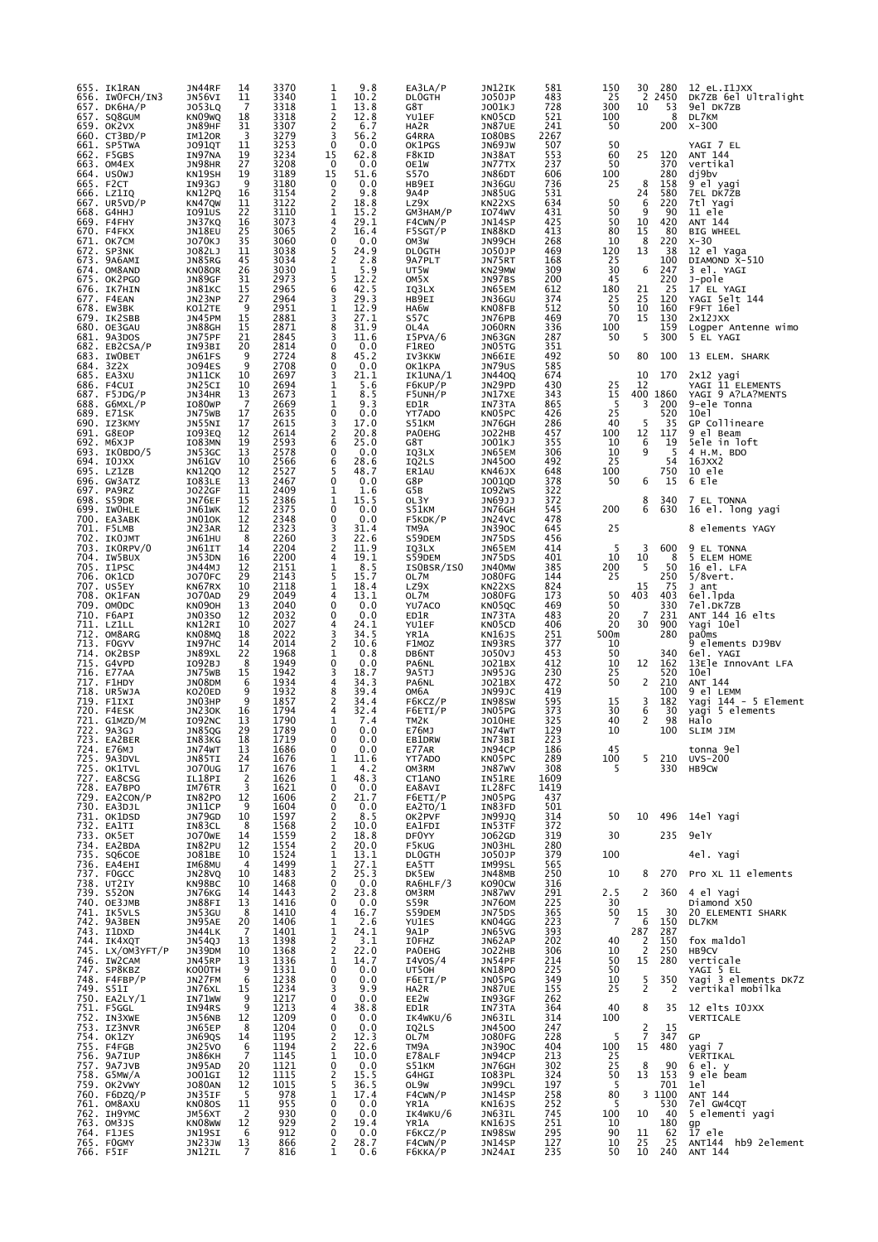| 655. IK1RAN<br>656. IWOFCH/IN3  | JN44RF<br>JN56VI        | 14<br>11 | 3370<br>3340 | 9.8<br>1<br>1<br>10.2                        | EA3LA/P<br><b>DLOGTH</b>    | JN12IK<br>J050JP               | 581<br>483  | 150<br>25  | 30<br>2                          | 280<br>2450 | 12 eL.I1JXX<br>DK7ZB 6el Ultralight |
|---------------------------------|-------------------------|----------|--------------|----------------------------------------------|-----------------------------|--------------------------------|-------------|------------|----------------------------------|-------------|-------------------------------------|
| 657. DК6НА/Р                    | J053LQ                  | 7        | 3318         | 1<br>13.8                                    | G8T                         | J001KJ                         | 728         | 300        | 10                               | 53          | 9el DK7ZB                           |
| 657. SQ8GUM<br>659. OK2VX       | KNO9WQ<br>JN89HF        | 18<br>31 | 3318<br>3307 | 2<br>12.8<br>$\overline{c}$<br>6.7           | YU1EF<br>HA2R               | KN05CD<br>JN87UE               | 521<br>241  | 100<br>50  |                                  | 8<br>200    | DL7KM<br>$X - 300$                  |
| 660. CT3BD/P<br>661. SP5TWA     | IM120R                  | 3<br>11  | 3279<br>3253 | 3<br>56.2<br>0<br>0.0                        | G4RRA                       | IO80BS                         | 2267<br>507 | 50         |                                  |             | YAGI 7 EL                           |
| 662. F5GBS                      | <b>JO91QT</b><br>IN97NA | 19       | 3234         | 15<br>62.8                                   | OK1PGS<br>F8KID             | JN69JW<br>JN38AT               | 553         | 60         | 25                               | 120         | ANT 144                             |
| 663. OM4EX<br>664. USOWJ        | JN98HR<br>KN19SH        | 27<br>19 | 3208<br>3189 | 0.0<br>0<br>15<br>51.6                       | OE1W<br>S570                | JN77TX<br>JN86DT               | 237<br>606  | 50<br>100  |                                  | 370<br>280  | vertikal<br>dj9bv                   |
| 665. F2CT                       | IN93GJ                  | 9        | 3180         | 0<br>0.0                                     | HB9EI                       | JN36GU                         | 736         | 25         | 8                                | 158         | 9 el yagi                           |
| 666. LZ1IQ<br>667. UR5VD/P      | KN12PQ<br>KN47QW        | 16<br>11 | 3154<br>3122 | 2<br>9.8<br>2<br>18.8                        | 9A4P<br>LZ9X                | <b>JN85UG</b><br>KN22XS        | 531<br>634  | 50         | 24<br>6                          | 580<br>220  | 7EL DK7ZB<br>7tl Yagi               |
| 668. G4HHJ                      | I091US                  | 22       | 3110         | 15.2<br>1                                    | GM3HAM/P                    | I074WV                         | 431         | 50         | 9                                | 90          | 11 ele                              |
| 669. F4FHY<br>670. F4FKX        | JN37KQ<br>JN18EU        | 16<br>25 | 3073<br>3065 | 4<br>29.1<br>2<br>16.4                       | F4CWN/P<br>F5SGT/P          | JN14SP<br>IN88KD               | 425<br>413  | 50<br>80   | 10<br>15                         | 420<br>80   | ANT 144<br><b>BIG WHEEL</b>         |
| 671. OK7CM<br>672. SP3NK        | J070KJ<br>J082LJ        | 35<br>11 | 3060<br>3038 | 0<br>0.0<br>5<br>24.9                        | OM3W<br><b>DLOGTH</b>       | JN99CH<br>J050JP               | 268<br>469  | 10<br>120  | 8<br>13                          | 220<br>38   | $X-30$<br>12 el Yaga                |
| 673. 9A6AMI                     | JN85RG                  | 45       | 3034         | 2<br>2.8                                     | 9A7PLT                      | JN75RT                         | 168         | 25         |                                  | 100         | DIAMOND X-510                       |
| 674. OM8AND<br>675. OK2PGO      | KN080R<br>JN89GF        | 26<br>31 | 3030<br>2973 | 5.9<br>$\frac{1}{5}$<br>12.2                 | UT5W<br>OM5X                | KN29MW<br>JN97BS               | 309<br>200  | 30<br>45   | 6                                | 247<br>220  | 3 el. YAGI<br>J-pole                |
| 676. IK7HIN                     | JN81KC                  | 15       | 2965         | 6<br>42.5                                    | IQ3LX                       | JN65EM                         | 612         | 180        | 21                               | 25          | 17 EL YAGI                          |
| 677. F4EAN<br>678. EW3BK        | JN23NP<br>KO12TE        | 27<br>9  | 2964<br>2951 | 3<br>29.3<br>1<br>12.9                       | HB9EI<br>HA6W               | JN36GU<br>KN08FB               | 374<br>512  | 25<br>50   | 25<br>10                         | 120<br>160  | YAGI 5elt 144<br>F9FT 16e1          |
| 679. IK2SBB                     | JN45PM                  | 15       | 2881         | 3<br>27.1                                    | S57C                        | JN76PB                         | 469         | 70<br>100  | 15                               | 130<br>159  | 2x12JXX                             |
| 680. OE3GAU<br>681. 9A3DOS      | JN88GH<br>JN75PF        | 15<br>21 | 2871<br>2845 | 8<br>31.9<br>3<br>11.6                       | OL4A<br>I5PVA/6             | <b>JO60RN</b><br>JN63GN        | 336<br>287  | 50         | 5                                | 300         | Logper Antenne wimo<br>5 EL YAGI    |
| 682. EB2CSA/P<br>683. IWOBET    | IN93BI<br>JN61FS        | 20<br>9  | 2814<br>2724 | 0<br>0.0<br>45.2<br>8                        | F1REO<br>IV3KKW             | JN05TG<br>JN66IE               | 351<br>492  | 50         | 80                               | 100         | 13 ELEM. SHARK                      |
| 684. 3Z2X                       | J094ES                  | 9        | 2708         | 0<br>0.0                                     | <b>OK1KPA</b>               | <b>JN79US</b>                  | 585         |            |                                  |             |                                     |
| 685. EA3XU<br>686. F4CUI        | JN11CK<br>JN25CI        | 10<br>10 | 2697<br>2694 | 3<br>21.1<br>5.6<br>1                        | IK1UNA/1<br>F6KUP/P         | JN440Q<br>JN29PD               | 674<br>430  | 25         | 10<br>12                         | 170         | 2x12 yagi<br>YAGI 11 ELEMENTS       |
| 687. F5JDG/P                    | JN34HR                  | 13       | 2673         | 1<br>8.5<br>1                                | F5UNH/P                     | JN17XE                         | 343         | 15<br>5    | 3                                | 400 1860    | YAGI 9 A?LA?MENTS                   |
| $688.$ G6MXL/P<br>689. E71SK    | I080WP<br>JN75WB        | 7<br>17  | 2669<br>2635 | 9.3<br>0<br>0.0                              | ED1R<br>YT7ADO              | IN73TA<br>KN05PC               | 865<br>426  | 25         |                                  | 200<br>520  | 9-ele Tonna<br>10e1                 |
| 690. IZ3KMY<br>691. G8EOP       | JN55NI<br>IO93EQ        | 17<br>12 | 2615<br>2614 | 3<br>17.0<br>2<br>20.8                       | S51KM<br><b>PAOEHG</b>      | JN76GH<br><b>JO22HB</b>        | 286<br>457  | 40<br>100  | 5<br>12                          | 35<br>117   | GP Collineare<br>9 el Beam          |
| 692. M6XJP                      | IO83MN                  | 19       | 2593         | 25.0<br>6                                    | G8T                         | J001KJ                         | 355         | 10         | 6                                | 19          | Sele in loft                        |
| 693. IKOBDO/5<br>694. IOJXX     | JN53GC<br>JN61GV        | 13<br>10 | 2578<br>2566 | 0.0<br>0<br>28.6<br>6                        | IQ3LX<br>IQ2LS              | JN65EM<br>JN4500               | 306<br>492  | 10<br>25   | 9                                | -5<br>54    | 4 H.M. BDO<br>16JXX2                |
| 695. LZ1ZB                      | <b>KN12Q0</b>           | 12       | 2527         | 5<br>48.7                                    | ER1AU                       | <b>KN46JX</b>                  | 648         | 100        |                                  | 750         | 10 ele                              |
| 696. GW3ATZ<br>697. PA9RZ       | IO83LE<br>J022GF        | 13<br>11 | 2467<br>2409 | 0<br>0.0<br>1<br>1.6                         | G8P<br>G5B                  | J001QD<br>IO92WS               | 378<br>322  | 50         | 6                                | 15          | 6 Ele                               |
| 698. S59DR                      | JN76EF                  | 15       | 2386         | 15.5<br>1                                    | OL3Y                        | JN69JJ                         | 372         |            | 8                                | 340         | 7 EL TONNA                          |
| 699. IWOHLE<br>700. EA3ABK      | JN61WK<br>JNO1OK        | 12<br>12 | 2375<br>2348 | 0<br>0.0<br>0<br>0.0                         | S51KM<br>F5KDK/P            | JN76GH<br>JN24VC               | 545<br>478  | 200        | 6                                | 630         | 16 el. long yagi                    |
| 701. F5LMB<br>702. IKOJMT       | JN23AR<br>JN61HU        | 12<br>8  | 2323<br>2260 | 3<br>31.4<br>3<br>22.6                       | TM <sub>9</sub> A<br>S59DEM | <b>JN390C</b><br>JN75DS        | 645<br>456  | 25         |                                  |             | 8 elements YAGY                     |
| 703. IKORPV/0                   | JN61IT                  | 14       | 2204         | 2<br>11.9                                    | IQ3LX                       | JN65EM                         | 414         | 5          | 3                                | 600         | 9 EL TONNA                          |
| 704. IW5BUX<br>705. I1PSC       | JN53DN<br>JN44MJ        | 16<br>12 | 2200<br>2151 | 19.1<br>4<br>8.5<br>1                        | S59DEM<br>ISOBSR/ISO        | JN75DS<br>JN40MW               | 401<br>385  | 10<br>200  | 10<br>5                          | 8<br>50     | 5 ELEM HOME<br>16 el. LFA           |
| 706. OK1CD                      | <b>JO70FC</b>           | 29       | 2143         | 5<br>15.7                                    | OL7M                        | <b>JO80FG</b>                  | 144         | 25         |                                  | 250         | $5/8$ vert.                         |
| 707. US5EY<br>708. OK1FAN       | KN67RX<br><b>JO70AD</b> | 10<br>29 | 2118<br>2049 | 1<br>18.4<br>4<br>13.1                       | LZ9X<br>OL7M                | KN22XS<br><b>JO80FG</b>        | 824<br>173  | 50         | 15<br>403                        | 75<br>403   | J ant<br>6el.lpda                   |
| 709. OMODC                      | KN <sub>09</sub> OH     | 13       | 2040         | 0<br>0.0<br>0<br>0.0                         | YU7ACO                      | KN05QC                         | 469         | 50         | 7                                | 330         | 7e1.DK7ZB                           |
| 710. F6API<br>711. LZ1LL        | JN03SO<br>KN12RI        | 12<br>10 | 2032<br>2027 | 24.1<br>4                                    | ED1R<br>YU1EF               | IN73TA<br>KN05CD               | 483<br>406  | 20<br>20   | 30                               | 231<br>900  | ANT 144 16 elts<br>Yagi 10el        |
| 712. OM8ARG<br>713. FOGYV       | KN08MQ<br>IN97HC        | 18<br>14 | 2022<br>2014 | 3<br>34.5<br>2<br>10.6                       | YR1A<br>F1MOZ               | KN16JS<br>IN93RS               | 251<br>377  | 500m<br>10 |                                  | 280         | pa0ms<br>9 elements DJ9BV           |
| 714. OK2BSP                     | JN89XL                  | 22       | 1968         | 1<br>0.8                                     | DB6NT                       | J050VJ                         | 453         | 50         |                                  | 340         | 6el. YAGI                           |
| 715. G4VPD<br>716. E77AA        | I092BJ<br>JN75WB        | 8<br>15  | 1949<br>1942 | 0<br>0.0<br>3<br>18.7                        | PA6NL<br>9A5TJ              | J021BX<br>JN95JG               | 412<br>230  | 10<br>25   | 12                               | 162<br>520  | 13Ele InnovAnt LFA<br>10e1          |
| 717. F1HDY                      | JN08DM                  | 6<br>9   | 1934         | 34.3<br>4                                    | PA6NL                       | J021BX                         | 472<br>419  | 50         | 2                                | 210         | ANT 144<br>9 el LEMM                |
| 718. UR5WJA<br>719. F1IXI       | KO20ED<br>JN03HP        | 9        | 1932<br>1857 | 39.4<br>8<br>2<br>34.4                       | ОМ6А<br>F6KCZ/P             | JN99JC<br>IN98SW               | 595         | 15         | 3                                | 100<br>182  | Yagi 144 - 5 Element                |
| 720. F4ESK<br>721. G1MZD/M      | JN230K<br>I092NC        | 16<br>13 | 1794<br>1790 | 4<br>32.4<br>1<br>7.4                        | F6ETI/P<br>TM2K             | JN05PG<br>JO10HE               | 373<br>325  | 30<br>40   | 6<br>2                           | 30<br>98    | yagi 5 elements<br>Halo             |
| 722. 9A3GJ                      | JN85QG                  | 29       | 1789         | 0<br>0.0                                     | E76MJ                       | JN74WT                         | 129         | 10         |                                  | 100         | SLIM JIM                            |
| 723. EA2BER<br>724. E76MJ       | IN83KG<br>JN74WT        | 18<br>13 | 1719<br>1686 | 0<br>0.0<br>0<br>0.0                         | <b>EB1DRW</b><br>E77AR      | IN73BI<br>JN94CP               | 223<br>186  | 45         |                                  |             | tonna 9el                           |
| 725. 9A3DVL                     | JN85TI                  | 24       | 1676         | 1<br>11.6                                    | YT7AD0                      | KN05PC                         | 289         | 100        | 5                                | 210         | <b>UVS-200</b>                      |
| 725. OK1TVL<br>727. EA8CSG      | <b>JO70UG</b><br>IL18PI | 17<br>2  | 1676<br>1626 | 1<br>4.2<br>1<br>48.3                        | OM3RM<br>CT1ANO             | <b>JN87WV</b><br>IN51RE        | 308<br>1609 | 5          |                                  | 330         | HB9CW                               |
| 728. EA7BPO<br>729. EA2CON/P    | IM76TR<br>IN82PO        | 3<br>12  | 1621<br>1606 | 0<br>0.0<br>2<br>21.7                        | EA8AVI<br>F6ETI/P           | IL28FC<br>JN05PG               | 1419<br>437 |            |                                  |             |                                     |
| 730. EA3DJL                     | JN11CP                  | 9        | 1604         | 0<br>0.0                                     | EA2TO/1                     | IN83FD                         | 501         |            |                                  |             |                                     |
| 731. OK1DSD<br>732. EA1TI       | JN79GD<br>IN83CL        | 10<br>8  | 1597<br>1568 | 2<br>8.5<br>2<br>10.0                        | OK2PVF<br>EA1FDI            | <b>JN99JQ</b><br>IN53TF        | 314<br>372  | 50         | 10                               | 496         | 14el Yagi                           |
| 733. OK5ET                      | JO70WE                  | 14       | 1559         | $\frac{2}{2}$<br>18.8                        | DF0YY                       | J062GD                         | 319         | 30         |                                  | 235         | 9elY                                |
| 734. EA2BDA<br>735. SQ6COE      | IN82PU<br>J081BE        | 12<br>10 | 1554<br>1524 | 20.0<br>1<br>13.1                            | F5KUG<br><b>DLOGTH</b>      | JN03HL<br>J050JP               | 280<br>379  | 100        |                                  |             | 4el. Yagi                           |
| 736. EA4EHI<br>737. FOGCC       | IM68MU<br>JN28VQ        | 4<br>10  | 1499<br>1483 | 1<br>$27.1$<br>25.3<br>$\overline{c}$        | EA5TT<br>DK5EW              | IM99SL<br>JN48MB               | 565<br>250  | 10         | 8                                | 270         | Pro XL 11 elements                  |
| 738. UT2IY                      | KN98BC                  | 10       | 1468         | 0<br>0.0                                     | RA6HLF/3                    | KO90CW                         | 316         |            |                                  |             |                                     |
| 739. S520N<br>740. OE3JMB       | JN76KG<br>JN88FI        | 14<br>13 | 1443<br>1416 | 2<br>23.8<br>0<br>0.0                        | OM3RM<br>S59R               | JN87WV<br><b>JN760M</b>        | 291<br>225  | 2.5<br>30  | 2                                | 360         | 4 el Yagi<br>Diamond X50            |
| 741. IK5VLS                     | JN53GU                  | 8        | 1410         | 4<br>16.7                                    | S59DEM                      | JN75DS                         | 365         | 50         | 15                               | 30          | 20 ELEMENTI SHARK                   |
| 742. 9A3BEN<br>743. I1DXD       | JN95AE<br>JN44LK        | 20<br>7  | 1406<br>1401 | $\frac{1}{1}$<br>2.6<br>24.1                 | YU1ES<br>9A1P               | KN04GG<br>JN65VG               | 223<br>393  | 7          | 6<br>287                         | 150<br>287  | DL7KM                               |
| 744. IK4XQT                     | JN54QJ                  | 13       | 1398         | 2<br>3.1                                     | I0FHZ                       | JN62AP                         | 202<br>306  | 40<br>10   | $\overline{2}$<br>$\overline{2}$ | 150         | fox maldol<br>HB9CV                 |
| 745. LX/OM3YFT/P<br>746. IW2CAM | JN39DM<br>JN45RP        | 10<br>13 | 1368<br>1336 | 2<br>22.0<br>1<br>14.7                       | PAOEHG<br>I4V0S/4           | <b>JO22HB</b><br>JN54PF        | 214         | 50         | 15                               | 250<br>280  | verticale                           |
| 747. SP8KBZ<br>748. F4FBP/P     | KO00TH<br>JN27FM        | 9<br>6   | 1331<br>1238 | 0<br>0.0<br>0<br>0.0                         | UT50H<br>F6ETI/P            | KN18PO<br>JN05PG               | 225<br>349  | 50<br>10   |                                  | 350         | YAGI 5 EL<br>Yagi 3 elements DK7Z   |
| 749. S51I                       | JN76XL                  | 15       | 1234         | 3<br>9.9                                     | HA2R                        | JN87UE                         | 155         | 25         | $\frac{5}{2}$                    | 2           | vertikal mobilka                    |
| 750. EA2LY/1<br>751. F5GGL      | IN71WW<br>IN94RS        | 9<br>9   | 1217<br>1213 | 0<br>0.0<br>38.8<br>4                        | EE2W<br>ED1R                | IN93GF<br>IN73TA               | 262<br>364  | 40         | 8                                | 35          | 12 elts IOJXX                       |
| 752. IN3XWE                     | JN56NB                  | 12       | 1209         | 0.0<br>0                                     | IK4WKU/6                    | JN63IL                         | 314         | 100        |                                  |             | VERTICALE                           |
| 753. IZ3NVR<br>754. OK1ZY       | JN65EP<br>JN69QS        | 8<br>14  | 1204<br>1195 | 0<br>0.0<br>2<br>12.3                        | IQ2LS<br>OL7M               | <b>JN4500</b><br><b>JO80FG</b> | 247<br>228  | 5          | $\overline{2}$<br>$\overline{7}$ | 15<br>347   | GP                                  |
| 755. F4FGB<br>756. 9A7IUP       | JN25V0<br>JN86KH        | 6<br>7   | 1194<br>1145 | $\overline{\mathbf{c}}$<br>22.6<br>1<br>10.0 | TM9A<br>E78ALF              | <b>JN390C</b><br>JN94CP        | 404<br>213  | 100<br>25  | 15                               | 480         | yagi 7<br>VERTIKAL                  |
| 757. 9A7JVB                     | JN95AD                  | 20       | 1121         | 0<br>0.0                                     | S51KM                       | JN76GH                         | 302         | 25         | 8                                | 90          | 6 el. y                             |
| 758. G5MW/A<br>759. OK2VWY      | J001GI<br><b>JO80AN</b> | 12<br>12 | 1115<br>1015 | 15.5<br>2<br>5<br>36.5                       | G4HGI<br>OL9W               | I083PL<br>JN99CL               | 324<br>197  | 50<br>5    | 13                               | 153<br>701  | 9 ele beam<br>1e <sub>1</sub>       |
| 760. F6DZQ/P                    | JN35IF                  | 5        | 978          | 1<br>17.4                                    | F4CWN/P                     | JN14SP                         | 258<br>252  | 80         |                                  | 3 1100      | ANT 144                             |
| 761. OM8AXU<br>762. ІН9ҮМС      | <b>KN080S</b><br>JM56XT | 11<br>2  | 955<br>930   | 0<br>0.0<br>0<br>0.0                         | YR1A<br>IK4WKU/6            | <b>KN16JS</b><br>JN63IL        | 745         | 5<br>100   | 10                               | 530<br>40   | 7el GW4CQT<br>5 elementi yagi       |
| 763. OM3JS<br>764. F1JES        | KN08WW<br>JN19SI        | 12<br>6  | 929<br>912   | 2<br>19.4<br>0<br>0.0                        | YR1A<br>F6KCZ/P             | KN16JS<br>IN98SW               | 251<br>295  | 10<br>90   | 11                               | 180<br>62   | $\frac{gp}{17}$<br>ele              |
| 765. FOGMY                      | JN23JW                  | 13       | 866          | 2<br>28.7                                    | F4CWN/P                     | JN14SP                         | 127         | 10         | 25                               | 25          | ANT144<br>hb9 2element              |
| 766. F5IF                       | JN12IL                  | 7        | 816          | 1<br>0.6                                     | F6KKA/P                     | JN24AI                         | 235         | 50         | 10                               | 240         | ANT 144                             |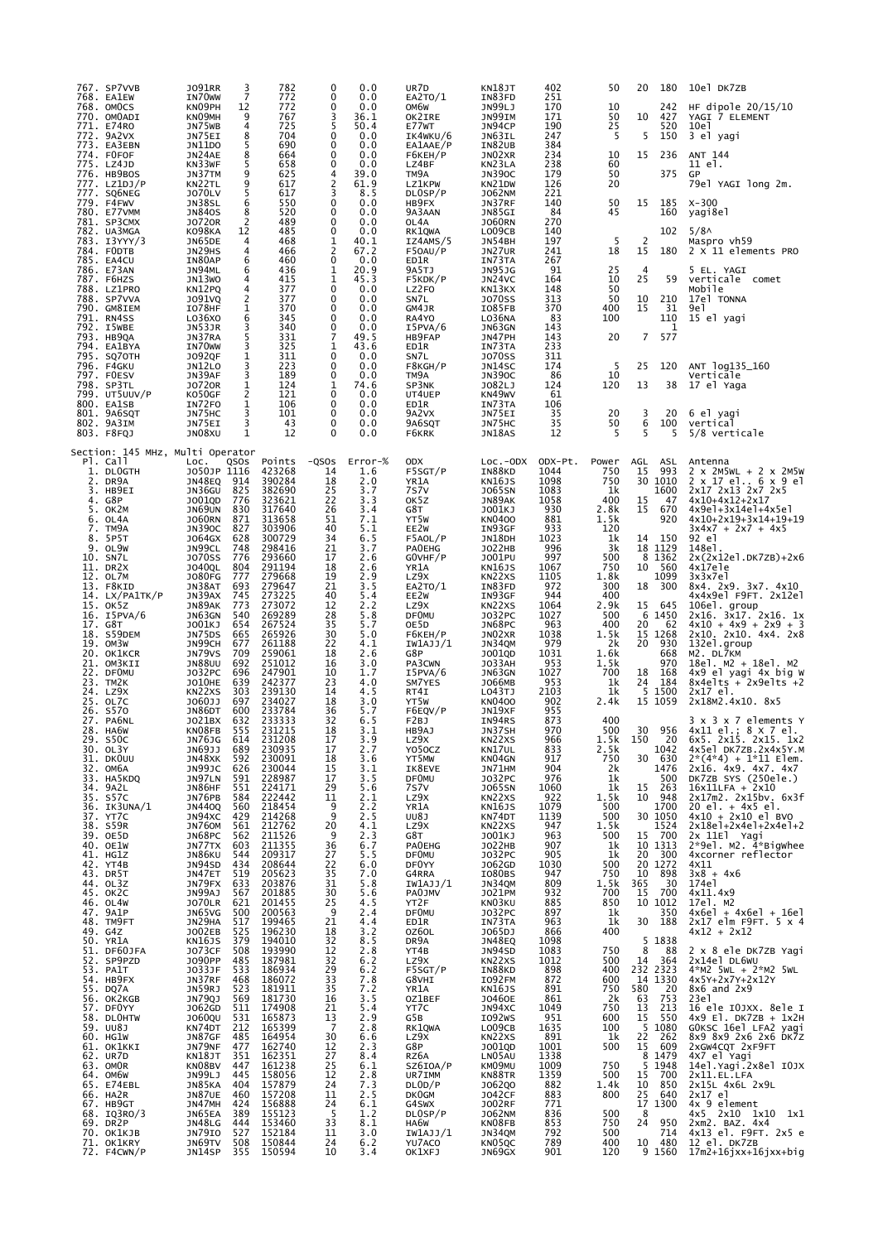|    | 767. SP7VVB<br>768. EA1EW        | <b>JO91RR</b><br>IN70 <sub>w</sub>  | 3<br>$\overline{7}$ | 782<br>772                 | 0<br>0                                 | 0.0<br>0.0                       | UR7D<br>EA2TO/1          | KN18JT<br>IN83FD                  | 402<br>251         | 50                      | 20             | 180                                                                          | 10el DK7ZB                                                               |
|----|----------------------------------|-------------------------------------|---------------------|----------------------------|----------------------------------------|----------------------------------|--------------------------|-----------------------------------|--------------------|-------------------------|----------------|------------------------------------------------------------------------------|--------------------------------------------------------------------------|
|    | 768. OMOCS                       | KN09PH                              | 12<br>9             | 772                        | 0                                      | 0.0                              | OM6W                     | JN99LJ                            | 170                | 10                      |                | 242                                                                          | HF dipole 20/15/10                                                       |
|    | 770. OMOADI<br>771. E74RO        | KNO9MH<br>JN75WB                    | 4                   | 767<br>725                 | 3<br>5                                 | 36.1<br>50.4                     | OK2IRE<br>E77wT          | JN99IM<br>JN94CP                  | 171<br>190         | 50<br>25                | 10             | 427<br>520                                                                   | YAGI 7 ELEMENT<br>10e1                                                   |
|    | 772. 9A2VX<br>773. EA3EBN        | JN75EI<br>JN11D0                    | 8<br>5              | 704<br>690                 | 0<br>0                                 | 0.0<br>0.0                       | IK4WKU/6<br>EA1AAE/P     | JN63IL<br>IN82UB                  | 247<br>384         | 5                       | 5              | 150                                                                          | 3 el yagi                                                                |
|    | 774. FOFOF<br>775. LZ4JD         | JN24AE<br>KN33WF                    | 8<br>5              | 664                        | 0<br>0                                 | 0.0<br>0.0                       | F6KEH/P                  | JN02XR                            | 234                | 10<br>60                | 15             | 236                                                                          | ANT 144<br>11 el.                                                        |
|    | 776. HB9BOS                      | JN37TM                              | 9                   | 658<br>625                 | 4                                      | 39.0                             | LZ4BF<br>TM9A            | KN23LA<br><b>JN390C</b>           | 238<br>179         | 50                      |                | 375                                                                          | GP                                                                       |
|    | 777. LZ1DJ/P<br>777. SQ6NEG      | KN22TL<br><b>JO70LV</b>             | 9<br>5              | 617<br>617                 | 2<br>3                                 | 61.9<br>8.5                      | <b>LZ1KPW</b><br>DL0SP/P | KN21DW<br><b>JO62NM</b>           | 126<br>221         | 20                      |                |                                                                              | 79el YAGI long 2m.                                                       |
|    | 779. F4FWV                       | JN38SL                              | 6                   | 550                        | 0<br>0                                 | 0.0                              | HB9FX                    | JN37RF                            | 140<br>84          | 50<br>45                | 15             | 185                                                                          | $X - 300$                                                                |
|    | 780. E77VMM<br>781. SP3CMX       | <b>JN840S</b><br><b>JO720R</b>      | 8<br>$\overline{2}$ | 520<br>489                 | 0                                      | 0.0<br>0.0                       | 9A3AAN<br>OL4A           | JN85GI<br><b>JO60RN</b>           | 270                |                         |                | 160                                                                          | yagi8el                                                                  |
|    | 782. UA3MGA<br>783. I3YYY/3      | KO98KA<br>JN65DE                    | 12<br>4             | 485<br>468                 | 0<br>1                                 | 0.0<br>40.1                      | RK1QWA<br>IZ4AMS/5       | LO09CB<br>JN54BH                  | 140<br>197         | 5                       | 2              | 102                                                                          | 5/8 <sub>0</sub><br>Maspro vh59                                          |
|    | 784. FODTB<br>785. EA4CU         | JN29HS<br>IN80AP                    | 4<br>6              | 466<br>460                 | $\overline{2}$<br>0                    | 67.2<br>0.0                      | F50AU/P<br>ED1R          | JN27UR<br>IN73TA                  | 241<br>267         | 18                      | 15             | 180                                                                          | 2 X 11 elements PRO                                                      |
|    | 786. E73AN                       | JN94ML                              | 6                   | 436                        | 1                                      | 20.9                             | 9A5TJ                    | <b>JN95JG</b>                     | 91                 | 25                      | $\overline{4}$ |                                                                              | 5 EL. YAGI                                                               |
|    | 787. F6HZS<br>788. LZ1PRO        | JN13WO<br>KN12PQ                    | 4<br>4              | 415<br>377                 | 1<br>0                                 | 45.3<br>0.0                      | F5KDK/P<br>LZ2FO         | JN24VC<br>KN13KX                  | 164<br>148         | 10<br>50                | 25             | 59                                                                           | verticale comet<br>Mobile                                                |
|    | 788. SP7VVA<br>790. GM8IEM       | J091VQ<br>IO78HF                    | 2<br>$\mathbf{1}$   | 377<br>370                 | 0<br>0                                 | 0.0<br>0.0                       | SN7L<br>GM4JR            | <b>JO70SS</b><br>IO85FB           | 313<br>370         | 50<br>400               | 10<br>15       | 210<br>31                                                                    | 17el TONNA<br>9e 1                                                       |
|    | 791. RN4SS                       | L036X0                              | 6                   | 345                        | $\Omega$                               | 0.0                              | RA4YO                    | LO36NA                            | 83                 | 100                     |                | 110                                                                          | 15 el yagi                                                               |
|    | 792. I5WBE<br>793. НВ9QА         | JN53JR<br>JN37RA                    | 3<br>5              | 340<br>331                 | 0<br>7                                 | 0.0<br>49.5                      | I5PVA/6<br>HB9FAP        | JN63GN<br>JN47PH                  | 143<br>143         | 20                      | $\overline{7}$ | 1<br>577                                                                     |                                                                          |
|    | 794. EA1BYA<br>795. SQ70TH       | IN70WW<br><b>JO92QF</b>             | 3<br>1              | 325<br>311                 | 1<br>0                                 | 43.6<br>0.0                      | ED1R<br>SN7L             | IN73TA<br><b>JO70SS</b>           | 233<br>311         |                         |                |                                                                              |                                                                          |
|    | 796. F4GKU<br>797. FOESV         | JN12LO<br>JN39AF                    | 3<br>3              | 223<br>189                 | 0<br>0                                 | 0.0<br>0.0                       | F8KGH/P<br>TM9A          | JN14SC<br><b>JN390C</b>           | 174<br>86          | 5<br>10                 | 25             | 120                                                                          | ANT 1og135_160<br>Verticale                                              |
|    | 798. SP3TL                       | <b>JO720R</b>                       | 1                   | 124                        | 1                                      | 74.6                             | SP3NK                    | J082LJ                            | 124                | 120                     | 13             | 38                                                                           | 17 el Yaga                                                               |
|    | 799. UT5UUV/P<br>800. EA1SB      | K050GF<br>IN72FO                    | $\overline{2}$<br>1 | 121<br>106                 | 0<br>0                                 | 0.0<br>0.0                       | UT4UEP<br>ED1R           | KN49WV<br>IN73TA                  | 61<br>106          |                         |                |                                                                              |                                                                          |
|    | 801. 9A6SQT<br>802. 9A3IM        | JN75HC<br>JN75EI                    | 3<br>3              | 101<br>43                  | 0<br>0                                 | 0.0<br>0.0                       | 9A2VX<br>9A6SQT          | JN75EI<br>JN75HC                  | 35<br>35           | 20<br>50                | 3<br>6         | 20<br>100                                                                    | 6 el yagi<br>vertical                                                    |
|    | 803. F8FQJ                       | JN08XU                              | $\mathbf{1}$        | 12                         | 0                                      | 0.0                              | F6KRK                    | JN18AS                            | 12                 | 5                       | 5              | 5                                                                            | 5/8 verticale                                                            |
|    | Section: 145 MHz, Multi Operator |                                     |                     |                            |                                        |                                  |                          |                                   |                    |                         |                |                                                                              |                                                                          |
|    | Pl. Call<br>1. DLOGTH            | LOC.<br>JO50JP 1116                 | QSOS                | Points                     | $-QSOS$<br>14                          | Error-%<br>1.6                   | <b>ODX</b><br>F5SGT/P    | $Loc.-ODX$<br>IN88KD              | ODX-Pt.<br>1044    | Power<br>750            | AGL<br>15      | ASL<br>993                                                                   | Antenna                                                                  |
|    | 2. DR9A                          | JN48EQ                              | 914                 | 423268<br>390284           | 18                                     | 2.0                              | YR1A                     | KN16JS                            | 1098               | 750                     |                | 30 1010                                                                      | 2 x 2M5WL + 2 x 2M5W<br>2 x 17 e1 6 x 9 e1                               |
|    | 3. HB9EI<br>4. G8P               | JN36GU<br>J001QD                    | 825<br>776          | 382690<br>323621           | 25<br>22                               | 3.7<br>3.3                       | 7s7v<br>OK5Z             | <b>JO65SN</b><br>JN89AK           | 1083<br>1058       | 1k<br>400               | 15             | 1600<br>47                                                                   | 2x17 2x13 2x7 2x5<br>4x10+4x12+2x17                                      |
|    | 5. OK2M<br>6. OL4A               | JN69UN<br><b>JO60RN</b>             | 830<br>871          | 317640<br>313658           | 26<br>51                               | 3.4<br>7.1                       | G8T<br>YT5W              | J001KJ<br>KN0400                  | 930<br>881         | 2.8k<br>1.5k            | 15             | 670<br>920                                                                   | 4x9el+3x14el+4x5el<br>4x10+2x19+3x14+19+19                               |
| 7. | ТМ9А                             | <b>JN390C</b>                       | 827                 | 303906                     | 40                                     | 5.1                              | EE2W                     | IN93GF                            | 933                | 120                     |                |                                                                              | $3x4x7 + 2x7 + 4x5$                                                      |
|    | 8. 5P5T<br>9. OL9W               | J064GX<br>JN99CL                    | 628<br>748          | 300729<br>298416           | 34<br>21                               | 6.5<br>3.7                       | F5AOL/P<br><b>PAOEHG</b> | JN18DH<br><b>JO22HB</b>           | 1023<br>996        | 1k<br>3k                | 14             | 150<br>18 1129                                                               | 92 el<br>148el.                                                          |
|    | 10. SN7L<br>11. DR2X             | <b>JO70SS</b><br><b>JO40QL</b>      | 776<br>804          | 293660<br>291194           | 17<br>18                               | 2.6<br>2.6                       | GOVHF/P<br>YR1A          | J001PU<br><b>KN16JS</b>           | 997<br>1067        | 500<br>750              | 10             | 8 1362<br>560                                                                | 2x(2x12el.DK7ZB)+2x6<br>4x17ele                                          |
|    | 12. OL7M                         | <b>JO80FG</b><br>JN38AT             | 777<br>693          | 279668<br>279647           | 19<br>21                               | 2.9<br>3.5                       | LZ9X<br>EA2TO/1          | KN22XS<br>IN83FD                  | 1105<br>972        | 1.8k<br>300             | 18             | 1099<br>300                                                                  | 3x3x7el                                                                  |
|    | 13. F8KID<br>14. LX/PA1TK/P      | JN39AX                              | 745                 | 273225                     | 40                                     | 5.4                              | EE2W                     | IN93GF                            | 944                | 400                     |                |                                                                              | 8x4. 2x9. 3x7. 4x10<br>4x4x9el F9FT. 2x12el                              |
|    | 15. OK5Z<br>16. I5PVA/6          | JN89AK<br>JN63GN                    | 773<br>540          | 273072<br>269289           | 12<br>28                               | 2.2<br>5.8                       | LZ9X<br><b>DF0MU</b>     | KN22XS<br>J032PC                  | 1064<br>1027       | 2.9k<br>500             | 15             | 645<br>6 1450                                                                | 106el. group                                                             |
|    | 17. G8T<br>18. S59DEM            | J001KJ<br>JN75DS                    | 654<br>665          | 267524<br>265926           | 35<br>30                               | 5.7<br>5.0                       | OE5D<br>F6KEH/P          | JN68PC<br>JN02XR                  | 963<br>1038        | 400<br>1.5k             | 20             | 62<br>15 1268                                                                | $2x16. 3x17. 2x16. 1x$<br>$4x10 + 4x9 + 2x9 + 3$<br>2x10. 2x10. 4x4. 2x8 |
|    | 19. OM3W                         | JN99CH                              | 677                 | 261188                     | 22                                     | 4.1                              | IW1AJJ/1                 | JN34QM                            | 979                | 2k                      | 20             | 930                                                                          | 132el.group                                                              |
|    | 20. OK1KCR<br>21. OM3KII         | JN79VS<br><b>JN88UU</b>             | 709<br>692          | 259061<br>251012           | 18<br>16                               | 2.6<br>3.0                       | G8P<br>PA3CWN            | J001QD<br><b>JO33AH</b>           | 1031<br>953        | 1.6k<br>1.5k            |                | 668<br>970                                                                   | M2. DL7KM<br>18el. M2 + 18el. M2                                         |
|    | 22. DFOMU<br>23. TM2K            | J032PC<br><b>JO10HE</b>             | 696<br>639          | 247901<br>242377           | 10<br>23                               | 1.7<br>4.0                       | I5PVA/6<br>SM7YES        | JN63GN<br>J066MB                  | 1027<br>953        | 700<br>1k               | 18<br>24       | 168<br>184                                                                   | 4x9 el yagi 4x big W<br>$8x4e$ lts + $2x9e$ lts +2                       |
|    | 24. LZ9X                         | KN22XS                              | 303                 | 239130                     | 14                                     | 4.5                              | RT4I                     | L043TJ                            | 2103               | 1k                      |                | 5 1500                                                                       | 2x17 el.                                                                 |
|    | 25. OL7C<br>26. s570             | J060JJ<br>JN86DT                    | 697<br>600          | 234027<br>233784           | 18<br>36                               | 3.0<br>5.7                       | YT5W<br>F6EQV/P          | <b>KN0400</b><br>JN19XF           | 902<br>955         | 2.4k                    |                | 15 1059                                                                      | 2x18M2.4x10. 8x5                                                         |
|    | 27. PA6NL<br>28. HA6W            | J021BX<br>KN08FB                    | 632<br>555          | 233333<br>231215           | 32<br>18                               | 6.5<br>3.1                       | F2BJ<br>HB9AJ            | IN94RS<br>JN37SH                  | 873<br>970         | 400<br>500              | 30             | 956                                                                          | 3 x 3 x 7 elements Y<br>4x11 el.; 8 x 7 el.                              |
|    | 29. S50C                         | JN76JG<br>JN69JJ                    | 614<br>689          | 231208                     | 17<br>17                               | 3.9<br>2.7                       | LZ9X                     | KN22XS                            | 966                | 1.5k                    | 150            | 20<br>1042                                                                   | 6x5. 2x15. 2x15. 1x2                                                     |
|    | 30. OL3Y<br>31. DKOUU            |                                     | 592                 | 230935                     | 18                                     | 3.6                              | Y050CZ<br>YT5MW          | KN17UL<br>KNO4GN<br>JN71HM        | 833<br>917         | 2.5k<br>750             |                | 30 630                                                                       | 4x5el DK7ZB.2x4x5Y.M                                                     |
|    | 32. OM6A<br>33. HA5KDQ           | <b>JN48XK<br/>JN99JC<br/>JN97LN</b> | 626<br>591          | 230091<br>230044<br>228987 | 15<br>17                               | 3.1<br>3.5                       | IK8EVE<br><b>DF0MU</b>   | J032PC                            | 904<br>976         | 2k<br>1k                |                | 1476<br>500                                                                  | 2*(4*4) + 1*11 Elem.<br>2x16. 4x9. 4x7. 4x7<br>DK7ZB SYS (250ele.)       |
|    | 34. 9A2L<br>35. S57C             | JN86HF<br>JN76PB                    | 551<br>584          | 224171<br>222442           | 29<br>11                               | 5.6<br>2.1                       | 757V<br>LZ9X             | <b>JO65SN</b><br>KN22XS           | 1060<br>922        | 1k<br>1.5k              |                | $\begin{array}{ccc} 15 & 263 \\ 10 & 948 \end{array}$                        | 16x11LFA + 2x10<br>2x17m2. 2x15bv. 6x3f                                  |
|    | 36. IK3UNA/1                     | JN440Q<br>JN94XC                    | 560                 |                            | 9                                      | 2.2                              | YR1A                     | <b>KN16JS</b>                     | 1079               | 500                     |                | 1700                                                                         | 20 el. + 4x5 el.                                                         |
|    | 37. YT7C<br>38. S59R             | <b>JN760M</b>                       | 429<br>561          | 218454<br>214268<br>212762 | 9<br>20                                | 2.5<br>4.1                       | UU8J<br>LZ9X             | KN74DT<br>KN22XS                  | 1139<br>947        | 500<br>1.5k             |                | 30 1050<br>1524                                                              | 4x10 + 2x10 el BVO<br>2x18el+2x4el+2x4el+2                               |
|    | 39. OE5D<br>40. OE1W             | JN68PC<br>JN77TX                    | 562<br>603          | 211526<br>211355<br>209317 | 9<br>36                                | 2.3<br>6.7                       | G8T<br>PA0EHG            | J001KJ                            | 963<br>907         | 500<br>1k               |                | 15 700                                                                       | 2x 11El Yaqi<br>2*9el. M2. 4*Bigwhee                                     |
|    | 41. HG1Z                         | JN86KU                              | 544                 |                            | 27                                     | 5.5                              | <b>DF0MU</b>             | 3022HB<br>3032PC                  | 905                | 1 <sup>k</sup>          |                | 10 1313<br>20 300                                                            | 4xcorner reflector                                                       |
|    | 42. YT4B<br>43. DR5T             | JN94SD<br>JN47ET<br>JN79FX          | 434<br>519          | 208644<br>205623<br>203876 | 22<br>35                               | 6.0<br>7.0                       | DF0YY<br>G4RRA           | 1062GD<br>1080BS<br>1N34QM        | 1030<br>947        | 500<br>$750$<br>1.5k    | 10             | 20 1272<br>898                                                               | 4×11<br>$3x8 + 4x6 \overline{174e1}$                                     |
|    | 44. OL3Z<br>45. OK2C             |                                     | 633<br>567          |                            | 31<br>30                               | 5.8<br>5.6                       | IW1AJJ/1<br>PA0JMV       | J021PM                            | 809<br>932         | 700                     | 365<br>15      | 30<br>700                                                                    | 4x11.4x9                                                                 |
|    | 46. OL4W<br>47. 9A1P             | JN99AJ<br>JO70LR<br>JN65VG          | 621<br>500          | 201885<br>201455<br>200563 | 25<br>9                                | 4.5<br>2.4                       | YT2F<br><b>DF0MU</b>     | KN03KU<br>J032PC                  | 885<br>897         | $850$<br>1k             |                | 10 1012<br>350                                                               | 17el. M2                                                                 |
|    | 48. TM9FT                        | JN29HA                              | 517                 |                            | 21                                     | 4.4                              | ED1R                     | IN73TA                            | 963                | 1k                      |                | 30 188                                                                       | $4x6e1 + 4x6e1 + 16e1$<br>$2x17$ elm F9FT. $5 \times 4$                  |
|    | 49. G4Z<br>50. YR1A              | JO02EB<br>KN16JS                    | $\frac{525}{379}$   | 199465<br>196230<br>194010 | 18<br>32                               | 3.2<br>8.5                       | OZ6OL<br>DR9A            | 3065DJ<br>3N48EQ                  | 866<br>1098        | 400                     |                | 5 1838                                                                       | 4x12 + 2x12                                                              |
|    | 51. DF60JFA<br>52. SP9PZD        | <b>JO73CF</b><br>J090PP             | 508<br>485          | 193990<br>187981<br>186934 | 12<br>32                               | 2.8<br>6.2                       | YT4B<br>LZ9X             | JN94SD<br>KN22XS<br>IN88KD        | 1083<br>1012       | 750<br>500              | 8<br>14        | 88<br>364                                                                    | 2 x 8 ele DK7ZB Yagi<br>2x14el DL6WU                                     |
|    | 53. PA1T                         | J033JF                              | 533                 |                            | 29                                     | 6.2                              | F5SGT/P                  |                                   | 898                | 400                     |                | 232 2323                                                                     | 4*M2 5WL + 2*M2 5WL                                                      |
|    | 54. HB9FX<br>55. DQ7A            | JN37RF                              | 468                 | 186072<br>181911<br>181730 | 33<br>35                               | 7.8                              | G8VHI<br>YR1A            | <b>IO92FM</b><br>KN16JS<br>JO46OE | 872<br>891         | 600                     | 580            | 14 1330                                                                      | 4x5Y+2x7Y+2x12Y<br>8x6 and 2x9                                           |
|    | 56. OK2KGB<br>57. DFOYY          | JN59RJ<br>JN79QJ<br>J062GD          | 523<br>569<br>511   |                            | 16<br>21                               | $\frac{7}{3}.\frac{2}{5}$<br>5.4 | 0Z1BEF<br>YT7C           | JN94XC                            | 861<br>1049        | $\frac{750}{2k}$<br>750 | 63             | 753                                                                          | 23e1<br>16 ele 10JXX. 8ele I                                             |
|    | 58. DLOHTW                       | <b>JO60QU</b><br>KN74DT             | 531                 | 174908<br>165873<br>165399 | 13                                     | 2.9                              | G5B                      | IO92WS                            | $\frac{951}{1635}$ | 600                     |                | $\begin{bmatrix} 13 & 213 \\ 15 & 550 \\ 5 & 1080 \\ 23 & 262 \end{bmatrix}$ | $4x9$ El. DK7ZB + 1x2H                                                   |
|    | 59. UU8J<br>60. HG1W             | JN87GF                              | 212<br>485          |                            | - 7<br>30                              | 2.8<br>6.6                       | RK1QWA<br>LZ9X           | LO09CB<br>KN22XS                  | 891                | 100<br>1k               | 22             | 262                                                                          | GOKSC 16el LFA2 yagi<br>8x9 8x9 2x6 2x6 DK7Z                             |
|    | 61. OK1KKI<br>62. UR7D           | JN79NF<br>KN18JT                    | 477<br>351          | 164954<br>162740<br>162351 | 12<br>27                               | 2.3<br>8.4                       | G8P<br>RZ6A              | <b>JO01QD</b><br>LN05AU           | 1001<br>1338       | 500                     |                | $\overline{15}$ $\overline{609}$<br>8 1479                                   | 2xGW4CQT 2xF9FT<br>4X7 el Yagi                                           |
|    | 63. OMOR                         | KN08BV                              | 447                 |                            | 25                                     | 6.1                              | SZ6IOA/P                 | KM09MU                            | 1009               | 750                     |                | 5 1948                                                                       | 14el. Yagi. 2x8el IOJX                                                   |
|    | 64. OM6W<br>65. E74EBL           | JN99LJ<br>JN85KA                    | 445<br>404          | 161238<br>158056<br>157879 | 12<br>24                               | 2.8<br>7.3                       | UR7IMM<br>DLOD/P         | KN88TR<br>J062Q0                  | 1359<br>882        | 500<br>1.4k             | 15<br>10       | 700<br>850                                                                   | 2x11.EL.LFA<br>2x15L 4x6L 2x9L                                           |
|    | 66. HA2R                         | JN87UE                              | 460<br>424          | 157208<br>156888<br>155123 | 11                                     | 2.5<br>6.1                       | DK0GM<br>G4SWX           | 3042CF<br>3002RF<br>3062NM        | 883<br>771         | 800                     |                | 25 640<br>17 1300                                                            | 2x17 el                                                                  |
|    | 67. HB9GT<br>68. IQ3RO/3         | JN47MH<br>JN65EA                    | 389                 |                            | $\begin{array}{c} 24 \\ 5 \end{array}$ | $1.\overline{2}$                 | DL0SP/P                  | KN08FB                            | 836<br>853         | 500<br>750              | 8<br>24        | 950                                                                          | 4x 9 element<br>4x5 2x10 1x10 1x1                                        |
|    | 69. DR2P<br>70. OK1KJB           | JN48LG<br><b>JN79IO</b>             | 444<br>527          | 153460<br>152184<br>150844 | 33<br>11                               | 8.1<br>3.0                       | HA6W<br>IW1AJJ/1         | JN34QM<br>KN05QC                  | 792                | 500                     |                | 714                                                                          | 2xm2. BAZ. 4x4<br>4x13 el. F9FT. 2x5 e                                   |
|    | 71. OK1KRY<br>72. F4CWN/P        | JN69TV<br>JN14SP                    | 508<br>355          | 150594                     | 24<br>10                               | 6.2<br>3.4                       | YU7ACO<br>OK1XFJ         | JN69GX                            | 789<br>901         | 400<br>120              |                | 10 480<br>9 1560                                                             | 12 el. DK7ZB<br>17m2+16jxx+16jxx+big                                     |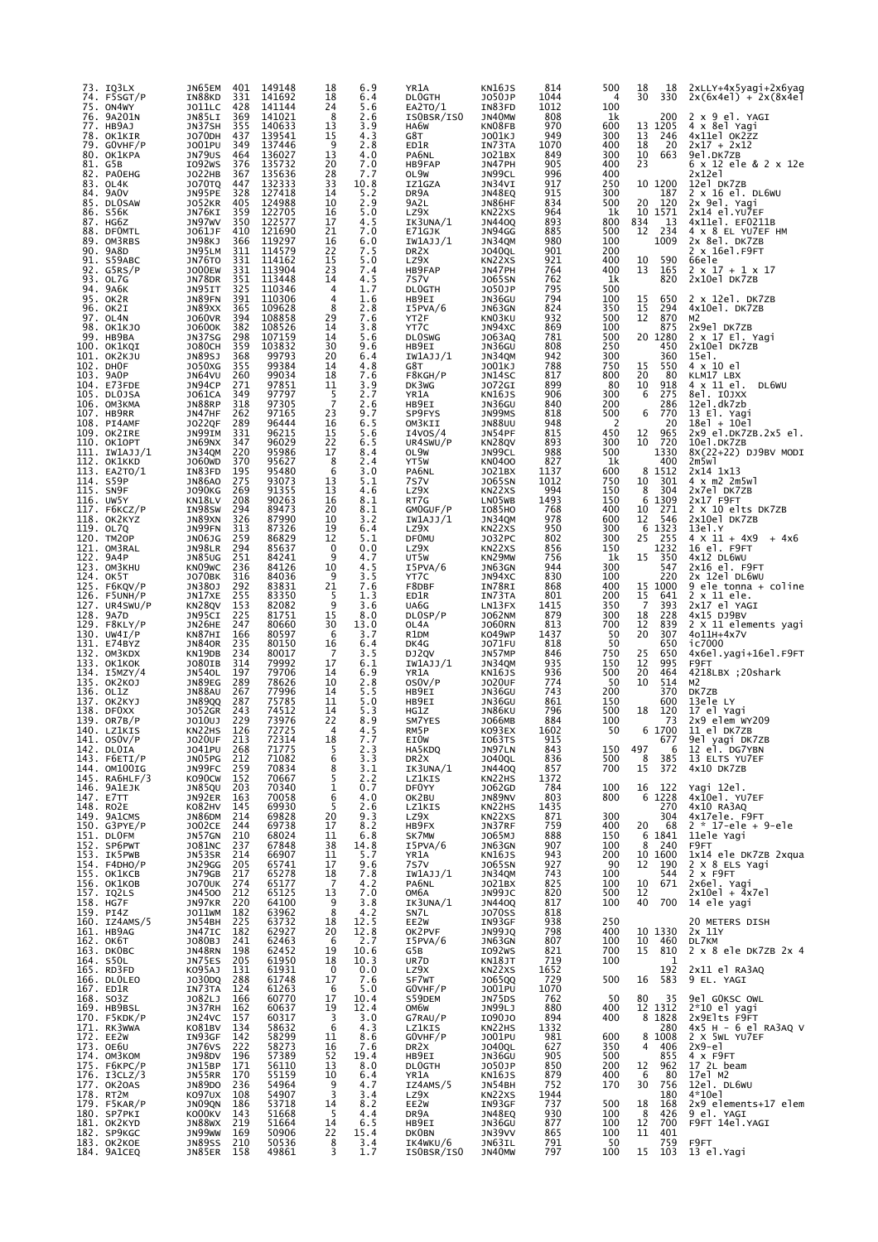| 73.        | IQ3LX<br>74. F5SGT/P                   | JN65EM<br>IN88KD           | 401<br>331        | 149148<br>141692        | 18<br>18             | 6.9<br>6.4   | YR1A<br><b>DLOGTH</b>         | KN16JS<br>J050JP               | 814<br>1044 | 500<br>4   | 18<br>18<br>30<br>330  | 2xLLY+4x5yagi+2x6yag<br>$2x(6x4e1) + 2x(8x4e1)$     |
|------------|----------------------------------------|----------------------------|-------------------|-------------------------|----------------------|--------------|-------------------------------|--------------------------------|-------------|------------|------------------------|-----------------------------------------------------|
| 75.<br>76. | ON4WY<br>9A201N                        | JO11LC<br>JN85LI           | 428<br>369        | 141144<br>141021        | 24<br>8              | 5.6<br>2.6   | EA2TO/1<br>ISOBSR/ISO         | IN83FD<br>JN40MW               | 1012<br>808 | 100<br>1k  | 200                    | 2 x 9 el. YAGI                                      |
|            | 77. HB9AJ<br>78. OK1KIR                | JN37SH<br>J070DH           | 355<br>437        | 140633<br>139541        | 13<br>15             | 3.9<br>4.3   | HA6W<br>G8T                   | KN08FB<br>J001KJ               | 970<br>949  | 600<br>300 | 13 1205<br>13<br>246   | 4 x 8el Yagi<br>4x11el OK2ZZ                        |
|            | 79. GOVHF/P<br>80. OK1KPA              | J001PU<br>JN79US           | 349<br>464        | 137446<br>136027        | 9<br>13              | 2.8<br>4.0   | ED1R<br>PA6NL                 | IN73TA<br>J021BX               | 1070<br>849 | 400<br>300 | 18<br>20<br>10<br>663  | $2x17 + 2x12$<br>9el.DK7ZB                          |
|            | 81. G5B<br>82. PAOEHG                  | I092WS<br>JO22HB           | 376<br>367        | 135732<br>135636        | 20<br>28             | 7.0<br>7.7   | HB9FAP<br>OL9W                | JN47PH<br>JN99CL               | 905<br>996  | 400<br>400 | 23                     | 6 x 12 ele & 2 x 12e<br>2x12e1                      |
|            | 83. OL4K<br>84. 9AOV                   | <b>JO70TQ</b><br>JN95PE    | 447<br>328        | 132333<br>127418        | 33<br>14             | 10.8<br>5.2  | IZ1GZA<br>DR9A                | JN34VI<br>JN48EQ               | 917<br>915  | 250<br>300 | 10 1200<br>187         | 12el DK7ZB<br>2 x 16 el. DL6WU                      |
|            | 85. DLOSAW<br>86. S56K                 | <b>JO52KR</b><br>JN76KI    | 405<br>359        | 124988<br>122705        | 10<br>16             | 2.9<br>5.0   | 9A2L<br>LZ9X                  | JN86HF<br>KN22XS               | 834<br>964  | 500<br>1k  | 120<br>20<br>10 1571   | 2x 9el. Yagi<br>2x14 el.YU7EF                       |
|            | 87. HG6Z<br>88. DFOMTL                 | JN97WV<br>J061JF           | 350<br>410        | 122577<br>121690        | 17<br>21             | 4.5<br>7.0   | IK3UNA/1<br>E71GJK            | <b>JN4400</b><br>JN94GG        | 893<br>885  | 800<br>500 | 834<br>13<br>12<br>234 | 4x11el. EF0211B<br>4 x 8 EL YU7EF HM                |
|            | 89. OM3RBS<br>90. 9A8D                 | JN98KJ<br>JN95LM           | 366<br>311        | 119297<br>114579        | 16<br>22             | 6.0<br>7.5   | IW1AJJ/1<br>DR <sub>2</sub> X | JN34QM<br><b>JO40QL</b>        | 980<br>901  | 100<br>200 | 1009                   | 2x 8el. DK7ZB<br>2 x 16el.F9FT                      |
|            | 91. S59ABC<br>92. G5RS/P               | JN76TO<br><b>JO00EW</b>    | 331<br>331        | 114162<br>113904        | 15<br>23             | 5.0<br>7.4   | LZ9X<br>HB9FAP                | KN22XS<br>JN47PH               | 921<br>764  | 400<br>400 | 590<br>10<br>13<br>165 | 66e1e<br>$2 \times 17 + 1 \times 17$                |
|            | 93. OL7G<br>94. 9А6К                   | JN78DR<br>JN95IT           | 351<br>325        | 113448<br>110346        | 14<br>4              | 4.5<br>1.7   | 7S7V<br><b>DLOGTH</b>         | <b>JO65SN</b><br>J050JP        | 762<br>795  | 1k<br>500  | 820                    | 2x10el DK7ZB                                        |
|            | 95. OK2R<br>96. ОК2І                   | JN89FN<br>JN89XX           | 391<br>365        | 110306<br>109628        | 4<br>8               | 1.6<br>2.8   | HB9EI<br>I5PVA/6              | JN36GU<br>JN63GN               | 794<br>824  | 100<br>350 | 15<br>650<br>15<br>294 | 2 x 12el. DK7ZB<br>4x10el. DK7ZB                    |
|            | 97. OL4N                               | <b>JO60VR</b><br>J0600K    | 394<br>382        | 108858<br>108526        | 29<br>14             | 7.6<br>3.8   | YT2F<br>YT7C                  | KN03KU<br>JN94XC               | 932<br>869  | 500<br>100 | 870<br>12<br>875       | M2                                                  |
|            | 98. OK1KJO<br>99. НВ9ВА<br>100. ОК1КQI | JN37SG<br><b>JO80CH</b>    | 298<br>359        | 107159<br>103832        | 14<br>30             | 5.6<br>9.6   | <b>DLOSWG</b><br>HB9EI        | J063AQ<br>JN36GU               | 781<br>808  | 500<br>250 | 20 1280<br>450         | 2x9el DK7ZB<br>2 x 17 El. Yagi<br>2x10el DK7ZB      |
|            | 101. OK2KJU                            | JN89SJ                     | 368<br>355        | 99793<br>99384          | 20                   | 6.4          | IW1AJJ/1                      | JN34QM                         | 942         | 300        | 360                    | 15el.                                               |
|            | 102. DHOF<br>103. 9AOP                 | J050XG<br>JN64VU           | 260               | 99034                   | 14<br>18             | 4.8<br>7.6   | G8T<br>F8KGH/P                | J001KJ<br>JN14SC               | 788<br>817  | 750<br>800 | 15<br>550<br>20<br>80  | 4 x 10 el<br>KLM17 LBX                              |
|            | 104. E73FDE<br>105. DLOJSA             | JN94CP<br>J061CA           | 271<br>349        | 97851<br>97797          | 11<br>$\frac{5}{7}$  | 3.9<br>2.7   | DK3WG<br>YR1A                 | JO72GI<br>KN16JS               | 899<br>906  | 80<br>300  | 10<br>918<br>6<br>275  | 4 x 11 el.<br>DL6WU<br>8el. IOJXX                   |
|            | 106. ОМЗКМА<br>107. HB9RR              | JN88RP<br>JN47HF           | 318<br>262        | 97305<br>97165          | 23                   | 2.6<br>9.7   | HB9EI<br>SP9FYS               | JN36GU<br>JN99MS               | 840<br>818  | 200<br>500 | 286<br>6<br>770        | 12el.dk7zb<br>13 El. Yagi                           |
|            | 108. PI4AMF<br>109. OK2IRE             | J022QF<br>JN99IM           | 289<br>331        | 96444<br>96215          | 16<br>15             | 6.5<br>5.6   | OM3KII<br>I4VOS/4             | <b>JN88UU</b><br>JN54PF        | 948<br>815  | 2<br>450   | 20<br>12<br>965        | $18e$ ] + $10e$ ]<br>2x9 el.DK7ZB.2x5 el.           |
|            | 110. ОК1ОРТ<br>111. IW1AJJ/1           | JN69NX<br>JN34QM           | 347<br>220        | 96029<br>95986          | 22<br>17             | 6.5<br>8.4   | UR4SWU/P<br>OL9W              | KN28QV<br>JN99CL               | 893<br>988  | 300<br>500 | 10<br>720<br>1330      | 10el.DK7ZB<br>8X(22+22) DJ9BV MODI                  |
|            | 112. ОК1ККD<br>113. EA2TO/1            | J060WD<br>IN83FD           | 370<br>195        | 95627<br>95480          | 8<br>6               | 2.4<br>3.0   | YT5W<br>PA6NL                 | <b>KN0400</b><br>J021BX        | 827<br>1137 | 1k<br>600  | 400<br>8 1512          | 2m5wl<br>2x14 1x13                                  |
|            | 114. S59P<br>115. SN9F                 | <b>JN86AO</b><br>J090KG    | 275<br>269        | 93073<br>91355          | 13<br>13             | 5.1<br>4.6   | 7s7v<br>LZ9X                  | <b>JO65SN</b><br>KN22XS        | 1012<br>994 | 750<br>150 | 10<br>301<br>304<br>8  | 4 x m2 2m5w1<br>2x7el DK7ZB                         |
|            | 116. UW5Y<br>117. F6KCZ/P              | KN18LV<br>IN98SW           | 208<br>294        | 90263<br>89473          | 16<br>20             | 8.1<br>8.1   | RT7G<br>GMOGUF/P              | LN05WB<br><b>IO85HO</b>        | 1493<br>768 | 150<br>400 | 6 1309<br>10<br>271    | 2x17 F9FT<br>2 X 10 elts DK7ZB                      |
|            | 118. OK2KYZ<br>119. OL7Q               | JN89XN<br>JN99FN           | 326<br>313        | 87990<br>87326          | 10<br>19             | 3.2<br>6.4   | IW1AJJ/1<br>LZ9X              | JN34QM<br>KN22XS               | 978<br>950  | 600<br>300 | 12<br>546<br>6 1323    | 2x10el DK7ZB<br>13e1.Y                              |
|            | 120. TM20P<br>121. OM3RAL              | JN06JG<br>JN98LR           | 259<br>294        | 86829<br>85637          | 12<br>0              | 5.1<br>0.0   | <b>DFOMU</b><br>LZ9X          | J032PC<br>KN22XS               | 802<br>856  | 300<br>150 | 25<br>$-255$<br>1232   | $4 \times 11 + 4x9 + 4x6$<br>16 el. F9FT            |
|            | 122. 9A4P<br>123. OM3KHU               | <b>JN85UG</b><br>KN09WC    | 251<br>236        | 84241<br>84126          | 9<br>10              | 4.7<br>4.5   | UT5W<br>I5PVA/6               | KN29MW<br>JN63GN               | 756<br>944  | 1k<br>300  | 15<br>350<br>547       | 4x12 DL6WU<br>2x16 el. F9FT                         |
|            | 124. OK5T<br>125. F6KQV/P              | JO70BK<br>JN380J           | 316<br>292        | 84036<br>83831          | 9<br>21              | 3.5<br>7.6   | YT7C<br>F8DBF                 | JN94XC<br>IN78RI               | 830<br>868  | 100<br>400 | 220<br>15 1000         | 2x 12el DL6WU<br>9 ele tonna + coline               |
|            | 126. F5UNH/P<br>127. UR4SWU/P          | JN17XE<br>KN28QV           | 255<br>153        | 83350<br>82082          | 5<br>9               | 1.3<br>3.6   | ED1R<br>UA6G                  | IN73TA<br>LN13FX               | 801<br>1415 | 200<br>350 | 15<br>641<br>7<br>393  | 2 x 11 ele.<br>2x17 el YAGI                         |
|            | 128. 9A7D<br>129. F8KLY/P              | JN95CI<br>JN26HE           | 225<br>247        | 81751<br>80660          | 15<br>30             | 8.0<br>13.0  | DL0SP/P<br>OL4A               | J062NM<br><b>JO60RN</b>        | 879<br>813  | 300<br>700 | 18<br>228<br>12<br>839 | 4x15 DJ9BV<br>2 X 11 elements yagi                  |
|            | 130. UW4I/P<br>131. E74BYZ             | KN87HI<br><b>JN840R</b>    | 166<br>235        | 80597<br>80150          | 6<br>16              | 3.7<br>6.4   | R1DM<br>DK4G                  | KO49WP<br>J071FU               | 1437<br>818 | 50<br>50   | 20<br>307<br>650       | 4o11H+4x7V<br>ic7000                                |
|            | 132. OM3KDX<br>133. ОК1КОК             | KN19DB<br>J080IB           | 234<br>314        | 80017<br>79992          | 7<br>17              | 3.5<br>6.1   | DJ2QV<br>IW1AJJ/1             | JN57MP<br>JN34QM               | 846<br>935  | 750<br>150 | 25<br>650<br>12<br>995 | 4x6el.yagi+16el.F9FT<br>F9FT                        |
|            | 134. I5MZY/4<br>135. OK2KOJ            | JN54OL<br>JN89EG           | 197<br>289        | 79706<br>78626          | 14<br>10             | 6.9<br>2.8   | YR1A<br>OSOV/P                | KN16JS<br><b>JO20UF</b>        | 936<br>774  | 500<br>50  | 20<br>464<br>10<br>514 | 4218LBX :20shark<br>M2                              |
|            | 136. OL1Z<br>137. OK2KYJ               | JN88AU<br><b>JN89QQ</b>    | 267<br>287        | 77996<br>75785          | 14<br>11             | 5.5<br>5.0   | HB9EI<br>HB9EI                | JN36GU<br>JN36GU               | 743<br>861  | 200<br>150 | 370<br>600             | DK7ZB<br>13ele LY                                   |
|            | 138. DFOXX<br>139. OR7B/P              | J052GR<br>J010UJ           | 243<br>229        | 74512<br>73976          | 14<br>22             | 5.3<br>8.9   | HG1Z<br>SM7YES                | JN86KU<br>J066MB               | 796<br>884  | 500<br>100 | 120<br>18<br>73        | 17 el Yagi<br>2x9 elem WY209                        |
|            | 140. LZ1KIS<br>141. OSOV/P             | KN22HS<br><b>JO20UF</b>    | 126<br>213        | 72725<br>72314          | $\overline{4}$<br>18 | 4.5<br>7.7   | RM5P<br>EI0W                  | KO93EX<br>I063TS               | 1602<br>915 | 50         | 6 1700<br>677          | 11 el DK7ZB<br>9el yagi DK7ZB                       |
|            | 142. DLOIA<br>143. F6ETI/P             | J041PU<br>JN05PG           | 268<br>212        | 71775<br>71082          | כ.<br>6              | 2.3<br>3.3   | HA5KDQ<br>DR2X                | JN97LN<br><b>JO40QL</b>        | 843<br>836  | 150<br>500 | 497<br>6<br>8<br>385   | 12 el. DG7YBN<br>13 ELTS YU7EF                      |
|            | 144. OM100IG<br>145. RA6HLF/3          | JN99FC<br>KO90CW           | 259<br>152        | 70834<br>70667          | 8<br>5               | 3.1<br>2.2   | IK3UNA/1<br>LZ1KIS            | <b>JN440Q</b><br>KN22HS        | 857<br>1372 | 700        | 372<br>15              | 4x10 DK7ZB                                          |
|            | 146. 9A1EJK<br>147. E7TT               | <b>JN85QU</b><br>JN92ER    | 203<br>163        | 70340<br>70058          | 1<br>6               | 0.7<br>4.0   | DF0YY<br>OK2BU                | J062GD<br>JN89NV               | 784<br>803  | 100<br>800 | 16<br>122<br>6 1228    | Yagi 12el.<br>4x10el. YU7EF                         |
|            | 148. RO2E<br>149. 9A1CMS               | KO82HV<br>JN86DM           | 145<br>214        | 69930<br>69828          | 5<br>20              | 2.6<br>9.3   | LZ1KIS<br>LZ9X                | KN22HS<br>KN22XS               | 1435<br>871 | 300        | 270<br>304             | 4x10 RA3AQ<br>4x17ele. F9FT                         |
|            | 150. G3PYE/P<br>151. DLOFM             | <b>JO02CE</b><br>JN57GN    | 244<br>210        | 69738<br>68024          | 17<br>11             | 8.2<br>6.8   | HB9FX<br>SK7MW                | JN37RF<br>J065MJ               | 759<br>888  | 400<br>150 | 20<br>68<br>6 1841     | $2 * 17 -$ ele + 9-ele<br>11ele Yagi                |
|            | 152. SP6PWT<br>153. IK5PWB             | J081NC<br>JN53SR           | 237<br>214        | 67848<br>66907          | 38<br>11             | 14.8<br>5.7  | I5PVA/6<br>YR1A               | JN63GN<br>KN16JS               | 907<br>943  | 100<br>200 | 240<br>8<br>10 1600    | F9FT<br>1x14 ele DK7ZB 2xqua                        |
|            | 154. F4DHO/P<br>155. OK1KCB            | JN29GG<br>JN79GB           | 205<br>217        | 65741<br>65278          | 17<br>18             | 9.6<br>7.8   | 7s7v<br>IW1AJJ/1              | <b>JO65SN</b><br>JN34QM        | 927<br>743  | 90<br>100  | 12<br>190<br>544       | 2 X 8 ELS Yagi<br>$2 \times$ F $9$ FT               |
|            | 156. ОК1КОВ<br>157. IQ2LS              | <b>JO70UK</b><br>JN4500    | 274<br>212        | 65177<br>65125          | 7<br>13              | 4.2<br>7.0   | PA6NL<br>ОМ6А                 | J021BX<br>JN99JC               | 825<br>820  | 100<br>500 | 671<br>10<br>12        | 2x6el Yagi<br>2x10el + 4x7el                        |
|            | 158. HG7F<br>159. PI4Z                 | JN97KR<br>JO11WM           | 220<br>182        | 64100<br>63962          | 9<br>8               | 3.8<br>4.2   | IK3UNA/1<br>SN7L              | <b>JN440Q</b><br><b>JO70SS</b> | 817<br>818  | 100        | 700<br>40              | 14 ele yagi                                         |
|            | 160. IZ4AMS/5<br>161. HB9AG            | JN54BH<br>JN47IC           | 225<br>182        | 63732<br>62927          | 18<br>20             | 12.5<br>12.8 | EE2W<br>OK2PVF                | IN93GF<br><b>JN99JQ</b>        | 938<br>798  | 250<br>400 | 10 1330                | 20 METERS DISH<br>$2x$ $11Y$                        |
|            | 162. ОК6Т<br>163. DKOBC                | J080BJ<br>JN48RN           | 241<br>198        | 62463<br>62452          | 6<br>19              | 2.7<br>10.6  | I5PVA/6<br>G5B                | JN63GN<br>I092WS               | 807<br>821  | 100<br>700 | 10<br>460<br>15<br>810 | DL7KM<br>$2 \times 8$ ele DK7ZB $2 \times 4$        |
|            | 164. S50L<br>165. RD3FD                | JN75ES<br>KO95AJ           | 205<br>131        | 61950<br>61931          | 18<br>0              | 10.3<br>0.0  | UR7D<br>LZ9X                  | KN18JT<br>KN22XS               | 719<br>1652 | 100        | 1<br>192               | 2x11 el RA3AQ                                       |
|            | 166. DLOLEO                            | J030DQ                     | 288<br>124        | 61748<br>61263          | 17                   | 7.6          | SF7WT<br>GOVHF/P              | J065QQ<br>J001PU               | 729<br>1070 | 500        | 583<br>16              | 9 EL. YAGI                                          |
|            | 167. ED1R<br>168. SO3Z                 | IN73TA<br>J082LJ           | 166               | 60770                   | 6<br>17              | 5.0<br>10.4  | S59DEM                        | JN75DS                         | 762         | 50         | 35<br>80               | 9el GOKSC OWL                                       |
|            | 169. HB9BSL<br>170. F5KDK/P            | JN37RH<br>JN24VC<br>K081BV | 162<br>157<br>134 | 60637<br>60317          | 19<br>3<br>6         | 12.4<br>3.0  | OM6W<br>G7RAU/P               | JN99LJ<br>1090J0               | 880<br>894  | 400<br>400 | 12 1312<br>8 1828      | 2*10 el yagi<br>2x9Elts F9FT                        |
|            | 171. RK3WWA<br>172. EE2W               | IN93GF<br>JN76VS           | 142<br>222        | 58632<br>58299<br>58273 | 11                   | 4.3<br>8.6   | LZ1KIS<br>GOVHF/P             | KN22HS<br>J001PU               | 1332<br>981 | 600        | 280<br>1008<br>8<br>4  | $4x5$ H - 6 el RA3AQ V<br>2 X 5WL YU7EF<br>$2x9-e1$ |
|            | 173. OE6U<br>174. OM3KOM               | JN98DV                     | 196               | 57389                   | 16<br>52             | 7.6<br>19.4  | DR <sub>2</sub> X<br>HB9EI    | <b>JO40QL</b><br>JN36GU        | 627<br>905  | 350<br>500 | 406<br>855             | 4 x F9FT                                            |
|            | 175. F6KPC/P<br>176. I3CLZ/3           | JN15BP<br>JN55RR           | 171<br>170        | 56110<br>55159          | 13<br>10             | 8.0<br>6.4   | <b>DLOGTH</b><br>YR1A         | J050JP<br>KN16JS               | 850<br>879  | 200<br>400 | 12<br>962<br>6<br>80   | 17 2L beam<br>17el M2                               |
|            | 177. OK2OAS<br>178. RT2M               | JN89DO<br>KO97UX           | 236<br>108        | 54964<br>54907          | 9<br>3               | 4.7<br>3.4   | IZ4AMS/5<br>LZ9X              | JN54BH<br>KN22XS               | 752<br>1944 | 170        | 30<br>756<br>180       | 12el. DL6WU<br>4*10el                               |
|            | 179. F5KAR/P<br>180. SP7PKI            | JNO9QN<br>KO00KV           | 186<br>143        | 53718<br>51668          | 14<br>-5             | 8.2<br>4.4   | EE2W<br>DR9A                  | IN93GF<br>JN48EQ               | 737<br>930  | 500<br>100 | 18<br>168<br>8<br>426  | 2x9 elements+17 elem<br>9 el. YAGI                  |
|            | 181. OK2KYD<br>182. SP9KGC             | JN88WX<br>JN99WW           | 219<br>169        | 51664<br>50906          | 14<br>22             | 6.5<br>15.4  | HB9EI<br><b>DKOBN</b>         | JN36GU<br>JN39VV               | 877<br>865  | 100<br>100 | 12<br>700<br>11<br>401 | F9FT 14el.YAGI                                      |
|            | 183. ОК2КОЕ<br>184. 9A1CEQ             | JN89SS<br>JN85ER 158       | 210               | 50536<br>49861          | 8<br>3               | 3.4<br>1.7   | IK4WKU/6<br>ISOBSR/ISO        | JN63IL<br>JN40MW               | 791<br>797  | -50<br>100 | 759<br>15<br>103       | F9FT<br>13 el.Yagi                                  |